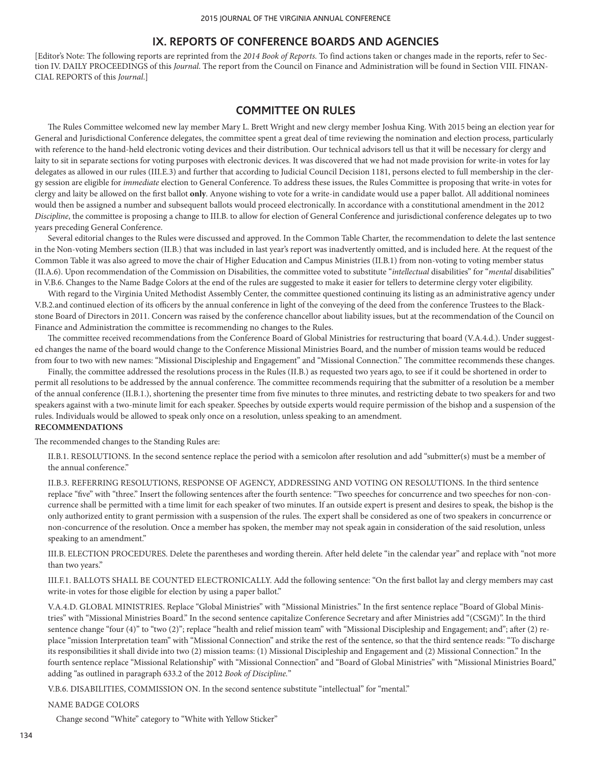[Editor's Note: The following reports are reprinted from the *2014 Book of Reports.* To find actions taken or changes made in the reports, refer to Section IV. DAILY PROCEEDINGS of this *Journal*. The report from the Council on Finance and Administration will be found in Section VIII. FINAN-CIAL REPORTS of this *Journal*.]

## **COMMITTEE ON RULES**

The Rules Committee welcomed new lay member Mary L. Brett Wright and new clergy member Joshua King. With 2015 being an election year for General and Jurisdictional Conference delegates, the committee spent a great deal of time reviewing the nomination and election process, particularly with reference to the hand-held electronic voting devices and their distribution. Our technical advisors tell us that it will be necessary for clergy and laity to sit in separate sections for voting purposes with electronic devices. It was discovered that we had not made provision for write-in votes for lay delegates as allowed in our rules (III.E.3) and further that according to Judicial Council Decision 1181, persons elected to full membership in the clergy session are eligible for *immediate* election to General Conference. To address these issues, the Rules Committee is proposing that write-in votes for clergy and laity be allowed on the first ballot **only**. Anyone wishing to vote for a write-in candidate would use a paper ballot. All additional nominees would then be assigned a number and subsequent ballots would proceed electronically. In accordance with a constitutional amendment in the 2012 *Discipline*, the committee is proposing a change to III.B. to allow for election of General Conference and jurisdictional conference delegates up to two years preceding General Conference.

Several editorial changes to the Rules were discussed and approved. In the Common Table Charter, the recommendation to delete the last sentence in the Non-voting Members section (II.B.) that was included in last year's report was inadvertently omitted, and is included here. At the request of the Common Table it was also agreed to move the chair of Higher Education and Campus Ministries (II.B.1) from non-voting to voting member status (II.A.6). Upon recommendation of the Commission on Disabilities, the committee voted to substitute "*intellectual* disabilities" for "*mental* disabilities" in V.B.6. Changes to the Name Badge Colors at the end of the rules are suggested to make it easier for tellers to determine clergy voter eligibility.

With regard to the Virginia United Methodist Assembly Center, the committee questioned continuing its listing as an administrative agency under V.B.2.and continued election of its officers by the annual conference in light of the conveying of the deed from the conference Trustees to the Blackstone Board of Directors in 2011. Concern was raised by the conference chancellor about liability issues, but at the recommendation of the Council on Finance and Administration the committee is recommending no changes to the Rules.

The committee received recommendations from the Conference Board of Global Ministries for restructuring that board (V.A.4.d.). Under suggested changes the name of the board would change to the Conference Missional Ministries Board, and the number of mission teams would be reduced from four to two with new names: "Missional Discipleship and Engagement" and "Missional Connection." The committee recommends these changes.

Finally, the committee addressed the resolutions process in the Rules (II.B.) as requested two years ago, to see if it could be shortened in order to permit all resolutions to be addressed by the annual conference. The committee recommends requiring that the submitter of a resolution be a member of the annual conference (II.B.1.), shortening the presenter time from five minutes to three minutes, and restricting debate to two speakers for and two speakers against with a two-minute limit for each speaker. Speeches by outside experts would require permission of the bishop and a suspension of the rules. Individuals would be allowed to speak only once on a resolution, unless speaking to an amendment.

# **RECOMMENDATIONS**

The recommended changes to the Standing Rules are:

II.B.1. RESOLUTIONS. In the second sentence replace the period with a semicolon after resolution and add "submitter(s) must be a member of the annual conference."

II.B.3. REFERRING RESOLUTIONS, RESPONSE OF AGENCY, ADDRESSING AND VOTING ON RESOLUTIONS. In the third sentence replace "five" with "three." Insert the following sentences after the fourth sentence: "Two speeches for concurrence and two speeches for non-concurrence shall be permitted with a time limit for each speaker of two minutes. If an outside expert is present and desires to speak, the bishop is the only authorized entity to grant permission with a suspension of the rules. The expert shall be considered as one of two speakers in concurrence or non-concurrence of the resolution. Once a member has spoken, the member may not speak again in consideration of the said resolution, unless speaking to an amendment."

III.B. ELECTION PROCEDURES. Delete the parentheses and wording therein. After held delete "in the calendar year" and replace with "not more than two years."

III.F.1. BALLOTS SHALL BE COUNTED ELECTRONICALLY. Add the following sentence: "On the first ballot lay and clergy members may cast write-in votes for those eligible for election by using a paper ballot."

V.A.4.D. GLOBAL MINISTRIES. Replace "Global Ministries" with "Missional Ministries." In the first sentence replace "Board of Global Ministries" with "Missional Ministries Board." In the second sentence capitalize Conference Secretary and after Ministries add "(CSGM)". In the third sentence change "four (4)" to "two (2)"; replace "health and relief mission team" with "Missional Discipleship and Engagement; and"; after (2) replace "mission Interpretation team" with "Missional Connection" and strike the rest of the sentence, so that the third sentence reads: "To discharge its responsibilities it shall divide into two (2) mission teams: (1) Missional Discipleship and Engagement and (2) Missional Connection." In the fourth sentence replace "Missional Relationship" with "Missional Connection" and "Board of Global Ministries" with "Missional Ministries Board," adding "as outlined in paragraph 633.2 of the 2012 *Book of Discipline.*"

V.B.6. DISABILITIES, COMMISSION ON. In the second sentence substitute "intellectual" for "mental."

### NAME BADGE COLORS

Change second "White" category to "White with Yellow Sticker"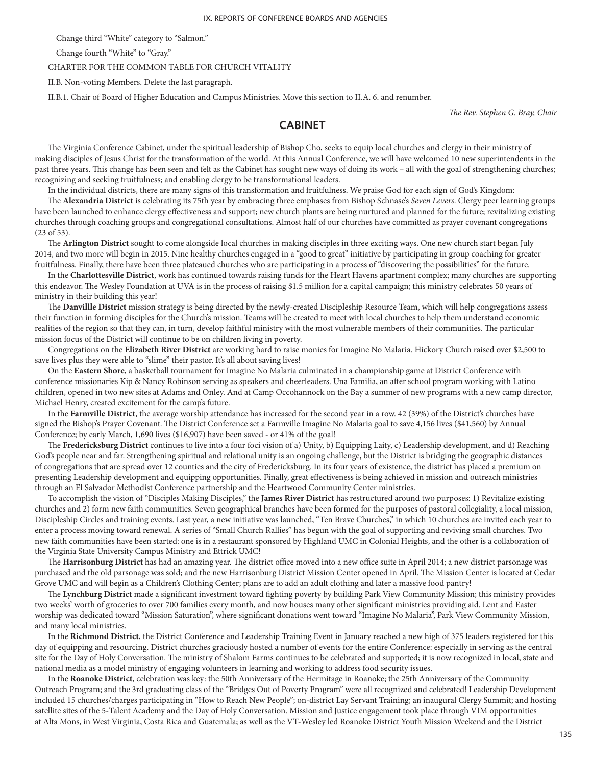Change third "White" category to "Salmon."

Change fourth "White" to "Gray."

### CHARTER FOR THE COMMON TABLE FOR CHURCH VITALITY

II.B. Non-voting Members. Delete the last paragraph.

II.B.1. Chair of Board of Higher Education and Campus Ministries. Move this section to II.A. 6. and renumber.

*The Rev. Stephen G. Bray, Chair*

## **CABINET**

The Virginia Conference Cabinet, under the spiritual leadership of Bishop Cho, seeks to equip local churches and clergy in their ministry of making disciples of Jesus Christ for the transformation of the world. At this Annual Conference, we will have welcomed 10 new superintendents in the past three years. This change has been seen and felt as the Cabinet has sought new ways of doing its work – all with the goal of strengthening churches; recognizing and seeking fruitfulness; and enabling clergy to be transformational leaders.

In the individual districts, there are many signs of this transformation and fruitfulness. We praise God for each sign of God's Kingdom:

The **Alexandria District** is celebrating its 75th year by embracing three emphases from Bishop Schnase's *Seven Levers*. Clergy peer learning groups have been launched to enhance clergy effectiveness and support; new church plants are being nurtured and planned for the future; revitalizing existing churches through coaching groups and congregational consultations. Almost half of our churches have committed as prayer covenant congregations (23 of 53).

The **Arlington District** sought to come alongside local churches in making disciples in three exciting ways. One new church start began July 2014, and two more will begin in 2015. Nine healthy churches engaged in a "good to great" initiative by participating in group coaching for greater fruitfulness. Finally, there have been three plateaued churches who are participating in a process of "discovering the possibilities" for the future.

In the **Charlottesville District**, work has continued towards raising funds for the Heart Havens apartment complex; many churches are supporting this endeavor. The Wesley Foundation at UVA is in the process of raising \$1.5 million for a capital campaign; this ministry celebrates 50 years of ministry in their building this year!

The **Danvillle District** mission strategy is being directed by the newly-created Discipleship Resource Team, which will help congregations assess their function in forming disciples for the Church's mission. Teams will be created to meet with local churches to help them understand economic realities of the region so that they can, in turn, develop faithful ministry with the most vulnerable members of their communities. The particular mission focus of the District will continue to be on children living in poverty.

Congregations on the **Elizabeth River District** are working hard to raise monies for Imagine No Malaria. Hickory Church raised over \$2,500 to save lives plus they were able to "slime" their pastor. It's all about saving lives!

On the **Eastern Shore**, a basketball tournament for Imagine No Malaria culminated in a championship game at District Conference with conference missionaries Kip & Nancy Robinson serving as speakers and cheerleaders. Una Familia, an after school program working with Latino children, opened in two new sites at Adams and Onley. And at Camp Occohannock on the Bay a summer of new programs with a new camp director, Michael Henry, created excitement for the camp's future.

In the **Farmville District**, the average worship attendance has increased for the second year in a row. 42 (39%) of the District's churches have signed the Bishop's Prayer Covenant. The District Conference set a Farmville Imagine No Malaria goal to save 4,156 lives (\$41,560) by Annual Conference; by early March, 1,690 lives (\$16,907) have been saved - or 41% of the goal!

The **Fredericksburg District** continues to live into a four foci vision of a) Unity, b) Equipping Laity, c) Leadership development, and d) Reaching God's people near and far. Strengthening spiritual and relational unity is an ongoing challenge, but the District is bridging the geographic distances of congregations that are spread over 12 counties and the city of Fredericksburg. In its four years of existence, the district has placed a premium on presenting Leadership development and equipping opportunities. Finally, great effectiveness is being achieved in mission and outreach ministries through an El Salvador Methodist Conference partnership and the Heartwood Community Center ministries.

To accomplish the vision of "Disciples Making Disciples," the **James River District** has restructured around two purposes: 1) Revitalize existing churches and 2) form new faith communities. Seven geographical branches have been formed for the purposes of pastoral collegiality, a local mission, Discipleship Circles and training events. Last year, a new initiative was launched, "Ten Brave Churches," in which 10 churches are invited each year to enter a process moving toward renewal. A series of "Small Church Rallies" has begun with the goal of supporting and reviving small churches. Two new faith communities have been started: one is in a restaurant sponsored by Highland UMC in Colonial Heights, and the other is a collaboration of the Virginia State University Campus Ministry and Ettrick UMC!

The **Harrisonburg District** has had an amazing year. The district office moved into a new office suite in April 2014; a new district parsonage was purchased and the old parsonage was sold; and the new Harrisonburg District Mission Center opened in April. The Mission Center is located at Cedar Grove UMC and will begin as a Children's Clothing Center; plans are to add an adult clothing and later a massive food pantry!

The **Lynchburg District** made a significant investment toward fighting poverty by building Park View Community Mission; this ministry provides two weeks' worth of groceries to over 700 families every month, and now houses many other significant ministries providing aid. Lent and Easter worship was dedicated toward "Mission Saturation", where significant donations went toward "Imagine No Malaria", Park View Community Mission, and many local ministries.

In the **Richmond District**, the District Conference and Leadership Training Event in January reached a new high of 375 leaders registered for this day of equipping and resourcing. District churches graciously hosted a number of events for the entire Conference: especially in serving as the central site for the Day of Holy Conversation. The ministry of Shalom Farms continues to be celebrated and supported; it is now recognized in local, state and national media as a model ministry of engaging volunteers in learning and working to address food security issues.

In the **Roanoke District**, celebration was key: the 50th Anniversary of the Hermitage in Roanoke; the 25th Anniversary of the Community Outreach Program; and the 3rd graduating class of the "Bridges Out of Poverty Program" were all recognized and celebrated! Leadership Development included 15 churches/charges participating in "How to Reach New People"; on-district Lay Servant Training; an inaugural Clergy Summit; and hosting satellite sites of the 5-Talent Academy and the Day of Holy Conversation. Mission and Justice engagement took place through VIM opportunities at Alta Mons, in West Virginia, Costa Rica and Guatemala; as well as the VT-Wesley led Roanoke District Youth Mission Weekend and the District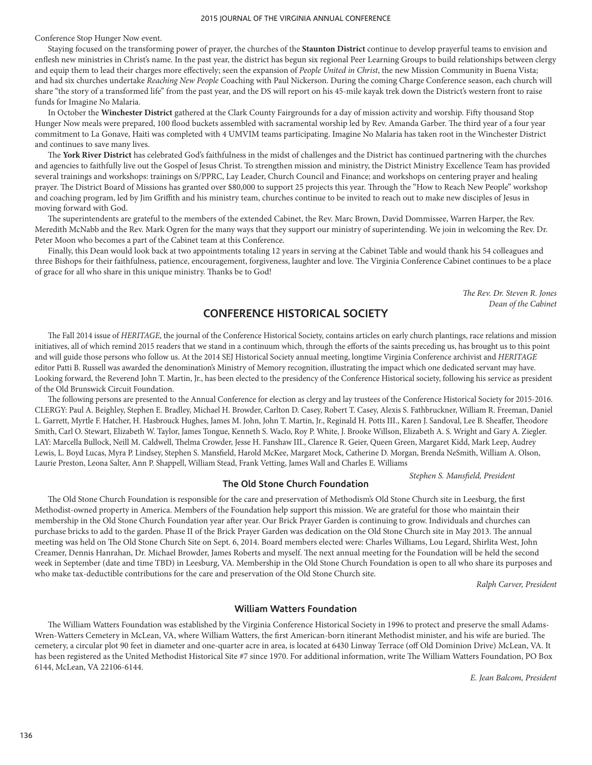Conference Stop Hunger Now event.

Staying focused on the transforming power of prayer, the churches of the **Staunton District** continue to develop prayerful teams to envision and enflesh new ministries in Christ's name. In the past year, the district has begun six regional Peer Learning Groups to build relationships between clergy and equip them to lead their charges more effectively; seen the expansion of *People United in Christ*, the new Mission Community in Buena Vista; and had six churches undertake *Reaching New People* Coaching with Paul Nickerson. During the coming Charge Conference season, each church will share "the story of a transformed life" from the past year, and the DS will report on his 45-mile kayak trek down the District's western front to raise funds for Imagine No Malaria.

In October the **Winchester District** gathered at the Clark County Fairgrounds for a day of mission activity and worship. Fifty thousand Stop Hunger Now meals were prepared, 100 flood buckets assembled with sacramental worship led by Rev. Amanda Garber. The third year of a four year commitment to La Gonave, Haiti was completed with 4 UMVIM teams participating. Imagine No Malaria has taken root in the Winchester District and continues to save many lives.

The **York River District** has celebrated God's faithfulness in the midst of challenges and the District has continued partnering with the churches and agencies to faithfully live out the Gospel of Jesus Christ. To strengthen mission and ministry, the District Ministry Excellence Team has provided several trainings and workshops: trainings on S/PPRC, Lay Leader, Church Council and Finance; and workshops on centering prayer and healing prayer. The District Board of Missions has granted over \$80,000 to support 25 projects this year. Through the "How to Reach New People" workshop and coaching program, led by Jim Griffith and his ministry team, churches continue to be invited to reach out to make new disciples of Jesus in moving forward with God.

The superintendents are grateful to the members of the extended Cabinet, the Rev. Marc Brown, David Dommissee, Warren Harper, the Rev. Meredith McNabb and the Rev. Mark Ogren for the many ways that they support our ministry of superintending. We join in welcoming the Rev. Dr. Peter Moon who becomes a part of the Cabinet team at this Conference.

Finally, this Dean would look back at two appointments totaling 12 years in serving at the Cabinet Table and would thank his 54 colleagues and three Bishops for their faithfulness, patience, encouragement, forgiveness, laughter and love. The Virginia Conference Cabinet continues to be a place of grace for all who share in this unique ministry. Thanks be to God!

> *The Rev. Dr. Steven R. Jones Dean of the Cabinet*

# **CONFERENCE HISTORICAL SOCIETY**

The Fall 2014 issue of *HERITAGE*, the journal of the Conference Historical Society, contains articles on early church plantings, race relations and mission initiatives, all of which remind 2015 readers that we stand in a continuum which, through the efforts of the saints preceding us, has brought us to this point and will guide those persons who follow us. At the 2014 SEJ Historical Society annual meeting, longtime Virginia Conference archivist and *HERITAGE* editor Patti B. Russell was awarded the denomination's Ministry of Memory recognition, illustrating the impact which one dedicated servant may have. Looking forward, the Reverend John T. Martin, Jr., has been elected to the presidency of the Conference Historical society, following his service as president of the Old Brunswick Circuit Foundation.

The following persons are presented to the Annual Conference for election as clergy and lay trustees of the Conference Historical Society for 2015-2016. CLERGY: Paul A. Beighley, Stephen E. Bradley, Michael H. Browder, Carlton D. Casey, Robert T. Casey, Alexis S. Fathbruckner, William R. Freeman, Daniel L. Garrett, Myrtle F. Hatcher, H. Hasbrouck Hughes, James M. John, John T. Martin, Jr., Reginald H. Potts III., Karen J. Sandoval, Lee B. Sheaffer, Theodore Smith, Carl O. Stewart, Elizabeth W. Taylor, James Tongue, Kenneth S. Waclo, Roy P. White, J. Brooke Willson, Elizabeth A. S. Wright and Gary A. Ziegler. LAY: Marcella Bullock, Neill M. Caldwell, Thelma Crowder, Jesse H. Fanshaw III., Clarence R. Geier, Queen Green, Margaret Kidd, Mark Leep, Audrey Lewis, L. Boyd Lucas, Myra P. Lindsey, Stephen S. Mansfield, Harold McKee, Margaret Mock, Catherine D. Morgan, Brenda NeSmith, William A. Olson, Laurie Preston, Leona Salter, Ann P. Shappell, William Stead, Frank Vetting, James Wall and Charles E. Williams

### **The Old Stone Church Foundation**

The Old Stone Church Foundation is responsible for the care and preservation of Methodism's Old Stone Church site in Leesburg, the first Methodist-owned property in America. Members of the Foundation help support this mission. We are grateful for those who maintain their membership in the Old Stone Church Foundation year after year. Our Brick Prayer Garden is continuing to grow. Individuals and churches can purchase bricks to add to the garden. Phase II of the Brick Prayer Garden was dedication on the Old Stone Church site in May 2013. The annual meeting was held on The Old Stone Church Site on Sept. 6, 2014. Board members elected were: Charles Williams, Lou Legard, Shirlita West, John Creamer, Dennis Hanrahan, Dr. Michael Browder, James Roberts and myself. The next annual meeting for the Foundation will be held the second week in September (date and time TBD) in Leesburg, VA. Membership in the Old Stone Church Foundation is open to all who share its purposes and who make tax-deductible contributions for the care and preservation of the Old Stone Church site.

*Ralph Carver, President*

*Stephen S. Mansfield, President*

### **William Watters Foundation**

The William Watters Foundation was established by the Virginia Conference Historical Society in 1996 to protect and preserve the small Adams-Wren-Watters Cemetery in McLean, VA, where William Watters, the first American-born itinerant Methodist minister, and his wife are buried. The cemetery, a circular plot 90 feet in diameter and one-quarter acre in area, is located at 6430 Linway Terrace (off Old Dominion Drive) McLean, VA. It has been registered as the United Methodist Historical Site #7 since 1970. For additional information, write The William Watters Foundation, PO Box 6144, McLean, VA 22106-6144.

*E. Jean Balcom, President*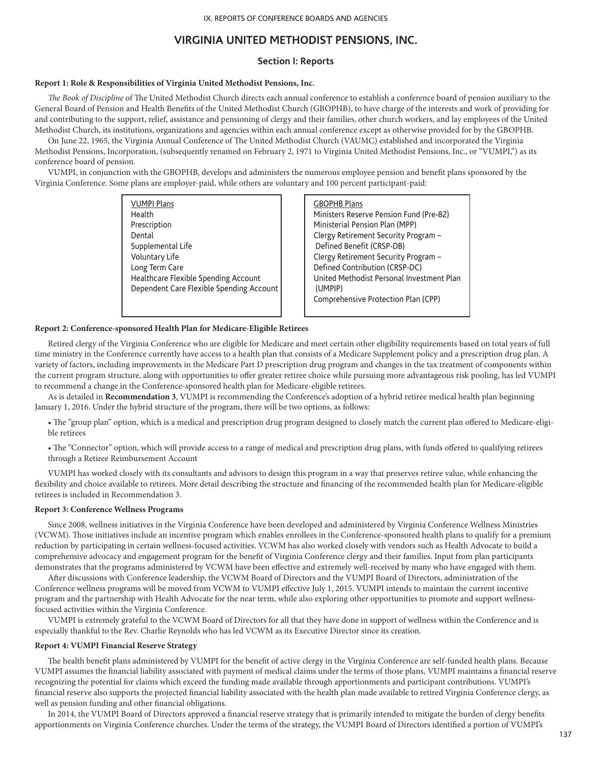## **VIRGINIA UNITED METHODIST PENSIONS, INC.**

### **Section I: Reports**

### **Report 1: Role & Responsibilities of Virginia United Methodist Pensions, Inc.**

*The Book of Discipline* of The United Methodist Church directs each annual conference to establish a conference board of pension auxiliary to the General Board of Pension and Health Benefits of the United Methodist Church (GBOPHB), to have charge of the interests and work of providing for and contributing to the support, relief, assistance and pensioning of clergy and their families, other church workers, and lay employees of the United Methodist Church, its institutions, organizations and agencies within each annual conference except as otherwise provided for by the GBOPHB.

On June 22, 1965, the Virginia Annual Conference of The United Methodist Church (VAUMC) established and incorporated the Virginia Methodist Pensions, Incorporation, (subsequently renamed on February 2, 1971 to Virginia United Methodist Pensions, Inc., or "VUMPI,") as its conference board of pension.

VUMPI, in conjunction with the GBOPHB, develops and administers the numerous employee pension and benefit plans sponsored by the Virginia Conference. Some plans are employer-paid, while others are voluntary and 100 percent participant-paid:

| <b>VUMPI Plans</b><br>Health<br>Prescription<br>Dental<br>Supplemental Life<br>Voluntary Life<br>Long Term Care | <b>GBOPHB Plans</b><br>Ministers Reserve Pension Fund (Pre-82)<br>Ministerial Pension Plan (MPP)<br>Clergy Retirement Security Program -<br>Defined Benefit (CRSP-DB)<br>Clergy Retirement Security Program -<br>Defined Contribution (CRSP-DC) |
|-----------------------------------------------------------------------------------------------------------------|-------------------------------------------------------------------------------------------------------------------------------------------------------------------------------------------------------------------------------------------------|
| Healthcare Flexible Spending Account<br>Dependent Care Flexible Spending Account                                | United Methodist Personal Investment Plan<br>(UMPIP)<br>Comprehensive Protection Plan (CPP)                                                                                                                                                     |

#### **Report 2: Conference-sponsored Health Plan for Medicare-Eligible Retirees**

Retired clergy of the Virginia Conference who are eligible for Medicare and meet certain other eligibility requirements based on total years of full time ministry in the Conference currently have access to a health plan that consists of a Medicare Supplement policy and a prescription drug plan. A variety of factors, including improvements in the Medicare Part D prescription drug program and changes in the tax treatment of components within the current program structure, along with opportunities to offer greater retiree choice while pursuing more advantageous risk pooling, has led VUMPI to recommend a change in the Conference-sponsored health plan for Medicare-eligible retirees.

As is detailed in **Recommendation 3**, VUMPI is recommending the Conference's adoption of a hybrid retiree medical health plan beginning January 1, 2016. Under the hybrid structure of the program, there will be two options, as follows:

• The "group plan" option, which is a medical and prescription drug program designed to closely match the current plan offered to Medicare-eligible retirees

• The "Connector" option, which will provide access to a range of medical and prescription drug plans, with funds offered to qualifying retirees through a Retiree Reimbursement Account

VUMPI has worked closely with its consultants and advisors to design this program in a way that preserves retiree value, while enhancing the flexibility and choice available to retirees. More detail describing the structure and financing of the recommended health plan for Medicare-eligible retirees is included in Recommendation 3.

### **Report 3: Conference Wellness Programs**

Since 2008, wellness initiatives in the Virginia Conference have been developed and administered by Virginia Conference Wellness Ministries (VCWM). Those initiatives include an incentive program which enables enrollees in the Conference-sponsored health plans to qualify for a premium reduction by participating in certain wellness-focused activities. VCWM has also worked closely with vendors such as Health Advocate to build a comprehensive advocacy and engagement program for the benefit of Virginia Conference clergy and their families. Input from plan participants demonstrates that the programs administered by VCWM have been effective and extremely well-received by many who have engaged with them.

After discussions with Conference leadership, the VCWM Board of Directors and the VUMPI Board of Directors, administration of the Conference wellness programs will be moved from VCWM to VUMPI effective July 1, 2015. VUMPI intends to maintain the current incentive program and the partnership with Health Advocate for the near term, while also exploring other opportunities to promote and support wellnessfocused activities within the Virginia Conference.

VUMPI is extremely grateful to the VCWM Board of Directors for all that they have done in support of wellness within the Conference and is especially thankful to the Rev. Charlie Reynolds who has led VCWM as its Executive Director since its creation.

#### **Report 4: VUMPI Financial Reserve Strategy**

The health benefit plans administered by VUMPI for the benefit of active clergy in the Virginia Conference are self-funded health plans. Because VUMPI assumes the financial liability associated with payment of medical claims under the terms of those plans, VUMPI maintains a financial reserve recognizing the potential for claims which exceed the funding made available through apportionments and participant contributions. VUMPI's financial reserve also supports the projected financial liability associated with the health plan made available to retired Virginia Conference clergy, as well as pension funding and other financial obligations.

In 2014, the VUMPI Board of Directors approved a financial reserve strategy that is primarily intended to mitigate the burden of clergy benefits apportionments on Virginia Conference churches. Under the terms of the strategy, the VUMPI Board of Directors identified a portion of VUMPI's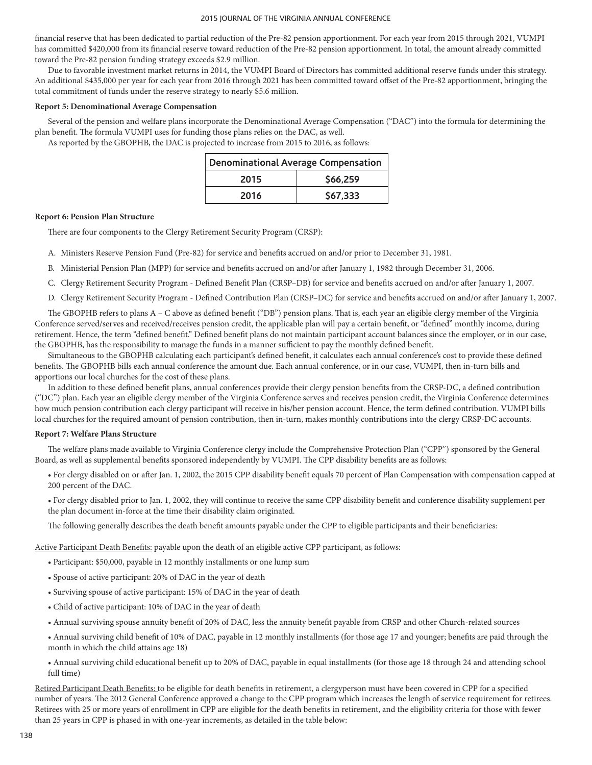financial reserve that has been dedicated to partial reduction of the Pre-82 pension apportionment. For each year from 2015 through 2021, VUMPI has committed \$420,000 from its financial reserve toward reduction of the Pre-82 pension apportionment. In total, the amount already committed toward the Pre-82 pension funding strategy exceeds \$2.9 million.

Due to favorable investment market returns in 2014, the VUMPI Board of Directors has committed additional reserve funds under this strategy. An additional \$435,000 per year for each year from 2016 through 2021 has been committed toward offset of the Pre-82 apportionment, bringing the total commitment of funds under the reserve strategy to nearly \$5.6 million.

#### **Report 5: Denominational Average Compensation**

Several of the pension and welfare plans incorporate the Denominational Average Compensation ("DAC") into the formula for determining the plan benefit. The formula VUMPI uses for funding those plans relies on the DAC, as well.

As reported by the GBOPHB, the DAC is projected to increase from 2015 to 2016, as follows:

| <b>Denominational Average Compensation</b> |          |
|--------------------------------------------|----------|
| 2015                                       | \$66.259 |
| 2016                                       | \$67,333 |

### **Report 6: Pension Plan Structure**

There are four components to the Clergy Retirement Security Program (CRSP):

- A. Ministers Reserve Pension Fund (Pre-82) for service and benefits accrued on and/or prior to December 31, 1981.
- B. Ministerial Pension Plan (MPP) for service and benefits accrued on and/or after January 1, 1982 through December 31, 2006.
- C. Clergy Retirement Security Program Defined Benefit Plan (CRSP–DB) for service and benefits accrued on and/or after January 1, 2007.
- D. Clergy Retirement Security Program Defined Contribution Plan (CRSP–DC) for service and benefits accrued on and/or after January 1, 2007.

The GBOPHB refers to plans A – C above as defined benefit ("DB") pension plans. That is, each year an eligible clergy member of the Virginia Conference served/serves and received/receives pension credit, the applicable plan will pay a certain benefit, or "defined" monthly income, during retirement. Hence, the term "defined benefit." Defined benefit plans do not maintain participant account balances since the employer, or in our case, the GBOPHB, has the responsibility to manage the funds in a manner sufficient to pay the monthly defined benefit.

Simultaneous to the GBOPHB calculating each participant's defined benefit, it calculates each annual conference's cost to provide these defined benefits. The GBOPHB bills each annual conference the amount due. Each annual conference, or in our case, VUMPI, then in-turn bills and apportions our local churches for the cost of these plans.

In addition to these defined benefit plans, annual conferences provide their clergy pension benefits from the CRSP-DC, a defined contribution ("DC") plan. Each year an eligible clergy member of the Virginia Conference serves and receives pension credit, the Virginia Conference determines how much pension contribution each clergy participant will receive in his/her pension account. Hence, the term defined contribution. VUMPI bills local churches for the required amount of pension contribution, then in-turn, makes monthly contributions into the clergy CRSP-DC accounts.

### **Report 7: Welfare Plans Structure**

The welfare plans made available to Virginia Conference clergy include the Comprehensive Protection Plan ("CPP") sponsored by the General Board, as well as supplemental benefits sponsored independently by VUMPI. The CPP disability benefits are as follows:

• For clergy disabled on or after Jan. 1, 2002, the 2015 CPP disability benefit equals 70 percent of Plan Compensation with compensation capped at 200 percent of the DAC.

• For clergy disabled prior to Jan. 1, 2002, they will continue to receive the same CPP disability benefit and conference disability supplement per the plan document in-force at the time their disability claim originated.

The following generally describes the death benefit amounts payable under the CPP to eligible participants and their beneficiaries:

Active Participant Death Benefits: payable upon the death of an eligible active CPP participant, as follows:

- Participant: \$50,000, payable in 12 monthly installments or one lump sum
- Spouse of active participant: 20% of DAC in the year of death
- Surviving spouse of active participant: 15% of DAC in the year of death
- Child of active participant: 10% of DAC in the year of death
- Annual surviving spouse annuity benefit of 20% of DAC, less the annuity benefit payable from CRSP and other Church-related sources

• Annual surviving child benefit of 10% of DAC, payable in 12 monthly installments (for those age 17 and younger; benefits are paid through the month in which the child attains age 18)

• Annual surviving child educational benefit up to 20% of DAC, payable in equal installments (for those age 18 through 24 and attending school full time)

Retired Participant Death Benefits: to be eligible for death benefits in retirement, a clergyperson must have been covered in CPP for a specified number of years. The 2012 General Conference approved a change to the CPP program which increases the length of service requirement for retirees. Retirees with 25 or more years of enrollment in CPP are eligible for the death benefits in retirement, and the eligibility criteria for those with fewer than 25 years in CPP is phased in with one-year increments, as detailed in the table below: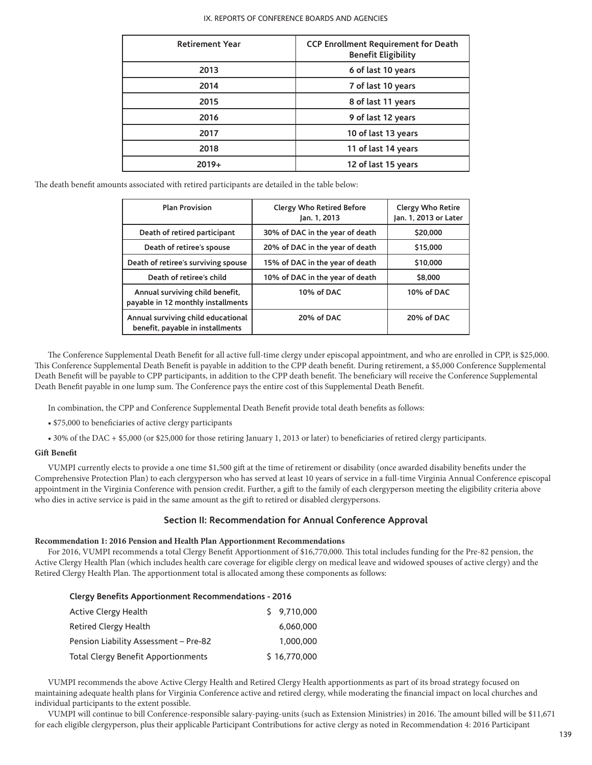| <b>Retirement Year</b> | CCP Enrollment Requirement for Death<br><b>Benefit Eligibility</b> |
|------------------------|--------------------------------------------------------------------|
| 2013                   | 6 of last 10 years                                                 |
| 2014                   | 7 of last 10 years                                                 |
| 2015                   | 8 of last 11 years                                                 |
| 2016                   | 9 of last 12 years                                                 |
| 2017                   | 10 of last 13 years                                                |
| 2018                   | 11 of last 14 years                                                |
| $2019+$                | 12 of last 15 years                                                |

The death benefit amounts associated with retired participants are detailed in the table below:

| <b>Plan Provision</b>                                                  | <b>Clergy Who Retired Before</b><br>Jan. 1, 2013 | <b>Clergy Who Retire</b><br>Jan. 1, 2013 or Later |
|------------------------------------------------------------------------|--------------------------------------------------|---------------------------------------------------|
| Death of retired participant                                           | 30% of DAC in the year of death                  | \$20,000                                          |
| Death of retiree's spouse                                              | 20% of DAC in the year of death                  | \$15,000                                          |
| Death of retiree's surviving spouse                                    | 15% of DAC in the year of death                  | \$10,000                                          |
| Death of retiree's child                                               | 10% of DAC in the year of death                  | \$8,000                                           |
| Annual surviving child benefit,<br>payable in 12 monthly installments  | 10% of DAC                                       | 10% of DAC                                        |
| Annual surviving child educational<br>benefit, payable in installments | 20% of DAC                                       | 20% of DAC                                        |

The Conference Supplemental Death Benefit for all active full-time clergy under episcopal appointment, and who are enrolled in CPP, is \$25,000. This Conference Supplemental Death Benefit is payable in addition to the CPP death benefit. During retirement, a \$5,000 Conference Supplemental Death Benefit will be payable to CPP participants, in addition to the CPP death benefit. The beneficiary will receive the Conference Supplemental Death Benefit payable in one lump sum. The Conference pays the entire cost of this Supplemental Death Benefit.

In combination, the CPP and Conference Supplemental Death Benefit provide total death benefits as follows:

• \$75,000 to beneficiaries of active clergy participants

• 30% of the DAC + \$5,000 (or \$25,000 for those retiring January 1, 2013 or later) to beneficiaries of retired clergy participants.

## **Gift Benefit**

VUMPI currently elects to provide a one time \$1,500 gift at the time of retirement or disability (once awarded disability benefits under the Comprehensive Protection Plan) to each clergyperson who has served at least 10 years of service in a full-time Virginia Annual Conference episcopal appointment in the Virginia Conference with pension credit. Further, a gift to the family of each clergyperson meeting the eligibility criteria above who dies in active service is paid in the same amount as the gift to retired or disabled clergypersons.

### **Section II: Recommendation for Annual Conference Approval**

### **Recommendation 1: 2016 Pension and Health Plan Apportionment Recommendations**

For 2016, VUMPI recommends a total Clergy Benefit Apportionment of \$16,770,000. This total includes funding for the Pre-82 pension, the Active Clergy Health Plan (which includes health care coverage for eligible clergy on medical leave and widowed spouses of active clergy) and the Retired Clergy Health Plan. The apportionment total is allocated among these components as follows:

| <b>Clergy Benefits Apportionment Recommendations - 2016</b> |  |              |
|-------------------------------------------------------------|--|--------------|
| Active Clergy Health                                        |  | \$ 9.710,000 |
| <b>Retired Clergy Health</b>                                |  | 6.060.000    |
| Pension Liability Assessment - Pre-82                       |  | 1.000.000    |
| <b>Total Clergy Benefit Apportionments</b>                  |  | \$16,770,000 |

VUMPI recommends the above Active Clergy Health and Retired Clergy Health apportionments as part of its broad strategy focused on maintaining adequate health plans for Virginia Conference active and retired clergy, while moderating the financial impact on local churches and individual participants to the extent possible.

VUMPI will continue to bill Conference-responsible salary-paying-units (such as Extension Ministries) in 2016. The amount billed will be \$11,671 for each eligible clergyperson, plus their applicable Participant Contributions for active clergy as noted in Recommendation 4: 2016 Participant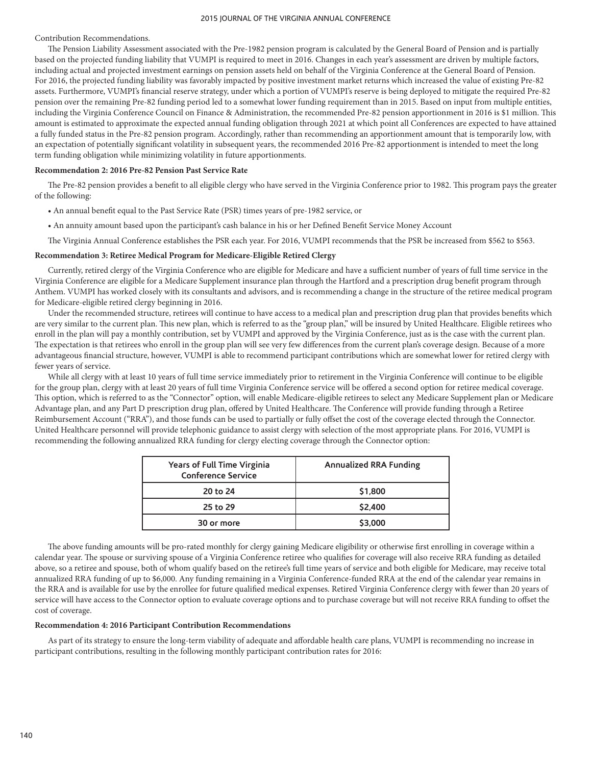Contribution Recommendations.

The Pension Liability Assessment associated with the Pre-1982 pension program is calculated by the General Board of Pension and is partially based on the projected funding liability that VUMPI is required to meet in 2016. Changes in each year's assessment are driven by multiple factors, including actual and projected investment earnings on pension assets held on behalf of the Virginia Conference at the General Board of Pension. For 2016, the projected funding liability was favorably impacted by positive investment market returns which increased the value of existing Pre-82 assets. Furthermore, VUMPI's financial reserve strategy, under which a portion of VUMPI's reserve is being deployed to mitigate the required Pre-82 pension over the remaining Pre-82 funding period led to a somewhat lower funding requirement than in 2015. Based on input from multiple entities, including the Virginia Conference Council on Finance & Administration, the recommended Pre-82 pension apportionment in 2016 is \$1 million. This amount is estimated to approximate the expected annual funding obligation through 2021 at which point all Conferences are expected to have attained a fully funded status in the Pre-82 pension program. Accordingly, rather than recommending an apportionment amount that is temporarily low, with an expectation of potentially significant volatility in subsequent years, the recommended 2016 Pre-82 apportionment is intended to meet the long term funding obligation while minimizing volatility in future apportionments.

#### **Recommendation 2: 2016 Pre-82 Pension Past Service Rate**

The Pre-82 pension provides a benefit to all eligible clergy who have served in the Virginia Conference prior to 1982. This program pays the greater of the following:

- An annual benefit equal to the Past Service Rate (PSR) times years of pre-1982 service, or
- An annuity amount based upon the participant's cash balance in his or her Defined Benefit Service Money Account

The Virginia Annual Conference establishes the PSR each year. For 2016, VUMPI recommends that the PSR be increased from \$562 to \$563.

#### **Recommendation 3: Retiree Medical Program for Medicare-Eligible Retired Clergy**

Currently, retired clergy of the Virginia Conference who are eligible for Medicare and have a sufficient number of years of full time service in the Virginia Conference are eligible for a Medicare Supplement insurance plan through the Hartford and a prescription drug benefit program through Anthem. VUMPI has worked closely with its consultants and advisors, and is recommending a change in the structure of the retiree medical program for Medicare-eligible retired clergy beginning in 2016.

Under the recommended structure, retirees will continue to have access to a medical plan and prescription drug plan that provides benefits which are very similar to the current plan. This new plan, which is referred to as the "group plan," will be insured by United Healthcare. Eligible retirees who enroll in the plan will pay a monthly contribution, set by VUMPI and approved by the Virginia Conference, just as is the case with the current plan. The expectation is that retirees who enroll in the group plan will see very few differences from the current plan's coverage design. Because of a more advantageous financial structure, however, VUMPI is able to recommend participant contributions which are somewhat lower for retired clergy with fewer years of service.

While all clergy with at least 10 years of full time service immediately prior to retirement in the Virginia Conference will continue to be eligible for the group plan, clergy with at least 20 years of full time Virginia Conference service will be offered a second option for retiree medical coverage. This option, which is referred to as the "Connector" option, will enable Medicare-eligible retirees to select any Medicare Supplement plan or Medicare Advantage plan, and any Part D prescription drug plan, offered by United Healthcare. The Conference will provide funding through a Retiree Reimbursement Account ("RRA"), and those funds can be used to partially or fully offset the cost of the coverage elected through the Connector. United Healthcare personnel will provide telephonic guidance to assist clergy with selection of the most appropriate plans. For 2016, VUMPI is recommending the following annualized RRA funding for clergy electing coverage through the Connector option:

| Years of Full Time Virginia<br><b>Conference Service</b> | <b>Annualized RRA Funding</b> |
|----------------------------------------------------------|-------------------------------|
| 20 to 24                                                 | \$1,800                       |
| 25 to 29                                                 | \$2,400                       |
| 30 or more                                               | \$3,000                       |

The above funding amounts will be pro-rated monthly for clergy gaining Medicare eligibility or otherwise first enrolling in coverage within a calendar year. The spouse or surviving spouse of a Virginia Conference retiree who qualifies for coverage will also receive RRA funding as detailed above, so a retiree and spouse, both of whom qualify based on the retiree's full time years of service and both eligible for Medicare, may receive total annualized RRA funding of up to \$6,000. Any funding remaining in a Virginia Conference-funded RRA at the end of the calendar year remains in the RRA and is available for use by the enrollee for future qualified medical expenses. Retired Virginia Conference clergy with fewer than 20 years of service will have access to the Connector option to evaluate coverage options and to purchase coverage but will not receive RRA funding to offset the cost of coverage.

### **Recommendation 4: 2016 Participant Contribution Recommendations**

As part of its strategy to ensure the long-term viability of adequate and affordable health care plans, VUMPI is recommending no increase in participant contributions, resulting in the following monthly participant contribution rates for 2016: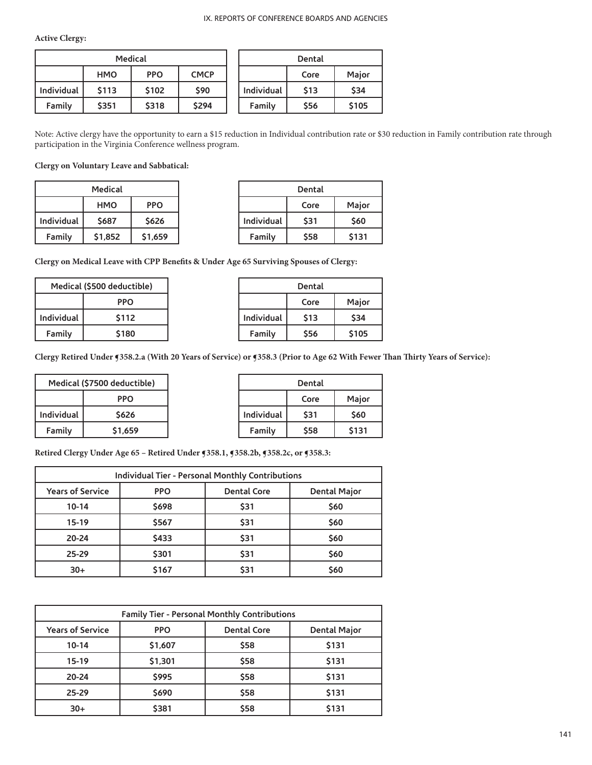**Active Clergy:**

|            |             | <b>Medical</b> |             |            | Dental     |              |
|------------|-------------|----------------|-------------|------------|------------|--------------|
|            | <b>HMO</b>  | <b>PPO</b>     | <b>CMCP</b> |            | Core       | <b>Maior</b> |
| Individual | <b>S113</b> | \$102          | <b>S90</b>  | Individual | <b>S13</b> | <b>\$34</b>  |
| Family     | \$351       | \$318          | \$294       | Family     | \$56       | \$105        |

Note: Active clergy have the opportunity to earn a \$15 reduction in Individual contribution rate or \$30 reduction in Family contribution rate through participation in the Virginia Conference wellness program.

**Clergy on Voluntary Leave and Sabbatical:**

| Medical    |            |            |
|------------|------------|------------|
|            | <b>HMO</b> | <b>PPO</b> |
| Individual | \$687      | \$626      |
| Family     | \$1,852    | \$1,659    |

| Dental     |      |       |  |
|------------|------|-------|--|
|            | Core | Major |  |
| Individual | \$31 | \$60  |  |
| Family     | \$58 | \$131 |  |

**Clergy on Medical Leave with CPP Benefits & Under Age 65 Surviving Spouses of Clergy:**

| Medical (\$500 deductible) |       |
|----------------------------|-------|
| PPO                        |       |
| <b>Individual</b>          | \$112 |
| Family                     | \$180 |

| Dental     |      |       |  |
|------------|------|-------|--|
|            | Core | Major |  |
| Individual | \$13 | \$34  |  |
| Family     | \$56 | \$105 |  |

**Clergy Retired Under ¶358.2.a (With 20 Years of Service) or ¶358.3 (Prior to Age 62 With Fewer Than Thirty Years of Service):**

| Medical (\$7500 deductible) |                    |
|-----------------------------|--------------------|
| PPO                         |                    |
| Individual                  | \$626              |
| Family                      | S <sub>1.659</sub> |

| Dental     |      |       |
|------------|------|-------|
|            | Core | Major |
| Individual | \$31 | \$60  |
| Family     | \$58 | \$131 |

**Retired Clergy Under Age 65 – Retired Under ¶358.1, ¶358.2b, ¶358.2c, or ¶358.3:**

| <b>Individual Tier - Personal Monthly Contributions</b> |             |                    |                     |
|---------------------------------------------------------|-------------|--------------------|---------------------|
| <b>Years of Service</b>                                 | <b>PPO</b>  | <b>Dental Core</b> | <b>Dental Major</b> |
| $10 - 14$                                               | <b>S698</b> | \$31               | <b>S60</b>          |
| $15-19$                                                 | \$567       | \$31               | \$60                |
| $20 - 24$                                               | \$433       | \$31               | \$60                |
| $25 - 29$                                               | \$301       | \$31               | \$60                |
| $30+$                                                   | \$167       | \$31               | \$60                |

| Family Tier - Personal Monthly Contributions |             |                    |                     |
|----------------------------------------------|-------------|--------------------|---------------------|
| <b>Years of Service</b>                      | <b>PPO</b>  | <b>Dental Core</b> | <b>Dental Major</b> |
| $10 - 14$                                    | \$1,607     | \$58               | \$131               |
| 15-19                                        | \$1,301     | \$58               | \$131               |
| $20 - 24$                                    | \$995       | \$58               | \$131               |
| $25 - 29$                                    | <b>S690</b> | \$58               | \$131               |
| $30+$                                        | \$381       | \$58               | \$131               |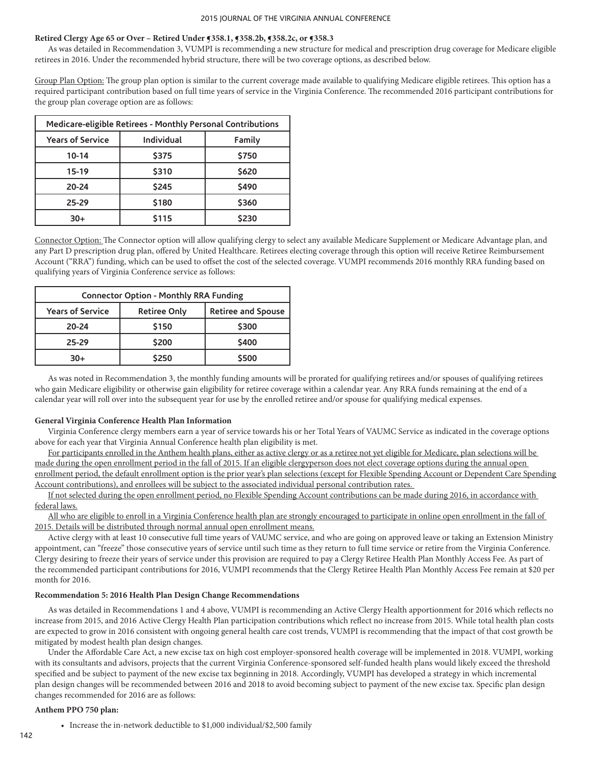# **Retired Clergy Age 65 or Over – Retired Under ¶358.1, ¶358.2b, ¶358.2c, or ¶358.3**

As was detailed in Recommendation 3, VUMPI is recommending a new structure for medical and prescription drug coverage for Medicare eligible retirees in 2016. Under the recommended hybrid structure, there will be two coverage options, as described below.

Group Plan Option: The group plan option is similar to the current coverage made available to qualifying Medicare eligible retirees. This option has a required participant contribution based on full time years of service in the Virginia Conference. The recommended 2016 participant contributions for the group plan coverage option are as follows:

| Medicare-eligible Retirees - Monthly Personal Contributions |            |        |
|-------------------------------------------------------------|------------|--------|
| <b>Years of Service</b>                                     | Individual | Family |
| $10 - 14$                                                   | \$375      | \$750  |
| $15-19$                                                     | \$310      | \$620  |
| 20-24                                                       | \$245      | \$490  |
| 25-29                                                       | \$180      | \$360  |
| $30+$                                                       | \$115      | \$230  |

Connector Option: The Connector option will allow qualifying clergy to select any available Medicare Supplement or Medicare Advantage plan, and any Part D prescription drug plan, offered by United Healthcare. Retirees electing coverage through this option will receive Retiree Reimbursement Account ("RRA") funding, which can be used to offset the cost of the selected coverage. VUMPI recommends 2016 monthly RRA funding based on qualifying years of Virginia Conference service as follows:

| <b>Connector Option - Monthly RRA Funding</b> |                     |                           |
|-----------------------------------------------|---------------------|---------------------------|
| <b>Years of Service</b>                       | <b>Retiree Only</b> | <b>Retiree and Spouse</b> |
| 20-24                                         | \$150               | \$300                     |
| 25-29                                         | \$200               | \$400                     |
| $30+$                                         | \$250               | \$500                     |

As was noted in Recommendation 3, the monthly funding amounts will be prorated for qualifying retirees and/or spouses of qualifying retirees who gain Medicare eligibility or otherwise gain eligibility for retiree coverage within a calendar year. Any RRA funds remaining at the end of a calendar year will roll over into the subsequent year for use by the enrolled retiree and/or spouse for qualifying medical expenses.

## **General Virginia Conference Health Plan Information**

Virginia Conference clergy members earn a year of service towards his or her Total Years of VAUMC Service as indicated in the coverage options above for each year that Virginia Annual Conference health plan eligibility is met.

For participants enrolled in the Anthem health plans, either as active clergy or as a retiree not yet eligible for Medicare, plan selections will be made during the open enrollment period in the fall of 2015. If an eligible clergyperson does not elect coverage options during the annual open enrollment period, the default enrollment option is the prior year's plan selections (except for Flexible Spending Account or Dependent Care Spending Account contributions), and enrollees will be subject to the associated individual personal contribution rates.

If not selected during the open enrollment period, no Flexible Spending Account contributions can be made during 2016, in accordance with federal laws.

All who are eligible to enroll in a Virginia Conference health plan are strongly encouraged to participate in online open enrollment in the fall of 2015. Details will be distributed through normal annual open enrollment means.

Active clergy with at least 10 consecutive full time years of VAUMC service, and who are going on approved leave or taking an Extension Ministry appointment, can "freeze" those consecutive years of service until such time as they return to full time service or retire from the Virginia Conference. Clergy desiring to freeze their years of service under this provision are required to pay a Clergy Retiree Health Plan Monthly Access Fee. As part of the recommended participant contributions for 2016, VUMPI recommends that the Clergy Retiree Health Plan Monthly Access Fee remain at \$20 per month for 2016.

## **Recommendation 5: 2016 Health Plan Design Change Recommendations**

As was detailed in Recommendations 1 and 4 above, VUMPI is recommending an Active Clergy Health apportionment for 2016 which reflects no increase from 2015, and 2016 Active Clergy Health Plan participation contributions which reflect no increase from 2015. While total health plan costs are expected to grow in 2016 consistent with ongoing general health care cost trends, VUMPI is recommending that the impact of that cost growth be mitigated by modest health plan design changes.

Under the Affordable Care Act, a new excise tax on high cost employer-sponsored health coverage will be implemented in 2018. VUMPI, working with its consultants and advisors, projects that the current Virginia Conference-sponsored self-funded health plans would likely exceed the threshold specified and be subject to payment of the new excise tax beginning in 2018. Accordingly, VUMPI has developed a strategy in which incremental plan design changes will be recommended between 2016 and 2018 to avoid becoming subject to payment of the new excise tax. Specific plan design changes recommended for 2016 are as follows:

## **Anthem PPO 750 plan:**

• Increase the in-network deductible to \$1,000 individual/\$2,500 family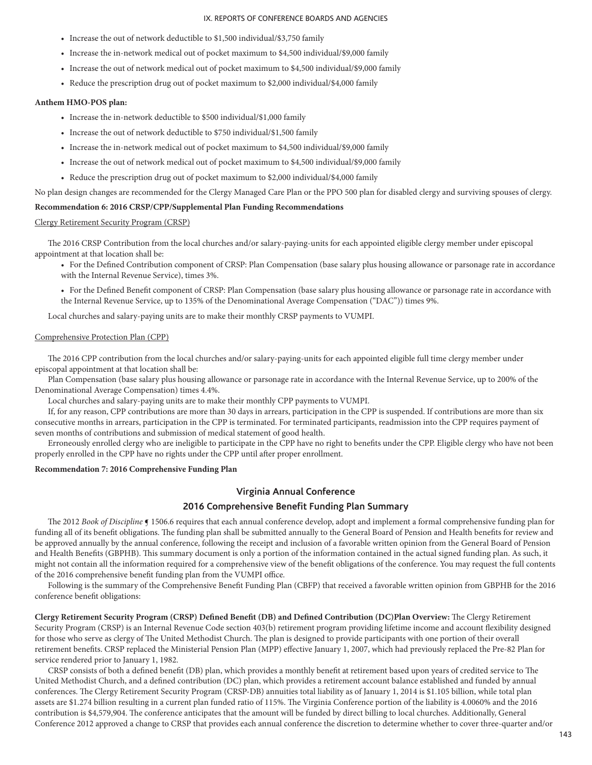- Increase the out of network deductible to \$1,500 individual/\$3,750 family
- Increase the in-network medical out of pocket maximum to \$4,500 individual/\$9,000 family
- Increase the out of network medical out of pocket maximum to \$4,500 individual/\$9,000 family
- Reduce the prescription drug out of pocket maximum to \$2,000 individual/\$4,000 family

#### **Anthem HMO-POS plan:**

- Increase the in-network deductible to \$500 individual/\$1,000 family
- Increase the out of network deductible to \$750 individual/\$1,500 family
- Increase the in-network medical out of pocket maximum to \$4,500 individual/\$9,000 family
- Increase the out of network medical out of pocket maximum to \$4,500 individual/\$9,000 family
- Reduce the prescription drug out of pocket maximum to \$2,000 individual/\$4,000 family

No plan design changes are recommended for the Clergy Managed Care Plan or the PPO 500 plan for disabled clergy and surviving spouses of clergy.

### **Recommendation 6: 2016 CRSP/CPP/Supplemental Plan Funding Recommendations**

### Clergy Retirement Security Program (CRSP)

The 2016 CRSP Contribution from the local churches and/or salary-paying-units for each appointed eligible clergy member under episcopal appointment at that location shall be:

• For the Defined Contribution component of CRSP: Plan Compensation (base salary plus housing allowance or parsonage rate in accordance with the Internal Revenue Service), times 3%.

• For the Defined Benefit component of CRSP: Plan Compensation (base salary plus housing allowance or parsonage rate in accordance with the Internal Revenue Service, up to 135% of the Denominational Average Compensation ("DAC")) times 9%.

Local churches and salary-paying units are to make their monthly CRSP payments to VUMPI.

### Comprehensive Protection Plan (CPP)

The 2016 CPP contribution from the local churches and/or salary-paying-units for each appointed eligible full time clergy member under episcopal appointment at that location shall be:

Plan Compensation (base salary plus housing allowance or parsonage rate in accordance with the Internal Revenue Service, up to 200% of the Denominational Average Compensation) times 4.4%.

Local churches and salary-paying units are to make their monthly CPP payments to VUMPI.

If, for any reason, CPP contributions are more than 30 days in arrears, participation in the CPP is suspended. If contributions are more than six consecutive months in arrears, participation in the CPP is terminated. For terminated participants, readmission into the CPP requires payment of seven months of contributions and submission of medical statement of good health.

Erroneously enrolled clergy who are ineligible to participate in the CPP have no right to benefits under the CPP. Eligible clergy who have not been properly enrolled in the CPP have no rights under the CPP until after proper enrollment.

#### **Recommendation 7: 2016 Comprehensive Funding Plan**

## **Virginia Annual Conference**

### **2016 Comprehensive Benefit Funding Plan Summary**

The 2012 *Book of Discipline* **[** 1506.6 requires that each annual conference develop, adopt and implement a formal comprehensive funding plan for funding all of its benefit obligations. The funding plan shall be submitted annually to the General Board of Pension and Health benefits for review and be approved annually by the annual conference, following the receipt and inclusion of a favorable written opinion from the General Board of Pension and Health Benefits (GBPHB). This summary document is only a portion of the information contained in the actual signed funding plan. As such, it might not contain all the information required for a comprehensive view of the benefit obligations of the conference. You may request the full contents of the 2016 comprehensive benefit funding plan from the VUMPI office.

Following is the summary of the Comprehensive Benefit Funding Plan (CBFP) that received a favorable written opinion from GBPHB for the 2016 conference benefit obligations:

**Clergy Retirement Security Program (CRSP) Defined Benefit (DB) and Defined Contribution (DC)Plan Overview:** The Clergy Retirement Security Program (CRSP) is an Internal Revenue Code section 403(b) retirement program providing lifetime income and account flexibility designed for those who serve as clergy of The United Methodist Church. The plan is designed to provide participants with one portion of their overall retirement benefits. CRSP replaced the Ministerial Pension Plan (MPP) effective January 1, 2007, which had previously replaced the Pre-82 Plan for service rendered prior to January 1, 1982.

CRSP consists of both a defined benefit (DB) plan, which provides a monthly benefit at retirement based upon years of credited service to The United Methodist Church, and a defined contribution (DC) plan, which provides a retirement account balance established and funded by annual conferences. The Clergy Retirement Security Program (CRSP-DB) annuities total liability as of January 1, 2014 is \$1.105 billion, while total plan assets are \$1.274 billion resulting in a current plan funded ratio of 115%. The Virginia Conference portion of the liability is 4.0060% and the 2016 contribution is \$4,579,904. The conference anticipates that the amount will be funded by direct billing to local churches. Additionally, General Conference 2012 approved a change to CRSP that provides each annual conference the discretion to determine whether to cover three-quarter and/or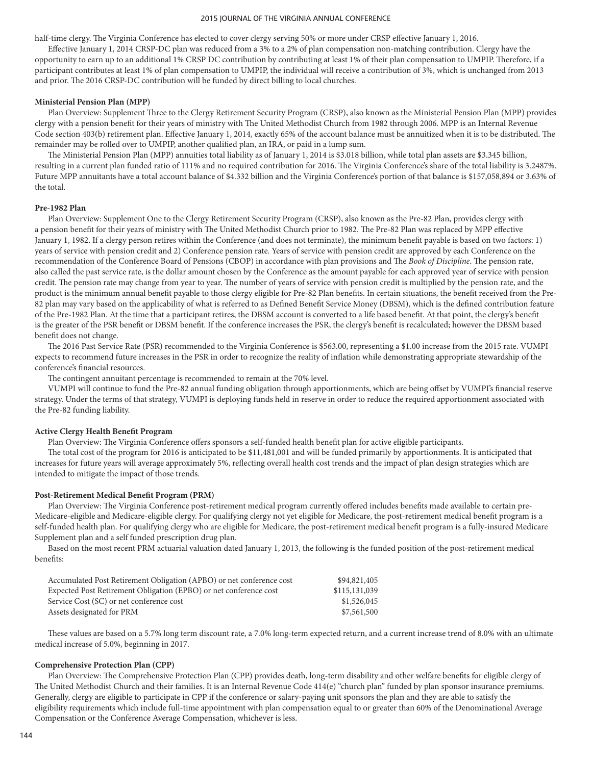half-time clergy. The Virginia Conference has elected to cover clergy serving 50% or more under CRSP effective January 1, 2016.

Effective January 1, 2014 CRSP-DC plan was reduced from a 3% to a 2% of plan compensation non-matching contribution. Clergy have the opportunity to earn up to an additional 1% CRSP DC contribution by contributing at least 1% of their plan compensation to UMPIP. Therefore, if a participant contributes at least 1% of plan compensation to UMPIP, the individual will receive a contribution of 3%, which is unchanged from 2013 and prior. The 2016 CRSP-DC contribution will be funded by direct billing to local churches.

#### **Ministerial Pension Plan (MPP)**

Plan Overview: Supplement Three to the Clergy Retirement Security Program (CRSP), also known as the Ministerial Pension Plan (MPP) provides clergy with a pension benefit for their years of ministry with The United Methodist Church from 1982 through 2006. MPP is an Internal Revenue Code section 403(b) retirement plan. Effective January 1, 2014, exactly 65% of the account balance must be annuitized when it is to be distributed. The remainder may be rolled over to UMPIP, another qualified plan, an IRA, or paid in a lump sum.

The Ministerial Pension Plan (MPP) annuities total liability as of January 1, 2014 is \$3.018 billion, while total plan assets are \$3.345 billion, resulting in a current plan funded ratio of 111% and no required contribution for 2016. The Virginia Conference's share of the total liability is 3.2487%. Future MPP annuitants have a total account balance of \$4.332 billion and the Virginia Conference's portion of that balance is \$157,058,894 or 3.63% of the total.

### **Pre-1982 Plan**

Plan Overview: Supplement One to the Clergy Retirement Security Program (CRSP), also known as the Pre-82 Plan, provides clergy with a pension benefit for their years of ministry with The United Methodist Church prior to 1982. The Pre-82 Plan was replaced by MPP effective January 1, 1982. If a clergy person retires within the Conference (and does not terminate), the minimum benefit payable is based on two factors: 1) years of service with pension credit and 2) Conference pension rate. Years of service with pension credit are approved by each Conference on the recommendation of the Conference Board of Pensions (CBOP) in accordance with plan provisions and The *Book of Discipline*. The pension rate, also called the past service rate, is the dollar amount chosen by the Conference as the amount payable for each approved year of service with pension credit. The pension rate may change from year to year. The number of years of service with pension credit is multiplied by the pension rate, and the product is the minimum annual benefit payable to those clergy eligible for Pre-82 Plan benefits. In certain situations, the benefit received from the Pre-82 plan may vary based on the applicability of what is referred to as Defined Benefit Service Money (DBSM), which is the defined contribution feature of the Pre-1982 Plan. At the time that a participant retires, the DBSM account is converted to a life based benefit. At that point, the clergy's benefit is the greater of the PSR benefit or DBSM benefit. If the conference increases the PSR, the clergy's benefit is recalculated; however the DBSM based benefit does not change.

The 2016 Past Service Rate (PSR) recommended to the Virginia Conference is \$563.00, representing a \$1.00 increase from the 2015 rate. VUMPI expects to recommend future increases in the PSR in order to recognize the reality of inflation while demonstrating appropriate stewardship of the conference's financial resources.

The contingent annuitant percentage is recommended to remain at the 70% level.

VUMPI will continue to fund the Pre-82 annual funding obligation through apportionments, which are being offset by VUMPI's financial reserve strategy. Under the terms of that strategy, VUMPI is deploying funds held in reserve in order to reduce the required apportionment associated with the Pre-82 funding liability.

### **Active Clergy Health Benefit Program**

Plan Overview: The Virginia Conference offers sponsors a self-funded health benefit plan for active eligible participants.

The total cost of the program for 2016 is anticipated to be \$11,481,001 and will be funded primarily by apportionments. It is anticipated that increases for future years will average approximately 5%, reflecting overall health cost trends and the impact of plan design strategies which are intended to mitigate the impact of those trends.

#### **Post-Retirement Medical Benefit Program (PRM)**

Plan Overview: The Virginia Conference post-retirement medical program currently offered includes benefits made available to certain pre-Medicare-eligible and Medicare-eligible clergy. For qualifying clergy not yet eligible for Medicare, the post-retirement medical benefit program is a self-funded health plan. For qualifying clergy who are eligible for Medicare, the post-retirement medical benefit program is a fully-insured Medicare Supplement plan and a self funded prescription drug plan.

Based on the most recent PRM actuarial valuation dated January 1, 2013, the following is the funded position of the post-retirement medical benefits:

| Accumulated Post Retirement Obligation (APBO) or net conference cost | \$94,821,405  |
|----------------------------------------------------------------------|---------------|
| Expected Post Retirement Obligation (EPBO) or net conference cost    | \$115,131,039 |
| Service Cost (SC) or net conference cost                             | \$1,526,045   |
| Assets designated for PRM                                            | \$7,561,500   |

These values are based on a 5.7% long term discount rate, a 7.0% long-term expected return, and a current increase trend of 8.0% with an ultimate medical increase of 5.0%, beginning in 2017.

#### **Comprehensive Protection Plan (CPP)**

Plan Overview: The Comprehensive Protection Plan (CPP) provides death, long-term disability and other welfare benefits for eligible clergy of The United Methodist Church and their families. It is an Internal Revenue Code 414(e) "church plan" funded by plan sponsor insurance premiums. Generally, clergy are eligible to participate in CPP if the conference or salary-paying unit sponsors the plan and they are able to satisfy the eligibility requirements which include full-time appointment with plan compensation equal to or greater than 60% of the Denominational Average Compensation or the Conference Average Compensation, whichever is less.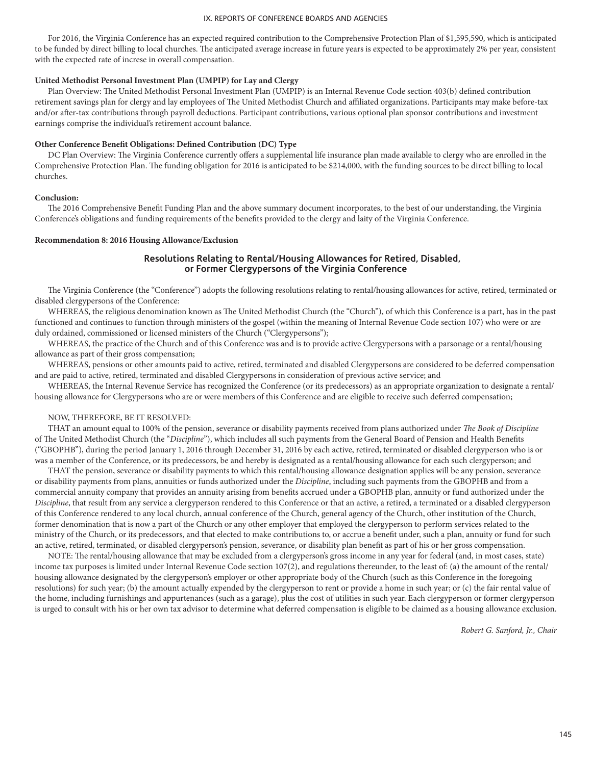For 2016, the Virginia Conference has an expected required contribution to the Comprehensive Protection Plan of \$1,595,590, which is anticipated to be funded by direct billing to local churches. The anticipated average increase in future years is expected to be approximately 2% per year, consistent with the expected rate of increse in overall compensation.

### **United Methodist Personal Investment Plan (UMPIP) for Lay and Clergy**

Plan Overview: The United Methodist Personal Investment Plan (UMPIP) is an Internal Revenue Code section 403(b) defined contribution retirement savings plan for clergy and lay employees of The United Methodist Church and affiliated organizations. Participants may make before-tax and/or after-tax contributions through payroll deductions. Participant contributions, various optional plan sponsor contributions and investment earnings comprise the individual's retirement account balance.

### **Other Conference Benefit Obligations: Defined Contribution (DC) Type**

DC Plan Overview: The Virginia Conference currently offers a supplemental life insurance plan made available to clergy who are enrolled in the Comprehensive Protection Plan. The funding obligation for 2016 is anticipated to be \$214,000, with the funding sources to be direct billing to local churches.

### **Conclusion:**

The 2016 Comprehensive Benefit Funding Plan and the above summary document incorporates, to the best of our understanding, the Virginia Conference's obligations and funding requirements of the benefits provided to the clergy and laity of the Virginia Conference.

### **Recommendation 8: 2016 Housing Allowance/Exclusion**

### **Resolutions Relating to Rental/Housing Allowances for Retired, Disabled, or Former Clergypersons of the Virginia Conference**

The Virginia Conference (the "Conference") adopts the following resolutions relating to rental/housing allowances for active, retired, terminated or disabled clergypersons of the Conference:

WHEREAS, the religious denomination known as The United Methodist Church (the "Church"), of which this Conference is a part, has in the past functioned and continues to function through ministers of the gospel (within the meaning of Internal Revenue Code section 107) who were or are duly ordained, commissioned or licensed ministers of the Church ("Clergypersons");

WHEREAS, the practice of the Church and of this Conference was and is to provide active Clergypersons with a parsonage or a rental/housing allowance as part of their gross compensation;

WHEREAS, pensions or other amounts paid to active, retired, terminated and disabled Clergypersons are considered to be deferred compensation and are paid to active, retired, terminated and disabled Clergypersons in consideration of previous active service; and

WHEREAS, the Internal Revenue Service has recognized the Conference (or its predecessors) as an appropriate organization to designate a rental/ housing allowance for Clergypersons who are or were members of this Conference and are eligible to receive such deferred compensation;

#### NOW, THEREFORE, BE IT RESOLVED:

THAT an amount equal to 100% of the pension, severance or disability payments received from plans authorized under *The Book of Discipline* of The United Methodist Church (the "*Discipline*"), which includes all such payments from the General Board of Pension and Health Benefits ("GBOPHB"), during the period January 1, 2016 through December 31, 2016 by each active, retired, terminated or disabled clergyperson who is or was a member of the Conference, or its predecessors, be and hereby is designated as a rental/housing allowance for each such clergyperson; and

THAT the pension, severance or disability payments to which this rental/housing allowance designation applies will be any pension, severance or disability payments from plans, annuities or funds authorized under the *Discipline*, including such payments from the GBOPHB and from a commercial annuity company that provides an annuity arising from benefits accrued under a GBOPHB plan, annuity or fund authorized under the *Discipline*, that result from any service a clergyperson rendered to this Conference or that an active, a retired, a terminated or a disabled clergyperson of this Conference rendered to any local church, annual conference of the Church, general agency of the Church, other institution of the Church, former denomination that is now a part of the Church or any other employer that employed the clergyperson to perform services related to the ministry of the Church, or its predecessors, and that elected to make contributions to, or accrue a benefit under, such a plan, annuity or fund for such an active, retired, terminated, or disabled clergyperson's pension, severance, or disability plan benefit as part of his or her gross compensation.

NOTE: The rental/housing allowance that may be excluded from a clergyperson's gross income in any year for federal (and, in most cases, state) income tax purposes is limited under Internal Revenue Code section 107(2), and regulations thereunder, to the least of: (a) the amount of the rental/ housing allowance designated by the clergyperson's employer or other appropriate body of the Church (such as this Conference in the foregoing resolutions) for such year; (b) the amount actually expended by the clergyperson to rent or provide a home in such year; or (c) the fair rental value of the home, including furnishings and appurtenances (such as a garage), plus the cost of utilities in such year. Each clergyperson or former clergyperson is urged to consult with his or her own tax advisor to determine what deferred compensation is eligible to be claimed as a housing allowance exclusion.

*Robert G. Sanford, Jr., Chair*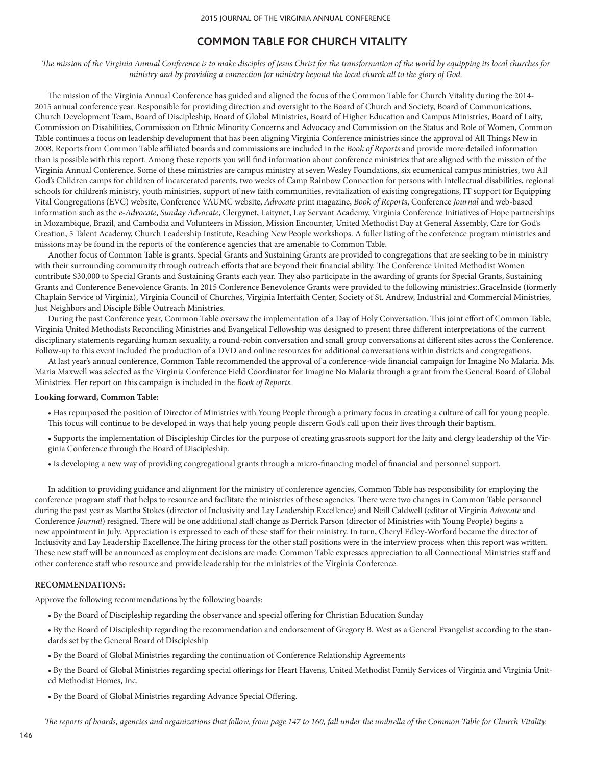# **COMMON TABLE FOR CHURCH VITALITY**

*The mission of the Virginia Annual Conference is to make disciples of Jesus Christ for the transformation of the world by equipping its local churches for ministry and by providing a connection for ministry beyond the local church all to the glory of God.*

The mission of the Virginia Annual Conference has guided and aligned the focus of the Common Table for Church Vitality during the 2014- 2015 annual conference year. Responsible for providing direction and oversight to the Board of Church and Society, Board of Communications, Church Development Team, Board of Discipleship, Board of Global Ministries, Board of Higher Education and Campus Ministries, Board of Laity, Commission on Disabilities, Commission on Ethnic Minority Concerns and Advocacy and Commission on the Status and Role of Women, Common Table continues a focus on leadership development that has been aligning Virginia Conference ministries since the approval of All Things New in 2008. Reports from Common Table affiliated boards and commissions are included in the *Book of Reports* and provide more detailed information than is possible with this report. Among these reports you will find information about conference ministries that are aligned with the mission of the Virginia Annual Conference. Some of these ministries are campus ministry at seven Wesley Foundations, six ecumenical campus ministries, two All God's Children camps for children of incarcerated parents, two weeks of Camp Rainbow Connection for persons with intellectual disabilities, regional schools for children's ministry, youth ministries, support of new faith communities, revitalization of existing congregations, IT support for Equipping Vital Congregations (EVC) website, Conference VAUMC website, *Advocate* print magazine, *Book of Report*s, Conference *Journal* and web-based information such as the *e-Advocate*, *Sunday Advocate*, Clergynet, Laitynet, Lay Servant Academy, Virginia Conference Initiatives of Hope partnerships in Mozambique, Brazil, and Cambodia and Volunteers in Mission, Mission Encounter, United Methodist Day at General Assembly, Care for God's Creation, 5 Talent Academy, Church Leadership Institute, Reaching New People workshops. A fuller listing of the conference program ministries and missions may be found in the reports of the conference agencies that are amenable to Common Table.

Another focus of Common Table is grants. Special Grants and Sustaining Grants are provided to congregations that are seeking to be in ministry with their surrounding community through outreach efforts that are beyond their financial ability. The Conference United Methodist Women contribute \$30,000 to Special Grants and Sustaining Grants each year. They also participate in the awarding of grants for Special Grants, Sustaining Grants and Conference Benevolence Grants. In 2015 Conference Benevolence Grants were provided to the following ministries:.GraceInside (formerly Chaplain Service of Virginia), Virginia Council of Churches, Virginia Interfaith Center, Society of St. Andrew, Industrial and Commercial Ministries, Just Neighbors and Disciple Bible Outreach Ministries.

During the past Conference year, Common Table oversaw the implementation of a Day of Holy Conversation. This joint effort of Common Table, Virginia United Methodists Reconciling Ministries and Evangelical Fellowship was designed to present three different interpretations of the current disciplinary statements regarding human sexuality, a round-robin conversation and small group conversations at different sites across the Conference. Follow-up to this event included the production of a DVD and online resources for additional conversations within districts and congregations.

At last year's annual conference, Common Table recommended the approval of a conference-wide financial campaign for Imagine No Malaria. Ms. Maria Maxwell was selected as the Virginia Conference Field Coordinator for Imagine No Malaria through a grant from the General Board of Global Ministries. Her report on this campaign is included in the *Book of Reports*.

### **Looking forward, Common Table:**

• Has repurposed the position of Director of Ministries with Young People through a primary focus in creating a culture of call for young people. This focus will continue to be developed in ways that help young people discern God's call upon their lives through their baptism.

• Supports the implementation of Discipleship Circles for the purpose of creating grassroots support for the laity and clergy leadership of the Virginia Conference through the Board of Discipleship.

• Is developing a new way of providing congregational grants through a micro-financing model of financial and personnel support.

In addition to providing guidance and alignment for the ministry of conference agencies, Common Table has responsibility for employing the conference program staff that helps to resource and facilitate the ministries of these agencies. There were two changes in Common Table personnel during the past year as Martha Stokes (director of Inclusivity and Lay Leadership Excellence) and Neill Caldwell (editor of Virginia *Advocate* and Conference *Journal*) resigned. There will be one additional staff change as Derrick Parson (director of Ministries with Young People) begins a new appointment in July. Appreciation is expressed to each of these staff for their ministry. In turn, Cheryl Edley-Worford became the director of Inclusivity and Lay Leadership Excellence.The hiring process for the other staff positions were in the interview process when this report was written. These new staff will be announced as employment decisions are made. Common Table expresses appreciation to all Connectional Ministries staff and other conference staff who resource and provide leadership for the ministries of the Virginia Conference.

### **RECOMMENDATIONS:**

Approve the following recommendations by the following boards:

• By the Board of Discipleship regarding the observance and special offering for Christian Education Sunday

• By the Board of Discipleship regarding the recommendation and endorsement of Gregory B. West as a General Evangelist according to the standards set by the General Board of Discipleship

• By the Board of Global Ministries regarding the continuation of Conference Relationship Agreements

• By the Board of Global Ministries regarding special offerings for Heart Havens, United Methodist Family Services of Virginia and Virginia United Methodist Homes, Inc.

• By the Board of Global Ministries regarding Advance Special Offering.

*The reports of boards, agencies and organizations that follow, from page 147 to 160, fall under the umbrella of the Common Table for Church Vitality.*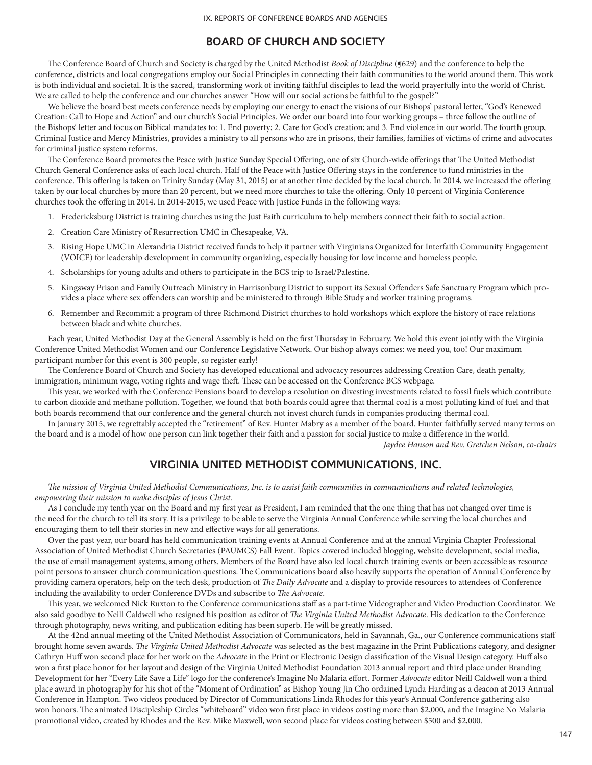# **BOARD OF CHURCH AND SOCIETY**

The Conference Board of Church and Society is charged by the United Methodist *Book of Discipline* (§629) and the conference to help the conference, districts and local congregations employ our Social Principles in connecting their faith communities to the world around them. This work is both individual and societal. It is the sacred, transforming work of inviting faithful disciples to lead the world prayerfully into the world of Christ. We are called to help the conference and our churches answer "How will our social actions be faithful to the gospel?"

We believe the board best meets conference needs by employing our energy to enact the visions of our Bishops' pastoral letter, "God's Renewed Creation: Call to Hope and Action" and our church's Social Principles. We order our board into four working groups – three follow the outline of the Bishops' letter and focus on Biblical mandates to: 1. End poverty; 2. Care for God's creation; and 3. End violence in our world. The fourth group, Criminal Justice and Mercy Ministries, provides a ministry to all persons who are in prisons, their families, families of victims of crime and advocates for criminal justice system reforms.

The Conference Board promotes the Peace with Justice Sunday Special Offering, one of six Church-wide offerings that The United Methodist Church General Conference asks of each local church. Half of the Peace with Justice Offering stays in the conference to fund ministries in the conference. This offering is taken on Trinity Sunday (May 31, 2015) or at another time decided by the local church. In 2014, we increased the offering taken by our local churches by more than 20 percent, but we need more churches to take the offering. Only 10 percent of Virginia Conference churches took the offering in 2014. In 2014-2015, we used Peace with Justice Funds in the following ways:

- 1. Fredericksburg District is training churches using the Just Faith curriculum to help members connect their faith to social action.
- 2. Creation Care Ministry of Resurrection UMC in Chesapeake, VA.
- 3. Rising Hope UMC in Alexandria District received funds to help it partner with Virginians Organized for Interfaith Community Engagement (VOICE) for leadership development in community organizing, especially housing for low income and homeless people.
- 4. Scholarships for young adults and others to participate in the BCS trip to Israel/Palestine.
- 5. Kingsway Prison and Family Outreach Ministry in Harrisonburg District to support its Sexual Offenders Safe Sanctuary Program which provides a place where sex offenders can worship and be ministered to through Bible Study and worker training programs.
- 6. Remember and Recommit: a program of three Richmond District churches to hold workshops which explore the history of race relations between black and white churches.

Each year, United Methodist Day at the General Assembly is held on the first Thursday in February. We hold this event jointly with the Virginia Conference United Methodist Women and our Conference Legislative Network. Our bishop always comes: we need you, too! Our maximum participant number for this event is 300 people, so register early!

The Conference Board of Church and Society has developed educational and advocacy resources addressing Creation Care, death penalty, immigration, minimum wage, voting rights and wage theft. These can be accessed on the Conference BCS webpage.

This year, we worked with the Conference Pensions board to develop a resolution on divesting investments related to fossil fuels which contribute to carbon dioxide and methane pollution. Together, we found that both boards could agree that thermal coal is a most polluting kind of fuel and that both boards recommend that our conference and the general church not invest church funds in companies producing thermal coal.

In January 2015, we regrettably accepted the "retirement" of Rev. Hunter Mabry as a member of the board. Hunter faithfully served many terms on the board and is a model of how one person can link together their faith and a passion for social justice to make a difference in the world.

*Jaydee Hanson and Rev. Gretchen Nelson, co-chairs*

# **VIRGINIA UNITED METHODIST COMMUNICATIONS, INC.**

*The mission of Virginia United Methodist Communications, Inc. is to assist faith communities in communications and related technologies, empowering their mission to make disciples of Jesus Christ.*

As I conclude my tenth year on the Board and my first year as President, I am reminded that the one thing that has not changed over time is the need for the church to tell its story. It is a privilege to be able to serve the Virginia Annual Conference while serving the local churches and encouraging them to tell their stories in new and effective ways for all generations.

Over the past year, our board has held communication training events at Annual Conference and at the annual Virginia Chapter Professional Association of United Methodist Church Secretaries (PAUMCS) Fall Event. Topics covered included blogging, website development, social media, the use of email management systems, among others. Members of the Board have also led local church training events or been accessible as resource point persons to answer church communication questions. The Communications board also heavily supports the operation of Annual Conference by providing camera operators, help on the tech desk, production of *The Daily Advocate* and a display to provide resources to attendees of Conference including the availability to order Conference DVDs and subscribe to *The Advocate*.

This year, we welcomed Nick Ruxton to the Conference communications staff as a part-time Videographer and Video Production Coordinator. We also said goodbye to Neill Caldwell who resigned his position as editor of *The Virginia United Methodist Advocate*. His dedication to the Conference through photography, news writing, and publication editing has been superb. He will be greatly missed.

At the 42nd annual meeting of the United Methodist Association of Communicators, held in Savannah, Ga., our Conference communications staff brought home seven awards. *The Virginia United Methodist Advocate* was selected as the best magazine in the Print Publications category, and designer Cathryn Huff won second place for her work on the *Advocate* in the Print or Electronic Design classification of the Visual Design category. Huff also won a first place honor for her layout and design of the Virginia United Methodist Foundation 2013 annual report and third place under Branding Development for her "Every Life Save a Life" logo for the conference's Imagine No Malaria effort. Former *Advocate* editor Neill Caldwell won a third place award in photography for his shot of the "Moment of Ordination" as Bishop Young Jin Cho ordained Lynda Harding as a deacon at 2013 Annual Conference in Hampton. Two videos produced by Director of Communications Linda Rhodes for this year's Annual Conference gathering also won honors. The animated Discipleship Circles "whiteboard" video won first place in videos costing more than \$2,000, and the Imagine No Malaria promotional video, created by Rhodes and the Rev. Mike Maxwell, won second place for videos costing between \$500 and \$2,000.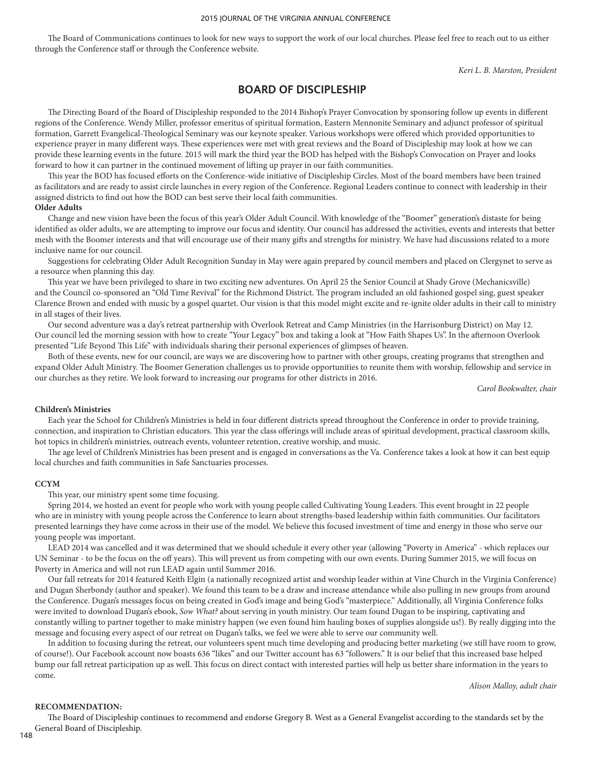The Board of Communications continues to look for new ways to support the work of our local churches. Please feel free to reach out to us either through the Conference staff or through the Conference website.

 *Keri L. B. Marston, President*

# **BOARD OF DISCIPLESHIP**

The Directing Board of the Board of Discipleship responded to the 2014 Bishop's Prayer Convocation by sponsoring follow up events in different regions of the Conference. Wendy Miller, professor emeritus of spiritual formation, Eastern Mennonite Seminary and adjunct professor of spiritual formation, Garrett Evangelical-Theological Seminary was our keynote speaker. Various workshops were offered which provided opportunities to experience prayer in many different ways. These experiences were met with great reviews and the Board of Discipleship may look at how we can provide these learning events in the future. 2015 will mark the third year the BOD has helped with the Bishop's Convocation on Prayer and looks forward to how it can partner in the continued movement of lifting up prayer in our faith communities.

This year the BOD has focused efforts on the Conference-wide initiative of Discipleship Circles. Most of the board members have been trained as facilitators and are ready to assist circle launches in every region of the Conference. Regional Leaders continue to connect with leadership in their assigned districts to find out how the BOD can best serve their local faith communities.

### **Older Adults**

Change and new vision have been the focus of this year's Older Adult Council. With knowledge of the "Boomer" generation's distaste for being identified as older adults, we are attempting to improve our focus and identity. Our council has addressed the activities, events and interests that better mesh with the Boomer interests and that will encourage use of their many gifts and strengths for ministry. We have had discussions related to a more inclusive name for our council.

Suggestions for celebrating Older Adult Recognition Sunday in May were again prepared by council members and placed on Clergynet to serve as a resource when planning this day.

This year we have been privileged to share in two exciting new adventures. On April 25 the Senior Council at Shady Grove (Mechanicsville) and the Council co-sponsored an "Old Time Revival" for the Richmond District. The program included an old fashioned gospel sing, guest speaker Clarence Brown and ended with music by a gospel quartet. Our vision is that this model might excite and re-ignite older adults in their call to ministry in all stages of their lives.

Our second adventure was a day's retreat partnership with Overlook Retreat and Camp Ministries (in the Harrisonburg District) on May 12. Our council led the morning session with how to create "Your Legacy" box and taking a look at "How Faith Shapes Us". In the afternoon Overlook presented "Life Beyond This Life" with individuals sharing their personal experiences of glimpses of heaven.

Both of these events, new for our council, are ways we are discovering how to partner with other groups, creating programs that strengthen and expand Older Adult Ministry. The Boomer Generation challenges us to provide opportunities to reunite them with worship, fellowship and service in our churches as they retire. We look forward to increasing our programs for other districts in 2016.

*Carol Bookwalter, chair*

#### **Children's Ministries**

Each year the School for Children's Ministries is held in four different districts spread throughout the Conference in order to provide training, connection, and inspiration to Christian educators. This year the class offerings will include areas of spiritual development, practical classroom skills, hot topics in children's ministries, outreach events, volunteer retention, creative worship, and music.

The age level of Children's Ministries has been present and is engaged in conversations as the Va. Conference takes a look at how it can best equip local churches and faith communities in Safe Sanctuaries processes.

#### **CCYM**

This year, our ministry spent some time focusing.

Spring 2014, we hosted an event for people who work with young people called Cultivating Young Leaders. This event brought in 22 people who are in ministry with young people across the Conference to learn about strengths-based leadership within faith communities. Our facilitators presented learnings they have come across in their use of the model. We believe this focused investment of time and energy in those who serve our young people was important.

LEAD 2014 was cancelled and it was determined that we should schedule it every other year (allowing "Poverty in America" - which replaces our UN Seminar - to be the focus on the off years). This will prevent us from competing with our own events. During Summer 2015, we will focus on Poverty in America and will not run LEAD again until Summer 2016.

Our fall retreats for 2014 featured Keith Elgin (a nationally recognized artist and worship leader within at Vine Church in the Virginia Conference) and Dugan Sherbondy (author and speaker). We found this team to be a draw and increase attendance while also pulling in new groups from around the Conference. Dugan's messages focus on being created in God's image and being God's "masterpiece." Additionally, all Virginia Conference folks were invited to download Dugan's ebook, *Sow What?* about serving in youth ministry. Our team found Dugan to be inspiring, captivating and constantly willing to partner together to make ministry happen (we even found him hauling boxes of supplies alongside us!). By really digging into the message and focusing every aspect of our retreat on Dugan's talks, we feel we were able to serve our community well.

In addition to focusing during the retreat, our volunteers spent much time developing and producing better marketing (we still have room to grow, of course!). Our Facebook account now boasts 636 "likes" and our Twitter account has 63 "followers." It is our belief that this increased base helped bump our fall retreat participation up as well. This focus on direct contact with interested parties will help us better share information in the years to come.

*Alison Malloy, adult chair*

### **RECOMMENDATION:**

The Board of Discipleship continues to recommend and endorse Gregory B. West as a General Evangelist according to the standards set by the General Board of Discipleship.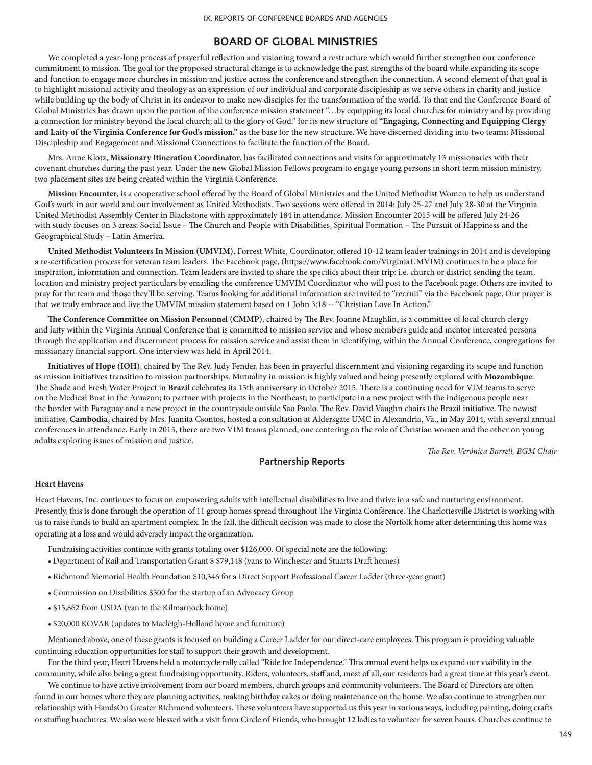# **BOARD OF GLOBAL MINISTRIES**

We completed a year-long process of prayerful reflection and visioning toward a restructure which would further strengthen our conference commitment to mission. The goal for the proposed structural change is to acknowledge the past strengths of the board while expanding its scope and function to engage more churches in mission and justice across the conference and strengthen the connection. A second element of that goal is to highlight missional activity and theology as an expression of our individual and corporate discipleship as we serve others in charity and justice while building up the body of Christ in its endeavor to make new disciples for the transformation of the world. To that end the Conference Board of Global Ministries has drawn upon the portion of the conference mission statement "…by equipping its local churches for ministry and by providing a connection for ministry beyond the local church; all to the glory of God." for its new structure of **"Engaging, Connecting and Equipping Clergy and Laity of the Virginia Conference for God's mission."** as the base for the new structure. We have discerned dividing into two teams: Missional Discipleship and Engagement and Missional Connections to facilitate the function of the Board.

Mrs. Anne Klotz, **Missionary Itineration Coordinator**, has facilitated connections and visits for approximately 13 missionaries with their covenant churches during the past year. Under the new Global Mission Fellows program to engage young persons in short term mission ministry, two placement sites are being created within the Virginia Conference.

**Mission Encounter**, is a cooperative school offered by the Board of Global Ministries and the United Methodist Women to help us understand God's work in our world and our involvement as United Methodists. Two sessions were offered in 2014: July 25-27 and July 28-30 at the Virginia United Methodist Assembly Center in Blackstone with approximately 184 in attendance. Mission Encounter 2015 will be offered July 24-26 with study focuses on 3 areas: Social Issue – The Church and People with Disabilities, Spiritual Formation – The Pursuit of Happiness and the Geographical Study – Latin America.

**United Methodist Volunteers In Mission (UMVIM)**, Forrest White, Coordinator, offered 10-12 team leader trainings in 2014 and is developing a re-certification process for veteran team leaders. The Facebook page, (https://www.facebook.com/VirginiaUMVIM) continues to be a place for inspiration, information and connection. Team leaders are invited to share the specifics about their trip: i.e. church or district sending the team, location and ministry project particulars by emailing the conference UMVIM Coordinator who will post to the Facebook page. Others are invited to pray for the team and those they'll be serving. Teams looking for additional information are invited to "recruit" via the Facebook page. Our prayer is that we truly embrace and live the UMVIM mission statement based on 1 John 3:18 -- "Christian Love In Action."

**The Conference Committee on Mission Personnel (CMMP)**, chaired by The Rev. Joanne Maughlin, is a committee of local church clergy and laity within the Virginia Annual Conference that is committed to mission service and whose members guide and mentor interested persons through the application and discernment process for mission service and assist them in identifying, within the Annual Conference, congregations for missionary financial support. One interview was held in April 2014.

**Initiatives of Hope (IOH)**, chaired by The Rev. Judy Fender, has been in prayerful discernment and visioning regarding its scope and function as mission initiatives transition to mission partnerships. Mutuality in mission is highly valued and being presently explored with **Mozambique**. The Shade and Fresh Water Project in **Brazil** celebrates its 15th anniversary in October 2015. There is a continuing need for VIM teams to serve on the Medical Boat in the Amazon; to partner with projects in the Northeast; to participate in a new project with the indigenous people near the border with Paraguay and a new project in the countryside outside Sao Paolo. The Rev. David Vaughn chairs the Brazil initiative. The newest initiative, **Cambodia**, chaired by Mrs. Juanita Csontos, hosted a consultation at Aldersgate UMC in Alexandria, Va., in May 2014, with several annual conferences in attendance. Early in 2015, there are two VIM teams planned, one centering on the role of Christian women and the other on young adults exploring issues of mission and justice.

*The Rev. Verónica Barrell, BGM Chair*

## **Partnership Reports**

#### **Heart Havens**

Heart Havens, Inc. continues to focus on empowering adults with intellectual disabilities to live and thrive in a safe and nurturing environment. Presently, this is done through the operation of 11 group homes spread throughout The Virginia Conference. The Charlottesville District is working with us to raise funds to build an apartment complex. In the fall, the difficult decision was made to close the Norfolk home after determining this home was operating at a loss and would adversely impact the organization.

Fundraising activities continue with grants totaling over \$126,000. Of special note are the following:

- Department of Rail and Transportation Grant \$ \$79,148 (vans to Winchester and Stuarts Draft homes)
- Richmond Memorial Health Foundation \$10,346 for a Direct Support Professional Career Ladder (three-year grant)
- Commission on Disabilities \$500 for the startup of an Advocacy Group
- \$15,862 from USDA (van to the Kilmarnock home)
- \$20,000 KOVAR (updates to Macleigh-Holland home and furniture)

Mentioned above, one of these grants is focused on building a Career Ladder for our direct-care employees. This program is providing valuable continuing education opportunities for staff to support their growth and development.

For the third year, Heart Havens held a motorcycle rally called "Ride for Independence." This annual event helps us expand our visibility in the community, while also being a great fundraising opportunity. Riders, volunteers, staff and, most of all, our residents had a great time at this year's event.

We continue to have active involvement from our board members, church groups and community volunteers. The Board of Directors are often found in our homes where they are planning activities, making birthday cakes or doing maintenance on the home. We also continue to strengthen our relationship with HandsOn Greater Richmond volunteers. These volunteers have supported us this year in various ways, including painting, doing crafts or stuffing brochures. We also were blessed with a visit from Circle of Friends, who brought 12 ladies to volunteer for seven hours. Churches continue to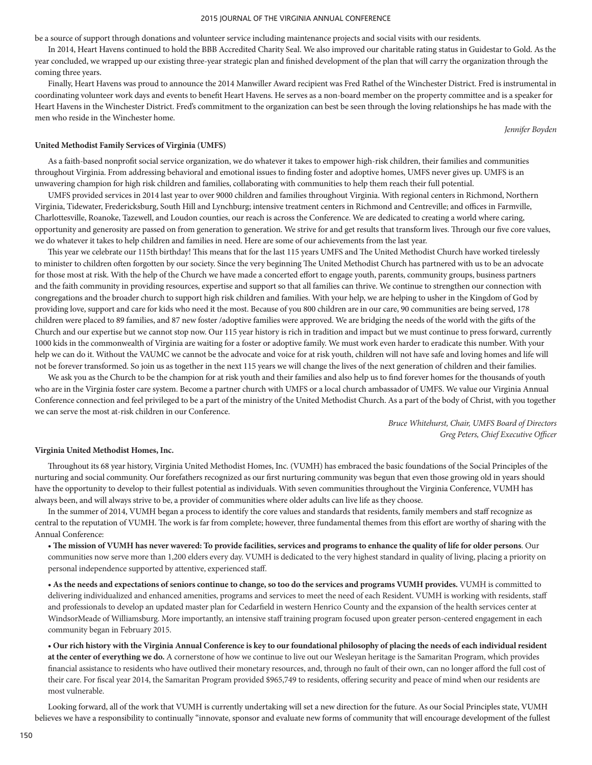be a source of support through donations and volunteer service including maintenance projects and social visits with our residents.

In 2014, Heart Havens continued to hold the BBB Accredited Charity Seal. We also improved our charitable rating status in Guidestar to Gold. As the year concluded, we wrapped up our existing three-year strategic plan and finished development of the plan that will carry the organization through the coming three years.

Finally, Heart Havens was proud to announce the 2014 Manwiller Award recipient was Fred Rathel of the Winchester District. Fred is instrumental in coordinating volunteer work days and events to benefit Heart Havens. He serves as a non-board member on the property committee and is a speaker for Heart Havens in the Winchester District. Fred's commitment to the organization can best be seen through the loving relationships he has made with the men who reside in the Winchester home.

*Jennifer Boyden*

#### **United Methodist Family Services of Virginia (UMFS)**

As a faith-based nonprofit social service organization, we do whatever it takes to empower high-risk children, their families and communities throughout Virginia. From addressing behavioral and emotional issues to finding foster and adoptive homes, UMFS never gives up. UMFS is an unwavering champion for high risk children and families, collaborating with communities to help them reach their full potential.

UMFS provided services in 2014 last year to over 9000 children and families throughout Virginia. With regional centers in Richmond, Northern Virginia, Tidewater, Fredericksburg, South Hill and Lynchburg; intensive treatment centers in Richmond and Centreville; and offices in Farmville, Charlottesville, Roanoke, Tazewell, and Loudon counties, our reach is across the Conference. We are dedicated to creating a world where caring, opportunity and generosity are passed on from generation to generation. We strive for and get results that transform lives. Through our five core values, we do whatever it takes to help children and families in need. Here are some of our achievements from the last year.

This year we celebrate our 115th birthday! This means that for the last 115 years UMFS and The United Methodist Church have worked tirelessly to minister to children often forgotten by our society. Since the very beginning The United Methodist Church has partnered with us to be an advocate for those most at risk. With the help of the Church we have made a concerted effort to engage youth, parents, community groups, business partners and the faith community in providing resources, expertise and support so that all families can thrive. We continue to strengthen our connection with congregations and the broader church to support high risk children and families. With your help, we are helping to usher in the Kingdom of God by providing love, support and care for kids who need it the most. Because of you 800 children are in our care, 90 communities are being served, 178 children were placed to 89 families, and 87 new foster /adoptive families were approved. We are bridging the needs of the world with the gifts of the Church and our expertise but we cannot stop now. Our 115 year history is rich in tradition and impact but we must continue to press forward, currently 1000 kids in the commonwealth of Virginia are waiting for a foster or adoptive family. We must work even harder to eradicate this number. With your help we can do it. Without the VAUMC we cannot be the advocate and voice for at risk youth, children will not have safe and loving homes and life will not be forever transformed. So join us as together in the next 115 years we will change the lives of the next generation of children and their families.

We ask you as the Church to be the champion for at risk youth and their families and also help us to find forever homes for the thousands of youth who are in the Virginia foster care system. Become a partner church with UMFS or a local church ambassador of UMFS. We value our Virginia Annual Conference connection and feel privileged to be a part of the ministry of the United Methodist Church. As a part of the body of Christ, with you together we can serve the most at-risk children in our Conference.

> *Bruce Whitehurst, Chair, UMFS Board of Directors Greg Peters, Chief Executive Officer*

#### **Virginia United Methodist Homes, Inc.**

Throughout its 68 year history, Virginia United Methodist Homes, Inc. (VUMH) has embraced the basic foundations of the Social Principles of the nurturing and social community. Our forefathers recognized as our first nurturing community was begun that even those growing old in years should have the opportunity to develop to their fullest potential as individuals. With seven communities throughout the Virginia Conference, VUMH has always been, and will always strive to be, a provider of communities where older adults can live life as they choose.

In the summer of 2014, VUMH began a process to identify the core values and standards that residents, family members and staff recognize as central to the reputation of VUMH. The work is far from complete; however, three fundamental themes from this effort are worthy of sharing with the Annual Conference:

**• The mission of VUMH has never wavered: To provide facilities, services and programs to enhance the quality of life for older persons**. Our communities now serve more than 1,200 elders every day. VUMH is dedicated to the very highest standard in quality of living, placing a priority on personal independence supported by attentive, experienced staff.

**• As the needs and expectations of seniors continue to change, so too do the services and programs VUMH provides.** VUMH is committed to delivering individualized and enhanced amenities, programs and services to meet the need of each Resident. VUMH is working with residents, staff and professionals to develop an updated master plan for Cedarfield in western Henrico County and the expansion of the health services center at WindsorMeade of Williamsburg. More importantly, an intensive staff training program focused upon greater person-centered engagement in each community began in February 2015.

**• Our rich history with the Virginia Annual Conference is key to our foundational philosophy of placing the needs of each individual resident at the center of everything we do.** A cornerstone of how we continue to live out our Wesleyan heritage is the Samaritan Program, which provides financial assistance to residents who have outlived their monetary resources, and, through no fault of their own, can no longer afford the full cost of their care. For fiscal year 2014, the Samaritan Program provided \$965,749 to residents, offering security and peace of mind when our residents are most vulnerable.

Looking forward, all of the work that VUMH is currently undertaking will set a new direction for the future. As our Social Principles state, VUMH believes we have a responsibility to continually "innovate, sponsor and evaluate new forms of community that will encourage development of the fullest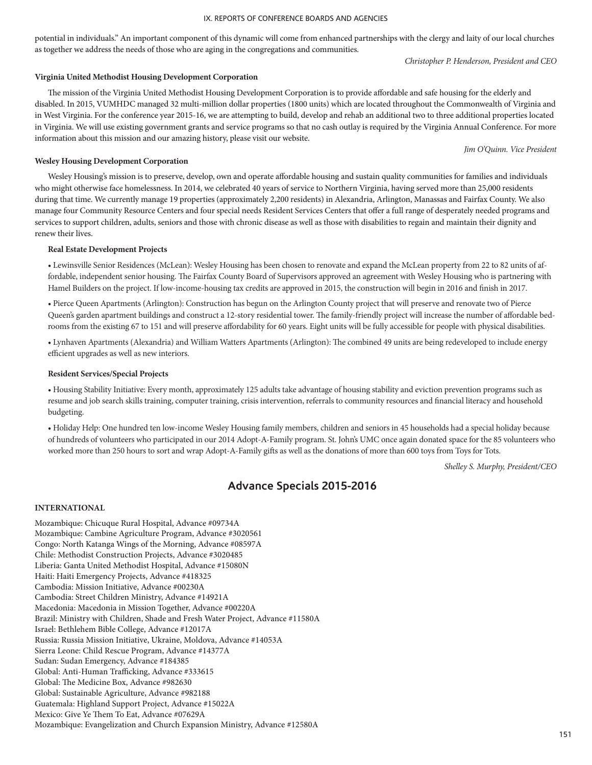potential in individuals." An important component of this dynamic will come from enhanced partnerships with the clergy and laity of our local churches as together we address the needs of those who are aging in the congregations and communities.

*Christopher P. Henderson, President and CEO*

### **Virginia United Methodist Housing Development Corporation**

The mission of the Virginia United Methodist Housing Development Corporation is to provide affordable and safe housing for the elderly and disabled. In 2015, VUMHDC managed 32 multi-million dollar properties (1800 units) which are located throughout the Commonwealth of Virginia and in West Virginia. For the conference year 2015-16, we are attempting to build, develop and rehab an additional two to three additional properties located in Virginia. We will use existing government grants and service programs so that no cash outlay is required by the Virginia Annual Conference. For more information about this mission and our amazing history, please visit our website.

*Jim O'Quinn. Vice President*

### **Wesley Housing Development Corporation**

Wesley Housing's mission is to preserve, develop, own and operate affordable housing and sustain quality communities for families and individuals who might otherwise face homelessness. In 2014, we celebrated 40 years of service to Northern Virginia, having served more than 25,000 residents during that time. We currently manage 19 properties (approximately 2,200 residents) in Alexandria, Arlington, Manassas and Fairfax County. We also manage four Community Resource Centers and four special needs Resident Services Centers that offer a full range of desperately needed programs and services to support children, adults, seniors and those with chronic disease as well as those with disabilities to regain and maintain their dignity and renew their lives.

### **Real Estate Development Projects**

• Lewinsville Senior Residences (McLean): Wesley Housing has been chosen to renovate and expand the McLean property from 22 to 82 units of affordable, independent senior housing. The Fairfax County Board of Supervisors approved an agreement with Wesley Housing who is partnering with Hamel Builders on the project. If low-income-housing tax credits are approved in 2015, the construction will begin in 2016 and finish in 2017.

• Pierce Queen Apartments (Arlington): Construction has begun on the Arlington County project that will preserve and renovate two of Pierce Queen's garden apartment buildings and construct a 12-story residential tower. The family-friendly project will increase the number of affordable bedrooms from the existing 67 to 151 and will preserve affordability for 60 years. Eight units will be fully accessible for people with physical disabilities.

• Lynhaven Apartments (Alexandria) and William Watters Apartments (Arlington): The combined 49 units are being redeveloped to include energy efficient upgrades as well as new interiors.

### **Resident Services/Special Projects**

• Housing Stability Initiative: Every month, approximately 125 adults take advantage of housing stability and eviction prevention programs such as resume and job search skills training, computer training, crisis intervention, referrals to community resources and financial literacy and household budgeting.

• Holiday Help: One hundred ten low-income Wesley Housing family members, children and seniors in 45 households had a special holiday because of hundreds of volunteers who participated in our 2014 Adopt-A-Family program. St. John's UMC once again donated space for the 85 volunteers who worked more than 250 hours to sort and wrap Adopt-A-Family gifts as well as the donations of more than 600 toys from Toys for Tots.

*Shelley S. Murphy, President/CEO*

# **Advance Specials 2015-2016**

### **INTERNATIONAL**

Mozambique: Chicuque Rural Hospital, Advance #09734A Mozambique: Cambine Agriculture Program, Advance #3020561 Congo: North Katanga Wings of the Morning, Advance #08597A Chile: Methodist Construction Projects, Advance #3020485 Liberia: Ganta United Methodist Hospital, Advance #15080N Haiti: Haiti Emergency Projects, Advance #418325 Cambodia: Mission Initiative, Advance #00230A Cambodia: Street Children Ministry, Advance #14921A Macedonia: Macedonia in Mission Together, Advance #00220A Brazil: Ministry with Children, Shade and Fresh Water Project, Advance #11580A Israel: Bethlehem Bible College, Advance #12017A Russia: Russia Mission Initiative, Ukraine, Moldova, Advance #14053A Sierra Leone: Child Rescue Program, Advance #14377A Sudan: Sudan Emergency, Advance #184385 Global: Anti-Human Trafficking, Advance #333615 Global: The Medicine Box, Advance #982630 Global: Sustainable Agriculture, Advance #982188 Guatemala: Highland Support Project, Advance #15022A Mexico: Give Ye Them To Eat, Advance #07629A Mozambique: Evangelization and Church Expansion Ministry, Advance #12580A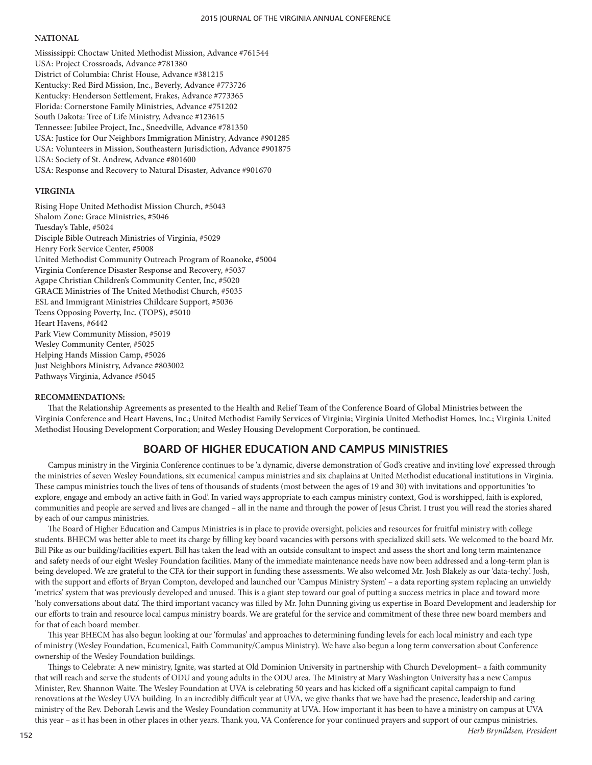### **NATIONAL**

Mississippi: Choctaw United Methodist Mission, Advance #761544 USA: Project Crossroads, Advance #781380 District of Columbia: Christ House, Advance #381215 Kentucky: Red Bird Mission, Inc., Beverly, Advance #773726 Kentucky: Henderson Settlement, Frakes, Advance #773365 Florida: Cornerstone Family Ministries, Advance #751202 South Dakota: Tree of Life Ministry, Advance #123615 Tennessee: Jubilee Project, Inc., Sneedville, Advance #781350 USA: Justice for Our Neighbors Immigration Ministry, Advance #901285 USA: Volunteers in Mission, Southeastern Jurisdiction, Advance #901875 USA: Society of St. Andrew, Advance #801600 USA: Response and Recovery to Natural Disaster, Advance #901670

### **VIRGINIA**

Rising Hope United Methodist Mission Church, #5043 Shalom Zone: Grace Ministries, #5046 Tuesday's Table, #5024 Disciple Bible Outreach Ministries of Virginia, #5029 Henry Fork Service Center, #5008 United Methodist Community Outreach Program of Roanoke, #5004 Virginia Conference Disaster Response and Recovery, #5037 Agape Christian Children's Community Center, Inc, #5020 GRACE Ministries of The United Methodist Church, #5035 ESL and Immigrant Ministries Childcare Support, #5036 Teens Opposing Poverty, Inc. (TOPS), #5010 Heart Havens, #6442 Park View Community Mission, #5019 Wesley Community Center, #5025 Helping Hands Mission Camp, #5026 Just Neighbors Ministry, Advance #803002 Pathways Virginia, Advance #5045

### **RECOMMENDATIONS:**

That the Relationship Agreements as presented to the Health and Relief Team of the Conference Board of Global Ministries between the Virginia Conference and Heart Havens, Inc.; United Methodist Family Services of Virginia; Virginia United Methodist Homes, Inc.; Virginia United Methodist Housing Development Corporation; and Wesley Housing Development Corporation, be continued.

# **BOARD OF HIGHER EDUCATION AND CAMPUS MINISTRIES**

Campus ministry in the Virginia Conference continues to be 'a dynamic, diverse demonstration of God's creative and inviting love' expressed through the ministries of seven Wesley Foundations, six ecumenical campus ministries and six chaplains at United Methodist educational institutions in Virginia. These campus ministries touch the lives of tens of thousands of students (most between the ages of 19 and 30) with invitations and opportunities 'to explore, engage and embody an active faith in God'. In varied ways appropriate to each campus ministry context, God is worshipped, faith is explored, communities and people are served and lives are changed – all in the name and through the power of Jesus Christ. I trust you will read the stories shared by each of our campus ministries.

The Board of Higher Education and Campus Ministries is in place to provide oversight, policies and resources for fruitful ministry with college students. BHECM was better able to meet its charge by filling key board vacancies with persons with specialized skill sets. We welcomed to the board Mr. Bill Pike as our building/facilities expert. Bill has taken the lead with an outside consultant to inspect and assess the short and long term maintenance and safety needs of our eight Wesley Foundation facilities. Many of the immediate maintenance needs have now been addressed and a long-term plan is being developed. We are grateful to the CFA for their support in funding these assessments. We also welcomed Mr. Josh Blakely as our 'data-techy'. Josh, with the support and efforts of Bryan Compton, developed and launched our 'Campus Ministry System' – a data reporting system replacing an unwieldy 'metrics' system that was previously developed and unused. This is a giant step toward our goal of putting a success metrics in place and toward more 'holy conversations about data'. The third important vacancy was filled by Mr. John Dunning giving us expertise in Board Development and leadership for our efforts to train and resource local campus ministry boards. We are grateful for the service and commitment of these three new board members and for that of each board member.

This year BHECM has also begun looking at our 'formulas' and approaches to determining funding levels for each local ministry and each type of ministry (Wesley Foundation, Ecumenical, Faith Community/Campus Ministry). We have also begun a long term conversation about Conference ownership of the Wesley Foundation buildings.

Things to Celebrate: A new ministry, Ignite, was started at Old Dominion University in partnership with Church Development– a faith community that will reach and serve the students of ODU and young adults in the ODU area. The Ministry at Mary Washington University has a new Campus Minister, Rev. Shannon Waite. The Wesley Foundation at UVA is celebrating 50 years and has kicked off a significant capital campaign to fund renovations at the Wesley UVA building. In an incredibly difficult year at UVA, we give thanks that we have had the presence, leadership and caring ministry of the Rev. Deborah Lewis and the Wesley Foundation community at UVA. How important it has been to have a ministry on campus at UVA this year – as it has been in other places in other years. Thank you, VA Conference for your continued prayers and support of our campus ministries.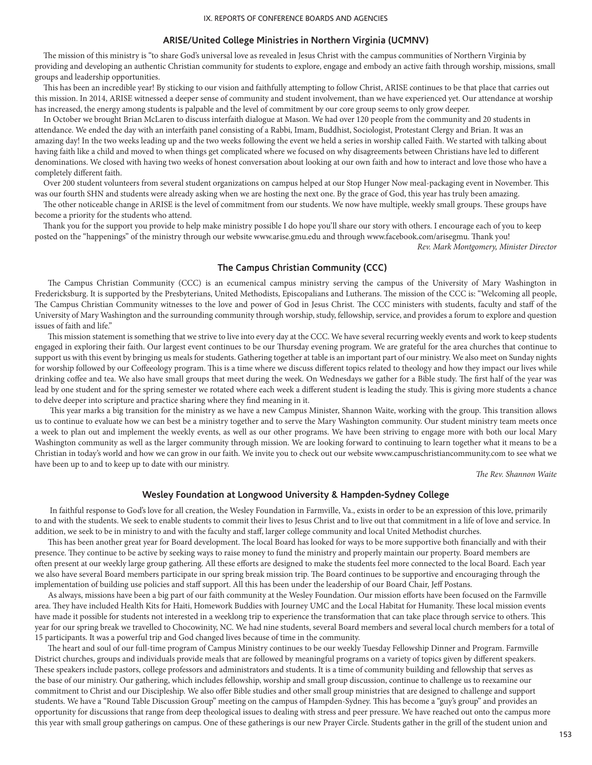### **ARISE/United College Ministries in Northern Virginia (UCMNV)**

The mission of this ministry is "to share God's universal love as revealed in Jesus Christ with the campus communities of Northern Virginia by providing and developing an authentic Christian community for students to explore, engage and embody an active faith through worship, missions, small groups and leadership opportunities.

This has been an incredible year! By sticking to our vision and faithfully attempting to follow Christ, ARISE continues to be that place that carries out this mission. In 2014, ARISE witnessed a deeper sense of community and student involvement, than we have experienced yet. Our attendance at worship has increased, the energy among students is palpable and the level of commitment by our core group seems to only grow deeper.

In October we brought Brian McLaren to discuss interfaith dialogue at Mason. We had over 120 people from the community and 20 students in attendance. We ended the day with an interfaith panel consisting of a Rabbi, Imam, Buddhist, Sociologist, Protestant Clergy and Brian. It was an amazing day! In the two weeks leading up and the two weeks following the event we held a series in worship called Faith. We started with talking about having faith like a child and moved to when things get complicated where we focused on why disagreements between Christians have led to different denominations. We closed with having two weeks of honest conversation about looking at our own faith and how to interact and love those who have a completely different faith.

Over 200 student volunteers from several student organizations on campus helped at our Stop Hunger Now meal-packaging event in November. This was our fourth SHN and students were already asking when we are hosting the next one. By the grace of God, this year has truly been amazing.

The other noticeable change in ARISE is the level of commitment from our students. We now have multiple, weekly small groups. These groups have become a priority for the students who attend.

Thank you for the support you provide to help make ministry possible I do hope you'll share our story with others. I encourage each of you to keep posted on the "happenings" of the ministry through our website www.arise.gmu.edu and through www.facebook.com/arisegmu. Thank you! *Rev. Mark Montgomery, Minister Director*

### **The Campus Christian Community (CCC)**

The Campus Christian Community (CCC) is an ecumenical campus ministry serving the campus of the University of Mary Washington in Fredericksburg. It is supported by the Presbyterians, United Methodists, Episcopalians and Lutherans. The mission of the CCC is: "Welcoming all people, The Campus Christian Community witnesses to the love and power of God in Jesus Christ. The CCC ministers with students, faculty and staff of the University of Mary Washington and the surrounding community through worship, study, fellowship, service, and provides a forum to explore and question issues of faith and life."

This mission statement is something that we strive to live into every day at the CCC. We have several recurring weekly events and work to keep students engaged in exploring their faith. Our largest event continues to be our Thursday evening program. We are grateful for the area churches that continue to support us with this event by bringing us meals for students. Gathering together at table is an important part of our ministry. We also meet on Sunday nights for worship followed by our Coffeeology program. This is a time where we discuss different topics related to theology and how they impact our lives while drinking coffee and tea. We also have small groups that meet during the week. On Wednesdays we gather for a Bible study. The first half of the year was lead by one student and for the spring semester we rotated where each week a different student is leading the study. This is giving more students a chance to delve deeper into scripture and practice sharing where they find meaning in it.

 This year marks a big transition for the ministry as we have a new Campus Minister, Shannon Waite, working with the group. This transition allows us to continue to evaluate how we can best be a ministry together and to serve the Mary Washington community. Our student ministry team meets once a week to plan out and implement the weekly events, as well as our other programs. We have been striving to engage more with both our local Mary Washington community as well as the larger community through mission. We are looking forward to continuing to learn together what it means to be a Christian in today's world and how we can grow in our faith. We invite you to check out our website www.campuschristiancommunity.com to see what we have been up to and to keep up to date with our ministry.

*The Rev. Shannon Waite*

### **Wesley Foundation at Longwood University & Hampden-Sydney College**

In faithful response to God's love for all creation, the Wesley Foundation in Farmville, Va., exists in order to be an expression of this love, primarily to and with the students. We seek to enable students to commit their lives to Jesus Christ and to live out that commitment in a life of love and service. In addition, we seek to be in ministry to and with the faculty and staff, larger college community and local United Methodist churches.

This has been another great year for Board development. The local Board has looked for ways to be more supportive both financially and with their presence. They continue to be active by seeking ways to raise money to fund the ministry and properly maintain our property. Board members are often present at our weekly large group gathering. All these efforts are designed to make the students feel more connected to the local Board. Each year we also have several Board members participate in our spring break mission trip. The Board continues to be supportive and encouraging through the implementation of building use policies and staff support. All this has been under the leadership of our Board Chair, Jeff Postans.

As always, missions have been a big part of our faith community at the Wesley Foundation. Our mission efforts have been focused on the Farmville area. They have included Health Kits for Haiti, Homework Buddies with Journey UMC and the Local Habitat for Humanity. These local mission events have made it possible for students not interested in a weeklong trip to experience the transformation that can take place through service to others. This year for our spring break we travelled to Chocowinity, NC. We had nine students, several Board members and several local church members for a total of 15 participants. It was a powerful trip and God changed lives because of time in the community.

The heart and soul of our full-time program of Campus Ministry continues to be our weekly Tuesday Fellowship Dinner and Program. Farmville District churches, groups and individuals provide meals that are followed by meaningful programs on a variety of topics given by different speakers. These speakers include pastors, college professors and administrators and students. It is a time of community building and fellowship that serves as the base of our ministry. Our gathering, which includes fellowship, worship and small group discussion, continue to challenge us to reexamine our commitment to Christ and our Discipleship. We also offer Bible studies and other small group ministries that are designed to challenge and support students. We have a "Round Table Discussion Group" meeting on the campus of Hampden-Sydney. This has become a "guy's group" and provides an opportunity for discussions that range from deep theological issues to dealing with stress and peer pressure. We have reached out onto the campus more this year with small group gatherings on campus. One of these gatherings is our new Prayer Circle. Students gather in the grill of the student union and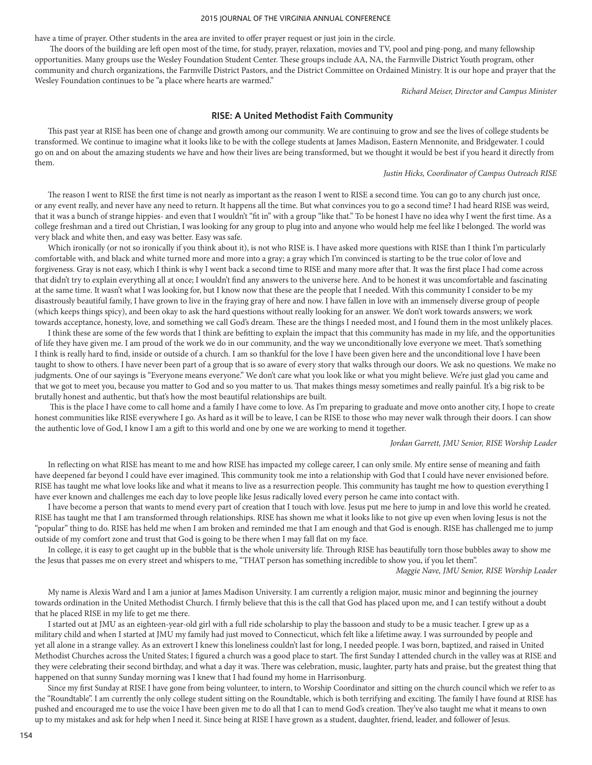have a time of prayer. Other students in the area are invited to offer prayer request or just join in the circle.

 The doors of the building are left open most of the time, for study, prayer, relaxation, movies and TV, pool and ping-pong, and many fellowship opportunities. Many groups use the Wesley Foundation Student Center. These groups include AA, NA, the Farmville District Youth program, other community and church organizations, the Farmville District Pastors, and the District Committee on Ordained Ministry. It is our hope and prayer that the Wesley Foundation continues to be "a place where hearts are warmed."

*Richard Meiser, Director and Campus Minister*

### **RISE: A United Methodist Faith Community**

This past year at RISE has been one of change and growth among our community. We are continuing to grow and see the lives of college students be transformed. We continue to imagine what it looks like to be with the college students at James Madison, Eastern Mennonite, and Bridgewater. I could go on and on about the amazing students we have and how their lives are being transformed, but we thought it would be best if you heard it directly from them.

#### *Justin Hicks, Coordinator of Campus Outreach RISE*

The reason I went to RISE the first time is not nearly as important as the reason I went to RISE a second time. You can go to any church just once, or any event really, and never have any need to return. It happens all the time. But what convinces you to go a second time? I had heard RISE was weird, that it was a bunch of strange hippies- and even that I wouldn't "fit in" with a group "like that." To be honest I have no idea why I went the first time. As a college freshman and a tired out Christian, I was looking for any group to plug into and anyone who would help me feel like I belonged. The world was very black and white then, and easy was better. Easy was safe.

Which ironically (or not so ironically if you think about it), is not who RISE is. I have asked more questions with RISE than I think I'm particularly comfortable with, and black and white turned more and more into a gray; a gray which I'm convinced is starting to be the true color of love and forgiveness. Gray is not easy, which I think is why I went back a second time to RISE and many more after that. It was the first place I had come across that didn't try to explain everything all at once; I wouldn't find any answers to the universe here. And to be honest it was uncomfortable and fascinating at the same time. It wasn't what I was looking for, but I know now that these are the people that I needed. With this community I consider to be my disastrously beautiful family, I have grown to live in the fraying gray of here and now. I have fallen in love with an immensely diverse group of people (which keeps things spicy), and been okay to ask the hard questions without really looking for an answer. We don't work towards answers; we work towards acceptance, honesty, love, and something we call God's dream. These are the things I needed most, and I found them in the most unlikely places.

I think these are some of the few words that I think are befitting to explain the impact that this community has made in my life, and the opportunities of life they have given me. I am proud of the work we do in our community, and the way we unconditionally love everyone we meet. That's something I think is really hard to find, inside or outside of a church. I am so thankful for the love I have been given here and the unconditional love I have been taught to show to others. I have never been part of a group that is so aware of every story that walks through our doors. We ask no questions. We make no judgments. One of our sayings is "Everyone means everyone." We don't care what you look like or what you might believe. We're just glad you came and that we got to meet you, because you matter to God and so you matter to us. That makes things messy sometimes and really painful. It's a big risk to be brutally honest and authentic, but that's how the most beautiful relationships are built.

 This is the place I have come to call home and a family I have come to love. As I'm preparing to graduate and move onto another city, I hope to create honest communities like RISE everywhere I go. As hard as it will be to leave, I can be RISE to those who may never walk through their doors. I can show the authentic love of God, I know I am a gift to this world and one by one we are working to mend it together.

### *Jordan Garrett, JMU Senior, RISE Worship Leader*

In reflecting on what RISE has meant to me and how RISE has impacted my college career, I can only smile. My entire sense of meaning and faith have deepened far beyond I could have ever imagined. This community took me into a relationship with God that I could have never envisioned before. RISE has taught me what love looks like and what it means to live as a resurrection people. This community has taught me how to question everything I have ever known and challenges me each day to love people like Jesus radically loved every person he came into contact with.

I have become a person that wants to mend every part of creation that I touch with love. Jesus put me here to jump in and love this world he created. RISE has taught me that I am transformed through relationships. RISE has shown me what it looks like to not give up even when loving Jesus is not the "popular" thing to do. RISE has held me when I am broken and reminded me that I am enough and that God is enough. RISE has challenged me to jump outside of my comfort zone and trust that God is going to be there when I may fall flat on my face.

In college, it is easy to get caught up in the bubble that is the whole university life. Through RISE has beautifully torn those bubbles away to show me the Jesus that passes me on every street and whispers to me, "THAT person has something incredible to show you, if you let them".

*Maggie Nave, JMU Senior, RISE Worship Leader*

My name is Alexis Ward and I am a junior at James Madison University. I am currently a religion major, music minor and beginning the journey towards ordination in the United Methodist Church. I firmly believe that this is the call that God has placed upon me, and I can testify without a doubt that he placed RISE in my life to get me there.

I started out at JMU as an eighteen-year-old girl with a full ride scholarship to play the bassoon and study to be a music teacher. I grew up as a military child and when I started at JMU my family had just moved to Connecticut, which felt like a lifetime away. I was surrounded by people and yet all alone in a strange valley. As an extrovert I knew this loneliness couldn't last for long, I needed people. I was born, baptized, and raised in United Methodist Churches across the United States; I figured a church was a good place to start. The first Sunday I attended church in the valley was at RISE and they were celebrating their second birthday, and what a day it was. There was celebration, music, laughter, party hats and praise, but the greatest thing that happened on that sunny Sunday morning was I knew that I had found my home in Harrisonburg.

Since my first Sunday at RISE I have gone from being volunteer, to intern, to Worship Coordinator and sitting on the church council which we refer to as the "Roundtable". I am currently the only college student sitting on the Roundtable, which is both terrifying and exciting. The family I have found at RISE has pushed and encouraged me to use the voice I have been given me to do all that I can to mend God's creation. They've also taught me what it means to own up to my mistakes and ask for help when I need it. Since being at RISE I have grown as a student, daughter, friend, leader, and follower of Jesus.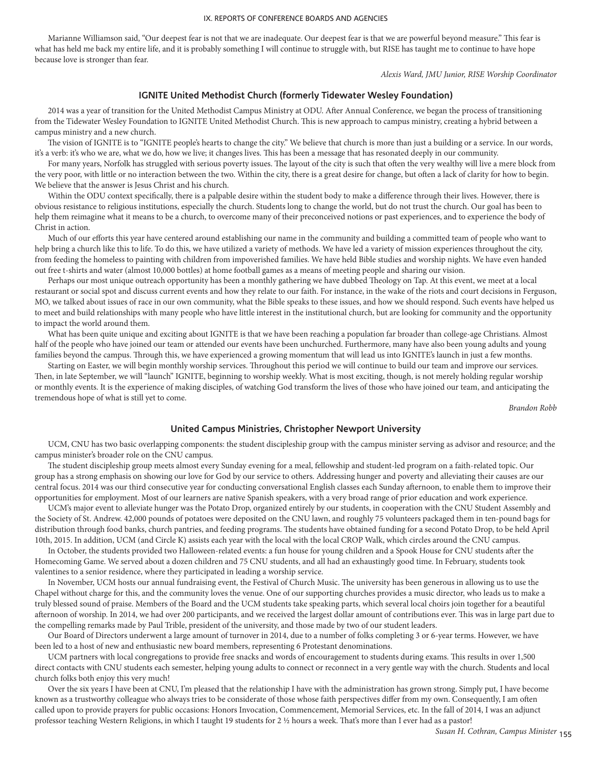Marianne Williamson said, "Our deepest fear is not that we are inadequate. Our deepest fear is that we are powerful beyond measure." This fear is what has held me back my entire life, and it is probably something I will continue to struggle with, but RISE has taught me to continue to have hope because love is stronger than fear.

*Alexis Ward, JMU Junior, RISE Worship Coordinator* 

### **IGNITE United Methodist Church (formerly Tidewater Wesley Foundation)**

2014 was a year of transition for the United Methodist Campus Ministry at ODU. After Annual Conference, we began the process of transitioning from the Tidewater Wesley Foundation to IGNITE United Methodist Church. This is new approach to campus ministry, creating a hybrid between a campus ministry and a new church.

The vision of IGNITE is to "IGNITE people's hearts to change the city." We believe that church is more than just a building or a service. In our words, it's a verb: it's who we are, what we do, how we live; it changes lives. This has been a message that has resonated deeply in our community.

For many years, Norfolk has struggled with serious poverty issues. The layout of the city is such that often the very wealthy will live a mere block from the very poor, with little or no interaction between the two. Within the city, there is a great desire for change, but often a lack of clarity for how to begin. We believe that the answer is Jesus Christ and his church.

Within the ODU context specifically, there is a palpable desire within the student body to make a difference through their lives. However, there is obvious resistance to religious institutions, especially the church. Students long to change the world, but do not trust the church. Our goal has been to help them reimagine what it means to be a church, to overcome many of their preconceived notions or past experiences, and to experience the body of Christ in action.

Much of our efforts this year have centered around establishing our name in the community and building a committed team of people who want to help bring a church like this to life. To do this, we have utilized a variety of methods. We have led a variety of mission experiences throughout the city, from feeding the homeless to painting with children from impoverished families. We have held Bible studies and worship nights. We have even handed out free t-shirts and water (almost 10,000 bottles) at home football games as a means of meeting people and sharing our vision.

Perhaps our most unique outreach opportunity has been a monthly gathering we have dubbed Theology on Tap. At this event, we meet at a local restaurant or social spot and discuss current events and how they relate to our faith. For instance, in the wake of the riots and court decisions in Ferguson, MO, we talked about issues of race in our own community, what the Bible speaks to these issues, and how we should respond. Such events have helped us to meet and build relationships with many people who have little interest in the institutional church, but are looking for community and the opportunity to impact the world around them.

What has been quite unique and exciting about IGNITE is that we have been reaching a population far broader than college-age Christians. Almost half of the people who have joined our team or attended our events have been unchurched. Furthermore, many have also been young adults and young families beyond the campus. Through this, we have experienced a growing momentum that will lead us into IGNITE's launch in just a few months.

Starting on Easter, we will begin monthly worship services. Throughout this period we will continue to build our team and improve our services. Then, in late September, we will "launch" IGNITE, beginning to worship weekly. What is most exciting, though, is not merely holding regular worship or monthly events. It is the experience of making disciples, of watching God transform the lives of those who have joined our team, and anticipating the tremendous hope of what is still yet to come.

*Brandon Robb*

### **United Campus Ministries, Christopher Newport University**

UCM, CNU has two basic overlapping components: the student discipleship group with the campus minister serving as advisor and resource; and the campus minister's broader role on the CNU campus.

The student discipleship group meets almost every Sunday evening for a meal, fellowship and student-led program on a faith-related topic. Our group has a strong emphasis on showing our love for God by our service to others. Addressing hunger and poverty and alleviating their causes are our central focus. 2014 was our third consecutive year for conducting conversational English classes each Sunday afternoon, to enable them to improve their opportunities for employment. Most of our learners are native Spanish speakers, with a very broad range of prior education and work experience.

UCM's major event to alleviate hunger was the Potato Drop, organized entirely by our students, in cooperation with the CNU Student Assembly and the Society of St. Andrew. 42,000 pounds of potatoes were deposited on the CNU lawn, and roughly 75 volunteers packaged them in ten-pound bags for distribution through food banks, church pantries, and feeding programs. The students have obtained funding for a second Potato Drop, to be held April 10th, 2015. In addition, UCM (and Circle K) assists each year with the local with the local CROP Walk, which circles around the CNU campus.

In October, the students provided two Halloween-related events: a fun house for young children and a Spook House for CNU students after the Homecoming Game. We served about a dozen children and 75 CNU students, and all had an exhaustingly good time. In February, students took valentines to a senior residence, where they participated in leading a worship service.

In November, UCM hosts our annual fundraising event, the Festival of Church Music. The university has been generous in allowing us to use the Chapel without charge for this, and the community loves the venue. One of our supporting churches provides a music director, who leads us to make a truly blessed sound of praise. Members of the Board and the UCM students take speaking parts, which several local choirs join together for a beautiful afternoon of worship. In 2014, we had over 200 participants, and we received the largest dollar amount of contributions ever. This was in large part due to the compelling remarks made by Paul Trible, president of the university, and those made by two of our student leaders.

Our Board of Directors underwent a large amount of turnover in 2014, due to a number of folks completing 3 or 6-year terms. However, we have been led to a host of new and enthusiastic new board members, representing 6 Protestant denominations.

UCM partners with local congregations to provide free snacks and words of encouragement to students during exams. This results in over 1,500 direct contacts with CNU students each semester, helping young adults to connect or reconnect in a very gentle way with the church. Students and local church folks both enjoy this very much!

Over the six years I have been at CNU, I'm pleased that the relationship I have with the administration has grown strong. Simply put, I have become known as a trustworthy colleague who always tries to be considerate of those whose faith perspectives differ from my own. Consequently, I am often called upon to provide prayers for public occasions: Honors Invocation, Commencement, Memorial Services, etc. In the fall of 2014, I was an adjunct professor teaching Western Religions, in which I taught 19 students for 2 ½ hours a week. That's more than I ever had as a pastor!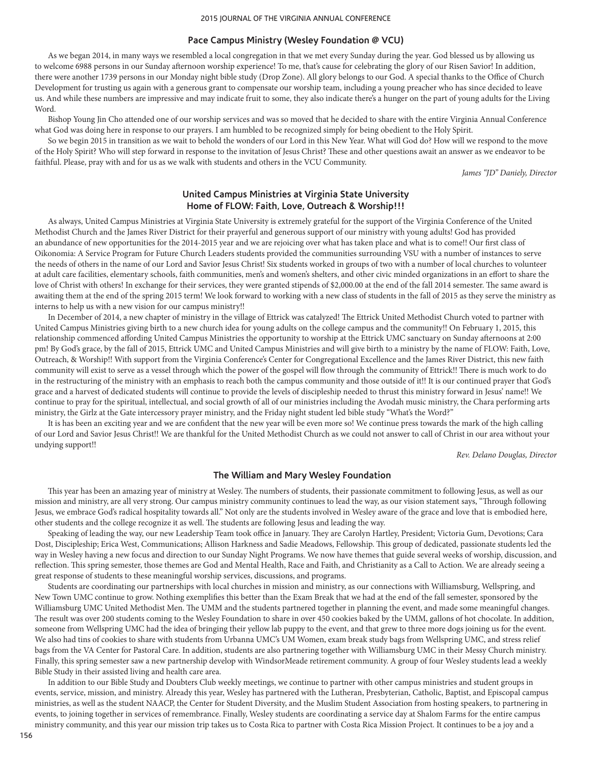### **Pace Campus Ministry (Wesley Foundation @ VCU)**

As we began 2014, in many ways we resembled a local congregation in that we met every Sunday during the year. God blessed us by allowing us to welcome 6988 persons in our Sunday afternoon worship experience! To me, that's cause for celebrating the glory of our Risen Savior! In addition, there were another 1739 persons in our Monday night bible study (Drop Zone). All glory belongs to our God. A special thanks to the Office of Church Development for trusting us again with a generous grant to compensate our worship team, including a young preacher who has since decided to leave us. And while these numbers are impressive and may indicate fruit to some, they also indicate there's a hunger on the part of young adults for the Living Word.

Bishop Young Jin Cho attended one of our worship services and was so moved that he decided to share with the entire Virginia Annual Conference what God was doing here in response to our prayers. I am humbled to be recognized simply for being obedient to the Holy Spirit.

So we begin 2015 in transition as we wait to behold the wonders of our Lord in this New Year. What will God do? How will we respond to the move of the Holy Spirit? Who will step forward in response to the invitation of Jesus Christ? These and other questions await an answer as we endeavor to be faithful. Please, pray with and for us as we walk with students and others in the VCU Community.

*James "JD" Daniely, Director*

## **United Campus Ministries at Virginia State University Home of FLOW: Faith, Love, Outreach & Worship!!!**

As always, United Campus Ministries at Virginia State University is extremely grateful for the support of the Virginia Conference of the United Methodist Church and the James River District for their prayerful and generous support of our ministry with young adults! God has provided an abundance of new opportunities for the 2014-2015 year and we are rejoicing over what has taken place and what is to come!! Our first class of Oikonomia: A Service Program for Future Church Leaders students provided the communities surrounding VSU with a number of instances to serve the needs of others in the name of our Lord and Savior Jesus Christ! Six students worked in groups of two with a number of local churches to volunteer at adult care facilities, elementary schools, faith communities, men's and women's shelters, and other civic minded organizations in an effort to share the love of Christ with others! In exchange for their services, they were granted stipends of \$2,000.00 at the end of the fall 2014 semester. The same award is awaiting them at the end of the spring 2015 term! We look forward to working with a new class of students in the fall of 2015 as they serve the ministry as interns to help us with a new vision for our campus ministry!!

In December of 2014, a new chapter of ministry in the village of Ettrick was catalyzed! The Ettrick United Methodist Church voted to partner with United Campus Ministries giving birth to a new church idea for young adults on the college campus and the community!! On February 1, 2015, this relationship commenced affording United Campus Ministries the opportunity to worship at the Ettrick UMC sanctuary on Sunday afternoons at 2:00 pm! By God's grace, by the fall of 2015, Ettrick UMC and United Campus Ministries and will give birth to a ministry by the name of FLOW: Faith, Love, Outreach, & Worship!! With support from the Virginia Conference's Center for Congregational Excellence and the James River District, this new faith community will exist to serve as a vessel through which the power of the gospel will flow through the community of Ettrick!! There is much work to do in the restructuring of the ministry with an emphasis to reach both the campus community and those outside of it!! It is our continued prayer that God's grace and a harvest of dedicated students will continue to provide the levels of discipleship needed to thrust this ministry forward in Jesus' name!! We continue to pray for the spiritual, intellectual, and social growth of all of our ministries including the Avodah music ministry, the Chara performing arts ministry, the Girlz at the Gate intercessory prayer ministry, and the Friday night student led bible study "What's the Word?"

It is has been an exciting year and we are confident that the new year will be even more so! We continue press towards the mark of the high calling of our Lord and Savior Jesus Christ!! We are thankful for the United Methodist Church as we could not answer to call of Christ in our area without your undying support!!

*Rev. Delano Douglas, Director*

## **The William and Mary Wesley Foundation**

This year has been an amazing year of ministry at Wesley. The numbers of students, their passionate commitment to following Jesus, as well as our mission and ministry, are all very strong. Our campus ministry community continues to lead the way, as our vision statement says, "Through following Jesus, we embrace God's radical hospitality towards all." Not only are the students involved in Wesley aware of the grace and love that is embodied here, other students and the college recognize it as well. The students are following Jesus and leading the way.

Speaking of leading the way, our new Leadership Team took office in January. They are Carolyn Hartley, President; Victoria Gum, Devotions; Cara Dost, Discipleship; Erica West, Communications; Allison Harkness and Sadie Meadows, Fellowship. This group of dedicated, passionate students led the way in Wesley having a new focus and direction to our Sunday Night Programs. We now have themes that guide several weeks of worship, discussion, and reflection. This spring semester, those themes are God and Mental Health, Race and Faith, and Christianity as a Call to Action. We are already seeing a great response of students to these meaningful worship services, discussions, and programs.

Students are coordinating our partnerships with local churches in mission and ministry, as our connections with Williamsburg, Wellspring, and New Town UMC continue to grow. Nothing exemplifies this better than the Exam Break that we had at the end of the fall semester, sponsored by the Williamsburg UMC United Methodist Men. The UMM and the students partnered together in planning the event, and made some meaningful changes. The result was over 200 students coming to the Wesley Foundation to share in over 450 cookies baked by the UMM, gallons of hot chocolate. In addition, someone from Wellspring UMC had the idea of bringing their yellow lab puppy to the event, and that grew to three more dogs joining us for the event. We also had tins of cookies to share with students from Urbanna UMC's UM Women, exam break study bags from Wellspring UMC, and stress relief bags from the VA Center for Pastoral Care. In addition, students are also partnering together with Williamsburg UMC in their Messy Church ministry. Finally, this spring semester saw a new partnership develop with WindsorMeade retirement community. A group of four Wesley students lead a weekly Bible Study in their assisted living and health care area.

In addition to our Bible Study and Doubters Club weekly meetings, we continue to partner with other campus ministries and student groups in events, service, mission, and ministry. Already this year, Wesley has partnered with the Lutheran, Presbyterian, Catholic, Baptist, and Episcopal campus ministries, as well as the student NAACP, the Center for Student Diversity, and the Muslim Student Association from hosting speakers, to partnering in events, to joining together in services of remembrance. Finally, Wesley students are coordinating a service day at Shalom Farms for the entire campus ministry community, and this year our mission trip takes us to Costa Rica to partner with Costa Rica Mission Project. It continues to be a joy and a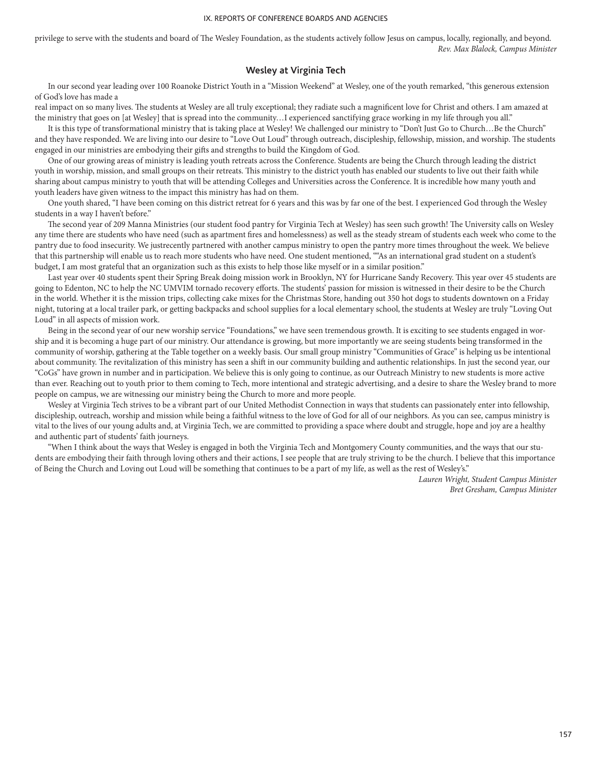privilege to serve with the students and board of The Wesley Foundation, as the students actively follow Jesus on campus, locally, regionally, and beyond. *Rev. Max Blalock, Campus Minister*

## **Wesley at Virginia Tech**

In our second year leading over 100 Roanoke District Youth in a "Mission Weekend" at Wesley, one of the youth remarked, "this generous extension of God's love has made a

real impact on so many lives. The students at Wesley are all truly exceptional; they radiate such a magnificent love for Christ and others. I am amazed at the ministry that goes on [at Wesley] that is spread into the community…I experienced sanctifying grace working in my life through you all."

It is this type of transformational ministry that is taking place at Wesley! We challenged our ministry to "Don't Just Go to Church…Be the Church" and they have responded. We are living into our desire to "Love Out Loud" through outreach, discipleship, fellowship, mission, and worship. The students engaged in our ministries are embodying their gifts and strengths to build the Kingdom of God.

One of our growing areas of ministry is leading youth retreats across the Conference. Students are being the Church through leading the district youth in worship, mission, and small groups on their retreats. This ministry to the district youth has enabled our students to live out their faith while sharing about campus ministry to youth that will be attending Colleges and Universities across the Conference. It is incredible how many youth and youth leaders have given witness to the impact this ministry has had on them.

One youth shared, "I have been coming on this district retreat for 6 years and this was by far one of the best. I experienced God through the Wesley students in a way I haven't before."

The second year of 209 Manna Ministries (our student food pantry for Virginia Tech at Wesley) has seen such growth! The University calls on Wesley any time there are students who have need (such as apartment fires and homelessness) as well as the steady stream of students each week who come to the pantry due to food insecurity. We justrecently partnered with another campus ministry to open the pantry more times throughout the week. We believe that this partnership will enable us to reach more students who have need. One student mentioned, ""As an international grad student on a student's budget, I am most grateful that an organization such as this exists to help those like myself or in a similar position."

Last year over 40 students spent their Spring Break doing mission work in Brooklyn, NY for Hurricane Sandy Recovery. This year over 45 students are going to Edenton, NC to help the NC UMVIM tornado recovery efforts. The students' passion for mission is witnessed in their desire to be the Church in the world. Whether it is the mission trips, collecting cake mixes for the Christmas Store, handing out 350 hot dogs to students downtown on a Friday night, tutoring at a local trailer park, or getting backpacks and school supplies for a local elementary school, the students at Wesley are truly "Loving Out Loud" in all aspects of mission work.

Being in the second year of our new worship service "Foundations," we have seen tremendous growth. It is exciting to see students engaged in worship and it is becoming a huge part of our ministry. Our attendance is growing, but more importantly we are seeing students being transformed in the community of worship, gathering at the Table together on a weekly basis. Our small group ministry "Communities of Grace" is helping us be intentional about community. The revitalization of this ministry has seen a shift in our community building and authentic relationships. In just the second year, our "CoGs" have grown in number and in participation. We believe this is only going to continue, as our Outreach Ministry to new students is more active than ever. Reaching out to youth prior to them coming to Tech, more intentional and strategic advertising, and a desire to share the Wesley brand to more people on campus, we are witnessing our ministry being the Church to more and more people.

Wesley at Virginia Tech strives to be a vibrant part of our United Methodist Connection in ways that students can passionately enter into fellowship, discipleship, outreach, worship and mission while being a faithful witness to the love of God for all of our neighbors. As you can see, campus ministry is vital to the lives of our young adults and, at Virginia Tech, we are committed to providing a space where doubt and struggle, hope and joy are a healthy and authentic part of students' faith journeys.

"When I think about the ways that Wesley is engaged in both the Virginia Tech and Montgomery County communities, and the ways that our students are embodying their faith through loving others and their actions, I see people that are truly striving to be the church. I believe that this importance of Being the Church and Loving out Loud will be something that continues to be a part of my life, as well as the rest of Wesley's."

> *Lauren Wright, Student Campus Minister Bret Gresham, Campus Minister*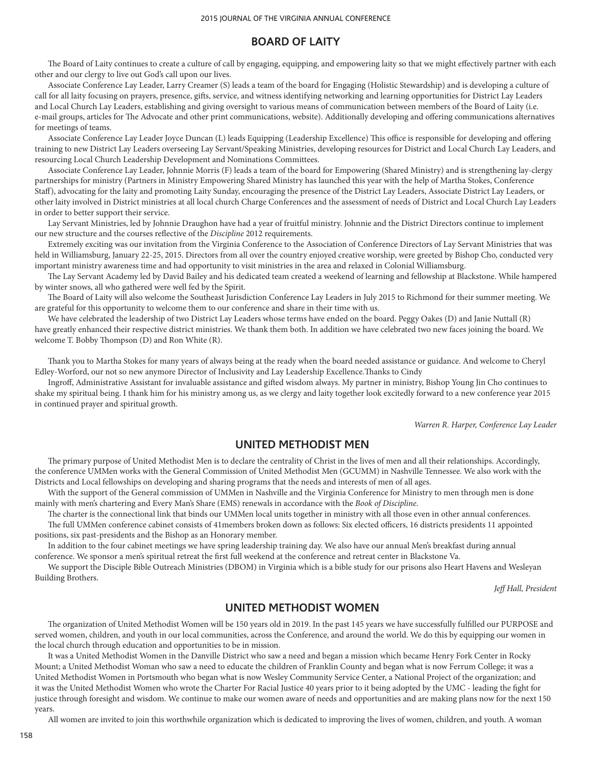## **BOARD OF LAITY**

The Board of Laity continues to create a culture of call by engaging, equipping, and empowering laity so that we might effectively partner with each other and our clergy to live out God's call upon our lives.

Associate Conference Lay Leader, Larry Creamer (S) leads a team of the board for Engaging (Holistic Stewardship) and is developing a culture of call for all laity focusing on prayers, presence, gifts, service, and witness identifying networking and learning opportunities for District Lay Leaders and Local Church Lay Leaders, establishing and giving oversight to various means of communication between members of the Board of Laity (i.e. e-mail groups, articles for The Advocate and other print communications, website). Additionally developing and offering communications alternatives for meetings of teams.

Associate Conference Lay Leader Joyce Duncan (L) leads Equipping (Leadership Excellence) This office is responsible for developing and offering training to new District Lay Leaders overseeing Lay Servant/Speaking Ministries, developing resources for District and Local Church Lay Leaders, and resourcing Local Church Leadership Development and Nominations Committees.

Associate Conference Lay Leader, Johnnie Morris (F) leads a team of the board for Empowering (Shared Ministry) and is strengthening lay-clergy partnerships for ministry (Partners in Ministry Empowering Shared Ministry has launched this year with the help of Martha Stokes, Conference Staff), advocating for the laity and promoting Laity Sunday, encouraging the presence of the District Lay Leaders, Associate District Lay Leaders, or other laity involved in District ministries at all local church Charge Conferences and the assessment of needs of District and Local Church Lay Leaders in order to better support their service.

Lay Servant Ministries, led by Johnnie Draughon have had a year of fruitful ministry. Johnnie and the District Directors continue to implement our new structure and the courses reflective of the *Discipline* 2012 requirements.

Extremely exciting was our invitation from the Virginia Conference to the Association of Conference Directors of Lay Servant Ministries that was held in Williamsburg, January 22-25, 2015. Directors from all over the country enjoyed creative worship, were greeted by Bishop Cho, conducted very important ministry awareness time and had opportunity to visit ministries in the area and relaxed in Colonial Williamsburg.

The Lay Servant Academy led by David Bailey and his dedicated team created a weekend of learning and fellowship at Blackstone. While hampered by winter snows, all who gathered were well fed by the Spirit.

The Board of Laity will also welcome the Southeast Jurisdiction Conference Lay Leaders in July 2015 to Richmond for their summer meeting. We are grateful for this opportunity to welcome them to our conference and share in their time with us.

We have celebrated the leadership of two District Lay Leaders whose terms have ended on the board. Peggy Oakes (D) and Janie Nuttall (R) have greatly enhanced their respective district ministries. We thank them both. In addition we have celebrated two new faces joining the board. We welcome T. Bobby Thompson (D) and Ron White (R).

Thank you to Martha Stokes for many years of always being at the ready when the board needed assistance or guidance. And welcome to Cheryl Edley-Worford, our not so new anymore Director of Inclusivity and Lay Leadership Excellence.Thanks to Cindy

Ingroff, Administrative Assistant for invaluable assistance and gifted wisdom always. My partner in ministry, Bishop Young Jin Cho continues to shake my spiritual being. I thank him for his ministry among us, as we clergy and laity together look excitedly forward to a new conference year 2015 in continued prayer and spiritual growth.

*Warren R. Harper, Conference Lay Leader*

# **UNITED METHODIST MEN**

The primary purpose of United Methodist Men is to declare the centrality of Christ in the lives of men and all their relationships. Accordingly, the conference UMMen works with the General Commission of United Methodist Men (GCUMM) in Nashville Tennessee. We also work with the Districts and Local fellowships on developing and sharing programs that the needs and interests of men of all ages.

With the support of the General commission of UMMen in Nashville and the Virginia Conference for Ministry to men through men is done mainly with men's chartering and Every Man's Share (EMS) renewals in accordance with the *Book of Discipline*.

The charter is the connectional link that binds our UMMen local units together in ministry with all those even in other annual conferences. The full UMMen conference cabinet consists of 41members broken down as follows: Six elected officers, 16 districts presidents 11 appointed positions, six past-presidents and the Bishop as an Honorary member.

In addition to the four cabinet meetings we have spring leadership training day. We also have our annual Men's breakfast during annual conference. We sponsor a men's spiritual retreat the first full weekend at the conference and retreat center in Blackstone Va.

We support the Disciple Bible Outreach Ministries (DBOM) in Virginia which is a bible study for our prisons also Heart Havens and Wesleyan Building Brothers.

*Jeff Hall, President* 

## **UNITED METHODIST WOMEN**

The organization of United Methodist Women will be 150 years old in 2019. In the past 145 years we have successfully fulfilled our PURPOSE and served women, children, and youth in our local communities, across the Conference, and around the world. We do this by equipping our women in the local church through education and opportunities to be in mission.

It was a United Methodist Women in the Danville District who saw a need and began a mission which became Henry Fork Center in Rocky Mount; a United Methodist Woman who saw a need to educate the children of Franklin County and began what is now Ferrum College; it was a United Methodist Women in Portsmouth who began what is now Wesley Community Service Center, a National Project of the organization; and it was the United Methodist Women who wrote the Charter For Racial Justice 40 years prior to it being adopted by the UMC - leading the fight for justice through foresight and wisdom. We continue to make our women aware of needs and opportunities and are making plans now for the next 150 years.

All women are invited to join this worthwhile organization which is dedicated to improving the lives of women, children, and youth. A woman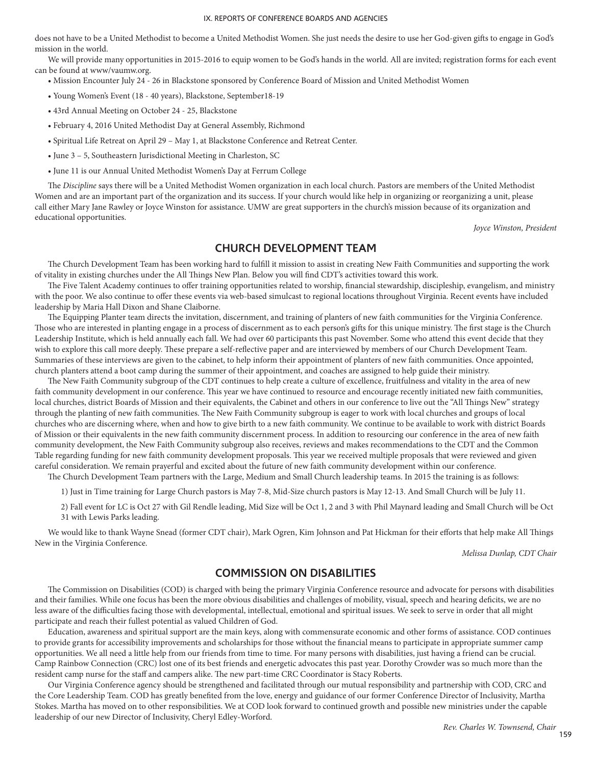does not have to be a United Methodist to become a United Methodist Women. She just needs the desire to use her God-given gifts to engage in God's mission in the world.

We will provide many opportunities in 2015-2016 to equip women to be God's hands in the world. All are invited; registration forms for each event can be found at www/vaumw.org.

- Mission Encounter July 24 26 in Blackstone sponsored by Conference Board of Mission and United Methodist Women
- Young Women's Event (18 40 years), Blackstone, September18-19
- 43rd Annual Meeting on October 24 25, Blackstone
- February 4, 2016 United Methodist Day at General Assembly, Richmond
- Spiritual Life Retreat on April 29 May 1, at Blackstone Conference and Retreat Center.
- June 3 5, Southeastern Jurisdictional Meeting in Charleston, SC
- June 11 is our Annual United Methodist Women's Day at Ferrum College

The *Discipline* says there will be a United Methodist Women organization in each local church. Pastors are members of the United Methodist Women and are an important part of the organization and its success. If your church would like help in organizing or reorganizing a unit, please call either Mary Jane Rawley or Joyce Winston for assistance. UMW are great supporters in the church's mission because of its organization and educational opportunities.

*Joyce Winston, President*

### **CHURCH DEVELOPMENT TEAM**

The Church Development Team has been working hard to fulfill it mission to assist in creating New Faith Communities and supporting the work of vitality in existing churches under the All Things New Plan. Below you will find CDT's activities toward this work.

The Five Talent Academy continues to offer training opportunities related to worship, financial stewardship, discipleship, evangelism, and ministry with the poor. We also continue to offer these events via web-based simulcast to regional locations throughout Virginia. Recent events have included leadership by Maria Hall Dixon and Shane Claiborne.

The Equipping Planter team directs the invitation, discernment, and training of planters of new faith communities for the Virginia Conference. Those who are interested in planting engage in a process of discernment as to each person's gifts for this unique ministry. The first stage is the Church Leadership Institute, which is held annually each fall. We had over 60 participants this past November. Some who attend this event decide that they wish to explore this call more deeply. These prepare a self-reflective paper and are interviewed by members of our Church Development Team. Summaries of these interviews are given to the cabinet, to help inform their appointment of planters of new faith communities. Once appointed, church planters attend a boot camp during the summer of their appointment, and coaches are assigned to help guide their ministry.

The New Faith Community subgroup of the CDT continues to help create a culture of excellence, fruitfulness and vitality in the area of new faith community development in our conference. This year we have continued to resource and encourage recently initiated new faith communities, local churches, district Boards of Mission and their equivalents, the Cabinet and others in our conference to live out the "All Things New" strategy through the planting of new faith communities. The New Faith Community subgroup is eager to work with local churches and groups of local churches who are discerning where, when and how to give birth to a new faith community. We continue to be available to work with district Boards of Mission or their equivalents in the new faith community discernment process. In addition to resourcing our conference in the area of new faith community development, the New Faith Community subgroup also receives, reviews and makes recommendations to the CDT and the Common Table regarding funding for new faith community development proposals. This year we received multiple proposals that were reviewed and given careful consideration. We remain prayerful and excited about the future of new faith community development within our conference.

The Church Development Team partners with the Large, Medium and Small Church leadership teams. In 2015 the training is as follows:

1) Just in Time training for Large Church pastors is May 7-8, Mid-Size church pastors is May 12-13. And Small Church will be July 11.

2) Fall event for LC is Oct 27 with Gil Rendle leading, Mid Size will be Oct 1, 2 and 3 with Phil Maynard leading and Small Church will be Oct 31 with Lewis Parks leading.

We would like to thank Wayne Snead (former CDT chair), Mark Ogren, Kim Johnson and Pat Hickman for their efforts that help make All Things New in the Virginia Conference.

*Melissa Dunlap, CDT Chair*

# **COMMISSION ON DISABILITIES**

The Commission on Disabilities (COD) is charged with being the primary Virginia Conference resource and advocate for persons with disabilities and their families. While one focus has been the more obvious disabilities and challenges of mobility, visual, speech and hearing deficits, we are no less aware of the difficulties facing those with developmental, intellectual, emotional and spiritual issues. We seek to serve in order that all might participate and reach their fullest potential as valued Children of God.

Education, awareness and spiritual support are the main keys, along with commensurate economic and other forms of assistance. COD continues to provide grants for accessibility improvements and scholarships for those without the financial means to participate in appropriate summer camp opportunities. We all need a little help from our friends from time to time. For many persons with disabilities, just having a friend can be crucial. Camp Rainbow Connection (CRC) lost one of its best friends and energetic advocates this past year. Dorothy Crowder was so much more than the resident camp nurse for the staff and campers alike. The new part-time CRC Coordinator is Stacy Roberts.

Our Virginia Conference agency should be strengthened and facilitated through our mutual responsibility and partnership with COD, CRC and the Core Leadership Team. COD has greatly benefited from the love, energy and guidance of our former Conference Director of Inclusivity, Martha Stokes. Martha has moved on to other responsibilities. We at COD look forward to continued growth and possible new ministries under the capable leadership of our new Director of Inclusivity, Cheryl Edley-Worford.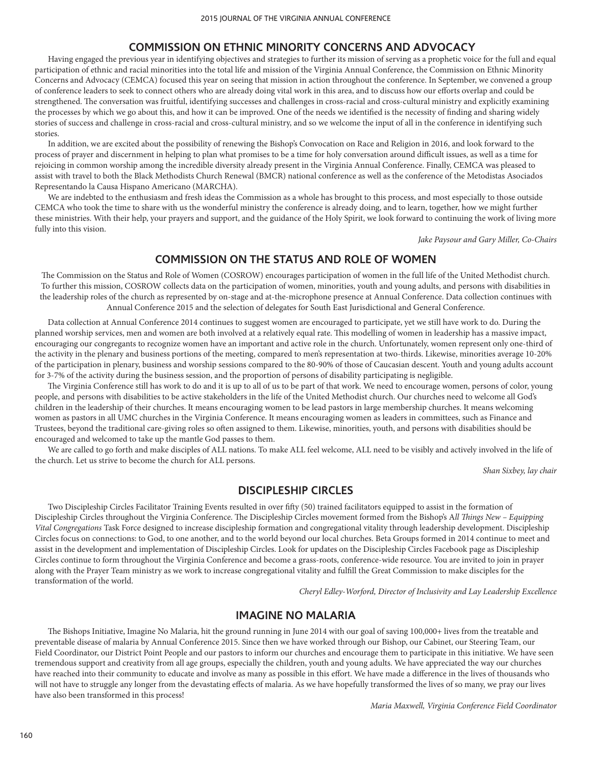## **COMMISSION ON ETHNIC MINORITY CONCERNS AND ADVOCACY**

Having engaged the previous year in identifying objectives and strategies to further its mission of serving as a prophetic voice for the full and equal participation of ethnic and racial minorities into the total life and mission of the Virginia Annual Conference, the Commission on Ethnic Minority Concerns and Advocacy (CEMCA) focused this year on seeing that mission in action throughout the conference. In September, we convened a group of conference leaders to seek to connect others who are already doing vital work in this area, and to discuss how our efforts overlap and could be strengthened. The conversation was fruitful, identifying successes and challenges in cross-racial and cross-cultural ministry and explicitly examining the processes by which we go about this, and how it can be improved. One of the needs we identified is the necessity of finding and sharing widely stories of success and challenge in cross-racial and cross-cultural ministry, and so we welcome the input of all in the conference in identifying such stories.

In addition, we are excited about the possibility of renewing the Bishop's Convocation on Race and Religion in 2016, and look forward to the process of prayer and discernment in helping to plan what promises to be a time for holy conversation around difficult issues, as well as a time for rejoicing in common worship among the incredible diversity already present in the Virginia Annual Conference. Finally, CEMCA was pleased to assist with travel to both the Black Methodists Church Renewal (BMCR) national conference as well as the conference of the Metodistas Asociados Representando la Causa Hispano Americano (MARCHA).

We are indebted to the enthusiasm and fresh ideas the Commission as a whole has brought to this process, and most especially to those outside CEMCA who took the time to share with us the wonderful ministry the conference is already doing, and to learn, together, how we might further these ministries. With their help, your prayers and support, and the guidance of the Holy Spirit, we look forward to continuing the work of living more fully into this vision.

*Jake Paysour and Gary Miller, Co-Chairs*

# **COMMISSION ON THE STATUS AND ROLE OF WOMEN**

The Commission on the Status and Role of Women (COSROW) encourages participation of women in the full life of the United Methodist church. To further this mission, COSROW collects data on the participation of women, minorities, youth and young adults, and persons with disabilities in the leadership roles of the church as represented by on-stage and at-the-microphone presence at Annual Conference. Data collection continues with Annual Conference 2015 and the selection of delegates for South East Jurisdictional and General Conference.

Data collection at Annual Conference 2014 continues to suggest women are encouraged to participate, yet we still have work to do. During the planned worship services, men and women are both involved at a relatively equal rate. This modelling of women in leadership has a massive impact, encouraging our congregants to recognize women have an important and active role in the church. Unfortunately, women represent only one-third of the activity in the plenary and business portions of the meeting, compared to men's representation at two-thirds. Likewise, minorities average 10-20% of the participation in plenary, business and worship sessions compared to the 80-90% of those of Caucasian descent. Youth and young adults account for 3-7% of the activity during the business session, and the proportion of persons of disability participating is negligible.

The Virginia Conference still has work to do and it is up to all of us to be part of that work. We need to encourage women, persons of color, young people, and persons with disabilities to be active stakeholders in the life of the United Methodist church. Our churches need to welcome all God's children in the leadership of their churches. It means encouraging women to be lead pastors in large membership churches. It means welcoming women as pastors in all UMC churches in the Virginia Conference. It means encouraging women as leaders in committees, such as Finance and Trustees, beyond the traditional care-giving roles so often assigned to them. Likewise, minorities, youth, and persons with disabilities should be encouraged and welcomed to take up the mantle God passes to them.

We are called to go forth and make disciples of ALL nations. To make ALL feel welcome, ALL need to be visibly and actively involved in the life of the church. Let us strive to become the church for ALL persons.

*Shan Sixbey, lay chair*

# **DISCIPLESHIP CIRCLES**

Two Discipleship Circles Facilitator Training Events resulted in over fifty (50) trained facilitators equipped to assist in the formation of Discipleship Circles throughout the Virginia Conference. The Discipleship Circles movement formed from the Bishop's A*ll Things New – Equipping Vital Congregations* Task Force designed to increase discipleship formation and congregational vitality through leadership development. Discipleship Circles focus on connections: to God, to one another, and to the world beyond our local churches. Beta Groups formed in 2014 continue to meet and assist in the development and implementation of Discipleship Circles. Look for updates on the Discipleship Circles Facebook page as Discipleship Circles continue to form throughout the Virginia Conference and become a grass-roots, conference-wide resource. You are invited to join in prayer along with the Prayer Team ministry as we work to increase congregational vitality and fulfill the Great Commission to make disciples for the transformation of the world.

*Cheryl Edley-Worford, Director of Inclusivity and Lay Leadership Excellence* 

# **IMAGINE NO MALARIA**

The Bishops Initiative, Imagine No Malaria, hit the ground running in June 2014 with our goal of saving 100,000+ lives from the treatable and preventable disease of malaria by Annual Conference 2015. Since then we have worked through our Bishop, our Cabinet, our Steering Team, our Field Coordinator, our District Point People and our pastors to inform our churches and encourage them to participate in this initiative. We have seen tremendous support and creativity from all age groups, especially the children, youth and young adults. We have appreciated the way our churches have reached into their community to educate and involve as many as possible in this effort. We have made a difference in the lives of thousands who will not have to struggle any longer from the devastating effects of malaria. As we have hopefully transformed the lives of so many, we pray our lives have also been transformed in this process!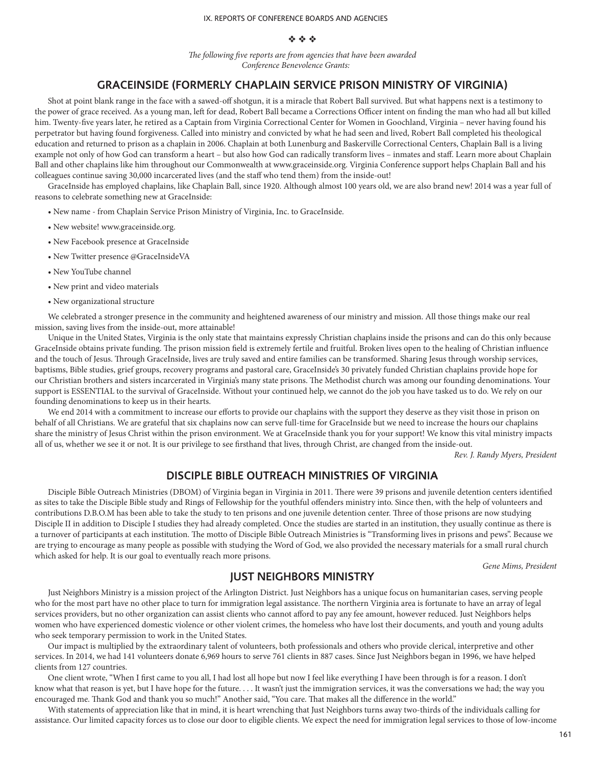### v v v

*The following five reports are from agencies that have been awarded Conference Benevolence Grants:*

# **GRACEINSIDE (FORMERLY CHAPLAIN SERVICE PRISON MINISTRY OF VIRGINIA)**

Shot at point blank range in the face with a sawed-off shotgun, it is a miracle that Robert Ball survived. But what happens next is a testimony to the power of grace received. As a young man, left for dead, Robert Ball became a Corrections Officer intent on finding the man who had all but killed him. Twenty-five years later, he retired as a Captain from Virginia Correctional Center for Women in Goochland, Virginia – never having found his perpetrator but having found forgiveness. Called into ministry and convicted by what he had seen and lived, Robert Ball completed his theological education and returned to prison as a chaplain in 2006. Chaplain at both Lunenburg and Baskerville Correctional Centers, Chaplain Ball is a living example not only of how God can transform a heart – but also how God can radically transform lives – inmates and staff. Learn more about Chaplain Ball and other chaplains like him throughout our Commonwealth at www.graceinside.org. Virginia Conference support helps Chaplain Ball and his colleagues continue saving 30,000 incarcerated lives (and the staff who tend them) from the inside-out!

GraceInside has employed chaplains, like Chaplain Ball, since 1920. Although almost 100 years old, we are also brand new! 2014 was a year full of reasons to celebrate something new at GraceInside:

- New name from Chaplain Service Prison Ministry of Virginia, Inc. to GraceInside.
- New website! www.graceinside.org.
- New Facebook presence at GraceInside
- New Twitter presence @GraceInsideVA
- New YouTube channel
- New print and video materials
- New organizational structure

We celebrated a stronger presence in the community and heightened awareness of our ministry and mission. All those things make our real mission, saving lives from the inside-out, more attainable!

Unique in the United States, Virginia is the only state that maintains expressly Christian chaplains inside the prisons and can do this only because GraceInside obtains private funding. The prison mission field is extremely fertile and fruitful. Broken lives open to the healing of Christian influence and the touch of Jesus. Through GraceInside, lives are truly saved and entire families can be transformed. Sharing Jesus through worship services, baptisms, Bible studies, grief groups, recovery programs and pastoral care, GraceInside's 30 privately funded Christian chaplains provide hope for our Christian brothers and sisters incarcerated in Virginia's many state prisons. The Methodist church was among our founding denominations. Your support is ESSENTIAL to the survival of GraceInside. Without your continued help, we cannot do the job you have tasked us to do. We rely on our founding denominations to keep us in their hearts.

We end 2014 with a commitment to increase our efforts to provide our chaplains with the support they deserve as they visit those in prison on behalf of all Christians. We are grateful that six chaplains now can serve full-time for GraceInside but we need to increase the hours our chaplains share the ministry of Jesus Christ within the prison environment. We at GraceInside thank you for your support! We know this vital ministry impacts all of us, whether we see it or not. It is our privilege to see firsthand that lives, through Christ, are changed from the inside-out.

*Rev. J. Randy Myers, President*

# **DISCIPLE BIBLE OUTREACH MINISTRIES OF VIRGINIA**

Disciple Bible Outreach Ministries (DBOM) of Virginia began in Virginia in 2011. There were 39 prisons and juvenile detention centers identified as sites to take the Disciple Bible study and Rings of Fellowship for the youthful offenders ministry into. Since then, with the help of volunteers and contributions D.B.O.M has been able to take the study to ten prisons and one juvenile detention center. Three of those prisons are now studying Disciple II in addition to Disciple I studies they had already completed. Once the studies are started in an institution, they usually continue as there is a turnover of participants at each institution. The motto of Disciple Bible Outreach Ministries is "Transforming lives in prisons and pews". Because we are trying to encourage as many people as possible with studying the Word of God, we also provided the necessary materials for a small rural church which asked for help. It is our goal to eventually reach more prisons.

*Gene Mims, President*

# **JUST NEIGHBORS MINISTRY**

Just Neighbors Ministry is a mission project of the Arlington District. Just Neighbors has a unique focus on humanitarian cases, serving people who for the most part have no other place to turn for immigration legal assistance. The northern Virginia area is fortunate to have an array of legal services providers, but no other organization can assist clients who cannot afford to pay any fee amount, however reduced. Just Neighbors helps women who have experienced domestic violence or other violent crimes, the homeless who have lost their documents, and youth and young adults who seek temporary permission to work in the United States.

Our impact is multiplied by the extraordinary talent of volunteers, both professionals and others who provide clerical, interpretive and other services. In 2014, we had 141 volunteers donate 6,969 hours to serve 761 clients in 887 cases. Since Just Neighbors began in 1996, we have helped clients from 127 countries.

One client wrote, "When I first came to you all, I had lost all hope but now I feel like everything I have been through is for a reason. I don't know what that reason is yet, but I have hope for the future. . . . It wasn't just the immigration services, it was the conversations we had; the way you encouraged me. Thank God and thank you so much!" Another said, "You care. That makes all the difference in the world."

With statements of appreciation like that in mind, it is heart wrenching that Just Neighbors turns away two-thirds of the individuals calling for assistance. Our limited capacity forces us to close our door to eligible clients. We expect the need for immigration legal services to those of low-income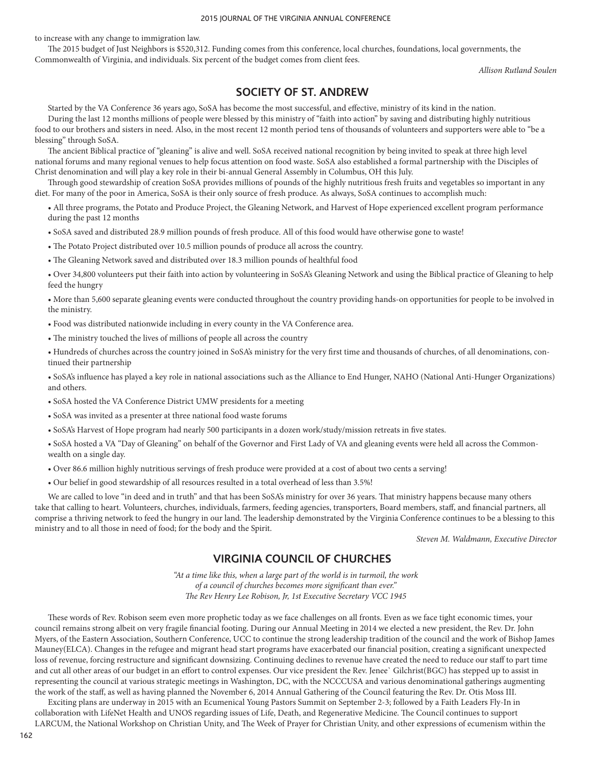to increase with any change to immigration law.

The 2015 budget of Just Neighbors is \$520,312. Funding comes from this conference, local churches, foundations, local governments, the Commonwealth of Virginia, and individuals. Six percent of the budget comes from client fees.

*Allison Rutland Soulen*

# **SOCIETY OF ST. ANDREW**

Started by the VA Conference 36 years ago, SoSA has become the most successful, and effective, ministry of its kind in the nation.

During the last 12 months millions of people were blessed by this ministry of "faith into action" by saving and distributing highly nutritious food to our brothers and sisters in need. Also, in the most recent 12 month period tens of thousands of volunteers and supporters were able to "be a blessing" through SoSA.

The ancient Biblical practice of "gleaning" is alive and well. SoSA received national recognition by being invited to speak at three high level national forums and many regional venues to help focus attention on food waste. SoSA also established a formal partnership with the Disciples of Christ denomination and will play a key role in their bi-annual General Assembly in Columbus, OH this July.

Through good stewardship of creation SoSA provides millions of pounds of the highly nutritious fresh fruits and vegetables so important in any diet. For many of the poor in America, SoSA is their only source of fresh produce. As always, SoSA continues to accomplish much:

• All three programs, the Potato and Produce Project, the Gleaning Network, and Harvest of Hope experienced excellent program performance during the past 12 months

• SoSA saved and distributed 28.9 million pounds of fresh produce. All of this food would have otherwise gone to waste!

• The Potato Project distributed over 10.5 million pounds of produce all across the country.

• The Gleaning Network saved and distributed over 18.3 million pounds of healthful food

• Over 34,800 volunteers put their faith into action by volunteering in SoSA's Gleaning Network and using the Biblical practice of Gleaning to help feed the hungry

• More than 5,600 separate gleaning events were conducted throughout the country providing hands-on opportunities for people to be involved in the ministry.

• Food was distributed nationwide including in every county in the VA Conference area.

• The ministry touched the lives of millions of people all across the country

• Hundreds of churches across the country joined in SoSA's ministry for the very first time and thousands of churches, of all denominations, continued their partnership

• SoSA's influence has played a key role in national associations such as the Alliance to End Hunger, NAHO (National Anti-Hunger Organizations) and others.

• SoSA hosted the VA Conference District UMW presidents for a meeting

• SoSA was invited as a presenter at three national food waste forums

• SoSA's Harvest of Hope program had nearly 500 participants in a dozen work/study/mission retreats in five states.

• SoSA hosted a VA "Day of Gleaning" on behalf of the Governor and First Lady of VA and gleaning events were held all across the Commonwealth on a single day.

• Over 86.6 million highly nutritious servings of fresh produce were provided at a cost of about two cents a serving!

• Our belief in good stewardship of all resources resulted in a total overhead of less than 3.5%!

We are called to love "in deed and in truth" and that has been SoSA's ministry for over 36 years. That ministry happens because many others take that calling to heart. Volunteers, churches, individuals, farmers, feeding agencies, transporters, Board members, staff, and financial partners, all comprise a thriving network to feed the hungry in our land. The leadership demonstrated by the Virginia Conference continues to be a blessing to this ministry and to all those in need of food; for the body and the Spirit.

*Steven M. Waldmann, Executive Director*

# **VIRGINIA COUNCIL OF CHURCHES**

*"At a time like this, when a large part of the world is in turmoil, the work of a council of churches becomes more significant than ever." The Rev Henry Lee Robison, Jr, 1st Executive Secretary VCC 1945*

These words of Rev. Robison seem even more prophetic today as we face challenges on all fronts. Even as we face tight economic times, your council remains strong albeit on very fragile financial footing. During our Annual Meeting in 2014 we elected a new president, the Rev. Dr. John Myers, of the Eastern Association, Southern Conference, UCC to continue the strong leadership tradition of the council and the work of Bishop James Mauney(ELCA). Changes in the refugee and migrant head start programs have exacerbated our financial position, creating a significant unexpected loss of revenue, forcing restructure and significant downsizing. Continuing declines to revenue have created the need to reduce our staff to part time and cut all other areas of our budget in an effort to control expenses. Our vice president the Rev. Jenee` Gilchrist(BGC) has stepped up to assist in representing the council at various strategic meetings in Washington, DC, with the NCCCUSA and various denominational gatherings augmenting the work of the staff, as well as having planned the November 6, 2014 Annual Gathering of the Council featuring the Rev. Dr. Otis Moss III.

Exciting plans are underway in 2015 with an Ecumenical Young Pastors Summit on September 2-3; followed by a Faith Leaders Fly-In in collaboration with LifeNet Health and UNOS regarding issues of Life, Death, and Regenerative Medicine. The Council continues to support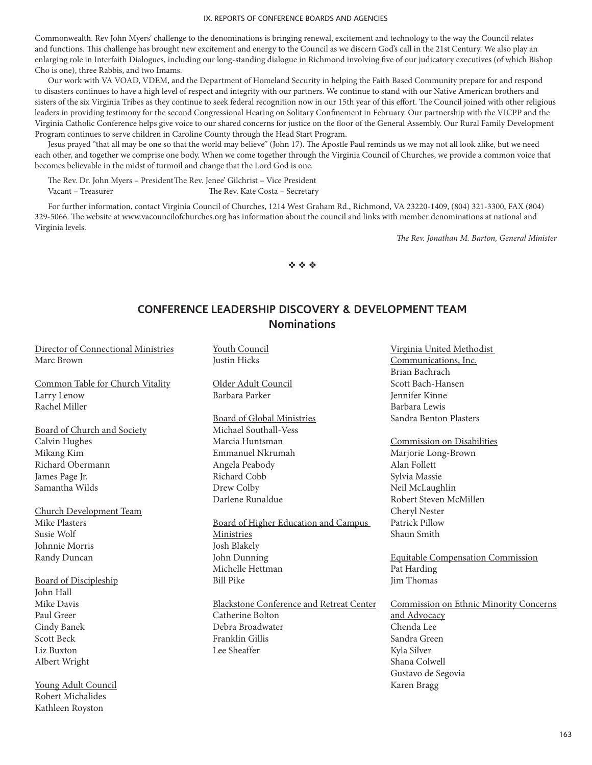Commonwealth. Rev John Myers' challenge to the denominations is bringing renewal, excitement and technology to the way the Council relates and functions. This challenge has brought new excitement and energy to the Council as we discern God's call in the 21st Century. We also play an enlarging role in Interfaith Dialogues, including our long-standing dialogue in Richmond involving five of our judicatory executives (of which Bishop Cho is one), three Rabbis, and two Imams.

Our work with VA VOAD, VDEM, and the Department of Homeland Security in helping the Faith Based Community prepare for and respond to disasters continues to have a high level of respect and integrity with our partners. We continue to stand with our Native American brothers and sisters of the six Virginia Tribes as they continue to seek federal recognition now in our 15th year of this effort. The Council joined with other religious leaders in providing testimony for the second Congressional Hearing on Solitary Confinement in February. Our partnership with the VICPP and the Virginia Catholic Conference helps give voice to our shared concerns for justice on the floor of the General Assembly. Our Rural Family Development Program continues to serve children in Caroline County through the Head Start Program.

Jesus prayed "that all may be one so that the world may believe" (John 17). The Apostle Paul reminds us we may not all look alike, but we need each other, and together we comprise one body. When we come together through the Virginia Council of Churches, we provide a common voice that becomes believable in the midst of turmoil and change that the Lord God is one.

The Rev. Dr. John Myers – PresidentThe Rev. Jenee' Gilchrist – Vice President

Vacant – Treasurer The Rev. Kate Costa – Secretary

For further information, contact Virginia Council of Churches, 1214 West Graham Rd., Richmond, VA 23220-1409, (804) 321-3300, FAX (804) 329-5066. The website at www.vacouncilofchurches.org has information about the council and links with member denominations at national and Virginia levels.

*The Rev. Jonathan M. Barton, General Minister*

 $\phi \phi \phi$ 

# **CONFERENCE LEADERSHIP DISCOVERY & DEVELOPMENT TEAM Nominations**

Director of Connectional Ministries Marc Brown

Common Table for Church Vitality Larry Lenow Rachel Miller

Board of Church and Society Calvin Hughes Mikang Kim Richard Obermann James Page Jr. Samantha Wilds

Church Development Team Mike Plasters Susie Wolf Johnnie Morris Randy Duncan

Board of Discipleship John Hall Mike Davis Paul Greer Cindy Banek Scott Beck Liz Buxton Albert Wright

Young Adult Council Robert Michalides Kathleen Royston

Youth Council Justin Hicks

Older Adult Council Barbara Parker

Board of Global Ministries Michael Southall-Vess Marcia Huntsman Emmanuel Nkrumah Angela Peabody Richard Cobb Drew Colby Darlene Runaldue

Board of Higher Education and Campus Ministries Josh Blakely John Dunning Michelle Hettman Bill Pike

Blackstone Conference and Retreat Center Catherine Bolton Debra Broadwater Franklin Gillis Lee Sheaffer

Virginia United Methodist Communications, Inc. Brian Bachrach Scott Bach-Hansen Jennifer Kinne Barbara Lewis Sandra Benton Plasters

Commission on Disabilities Marjorie Long-Brown Alan Follett Sylvia Massie Neil McLaughlin Robert Steven McMillen Cheryl Nester Patrick Pillow Shaun Smith

Equitable Compensation Commission Pat Harding Jim Thomas

Commission on Ethnic Minority Concerns and Advocacy Chenda Lee Sandra Green Kyla Silver Shana Colwell Gustavo de Segovia Karen Bragg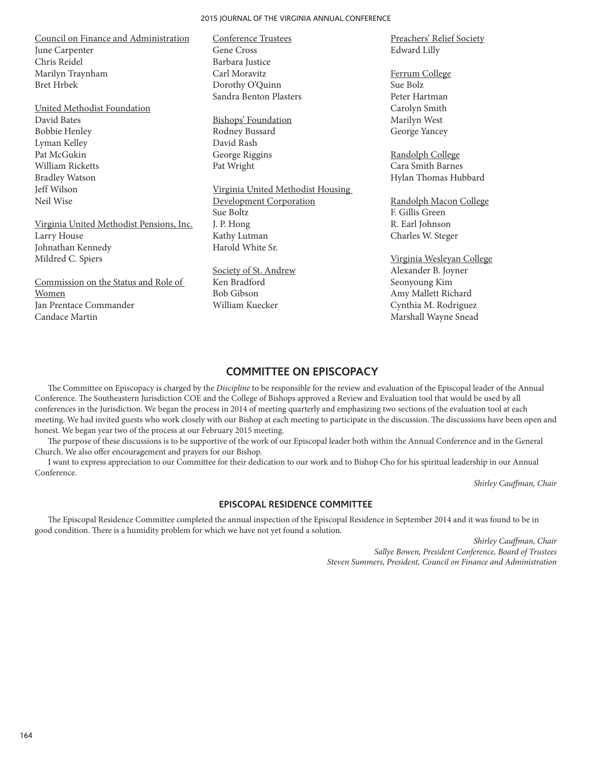Council on Finance and Administration June Carpenter Chris Reidel Marilyn Traynham Bret Hrbek

United Methodist Foundation David Bates Bobbie Henley Lyman Kelley Pat McGukin William Ricketts Bradley Watson Jeff Wilson Neil Wise

Virginia United Methodist Pensions, Inc. Larry House Johnathan Kennedy Mildred C. Spiers

Commission on the Status and Role of Women Jan Prentace Commander Candace Martin

Conference Trustees Gene Cross Barbara Justice Carl Moravitz Dorothy O'Quinn Sandra Benton Plasters

Bishops' Foundation Rodney Bussard David Rash George Riggins Pat Wright

Virginia United Methodist Housing Development Corporation Sue Boltz J. P. Hong Kathy Lutman Harold White Sr.

Society of St. Andrew Ken Bradford Bob Gibson William Kuecker

Preachers' Relief Society Edward Lilly

Ferrum College Sue Bolz Peter Hartman Carolyn Smith Marilyn West George Yancey

Randolph College Cara Smith Barnes Hylan Thomas Hubbard

Randolph Macon College F. Gillis Green R. Earl Johnson Charles W. Steger

Virginia Wesleyan College Alexander B. Joyner Seonyoung Kim Amy Mallett Richard Cynthia M. Rodriguez Marshall Wayne Snead

## **COMMITTEE ON EPISCOPACY**

The Committee on Episcopacy is charged by the *Discipline* to be responsible for the review and evaluation of the Episcopal leader of the Annual Conference. The Southeastern Jurisdiction COE and the College of Bishops approved a Review and Evaluation tool that would be used by all conferences in the Jurisdiction. We began the process in 2014 of meeting quarterly and emphasizing two sections of the evaluation tool at each meeting. We had invited guests who work closely with our Bishop at each meeting to participate in the discussion. The discussions have been open and honest. We began year two of the process at our February 2015 meeting.

The purpose of these discussions is to be supportive of the work of our Episcopal leader both within the Annual Conference and in the General Church. We also offer encouragement and prayers for our Bishop.

I want to express appreciation to our Committee for their dedication to our work and to Bishop Cho for his spiritual leadership in our Annual Conference.

*Shirley Cauffman, Chair*

### **EPISCOPAL RESIDENCE COMMITTEE**

The Episcopal Residence Committee completed the annual inspection of the Episcopal Residence in September 2014 and it was found to be in good condition. There is a humidity problem for which we have not yet found a solution.

> *Shirley Cauffman, Chair Sallye Bowen, President Conference, Board of Trustees Steven Summers, President, Council on Finance and Administration*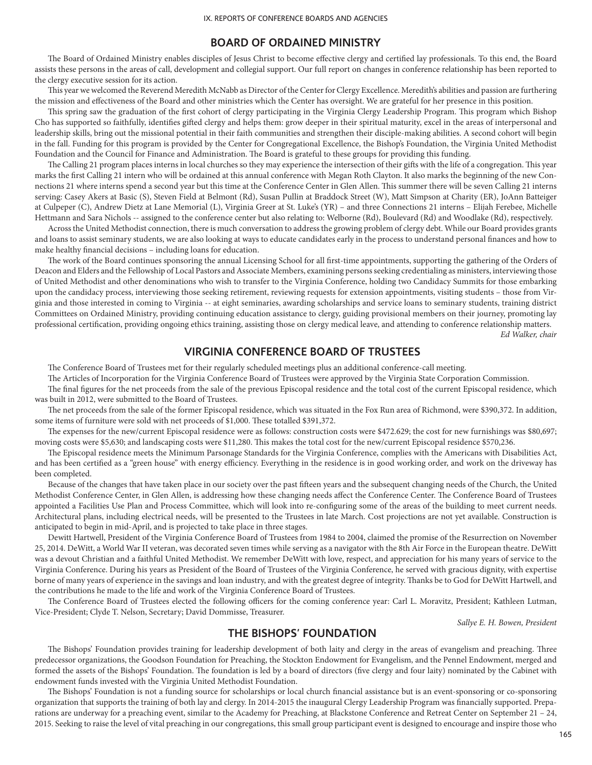## **BOARD OF ORDAINED MINISTRY**

The Board of Ordained Ministry enables disciples of Jesus Christ to become effective clergy and certified lay professionals. To this end, the Board assists these persons in the areas of call, development and collegial support. Our full report on changes in conference relationship has been reported to the clergy executive session for its action.

This year we welcomed the Reverend Meredith McNabb as Director of the Center for Clergy Excellence. Meredith's abilities and passion are furthering the mission and effectiveness of the Board and other ministries which the Center has oversight. We are grateful for her presence in this position.

This spring saw the graduation of the first cohort of clergy participating in the Virginia Clergy Leadership Program. This program which Bishop Cho has supported so faithfully, identifies gifted clergy and helps them: grow deeper in their spiritual maturity, excel in the areas of interpersonal and leadership skills, bring out the missional potential in their faith communities and strengthen their disciple-making abilities. A second cohort will begin in the fall. Funding for this program is provided by the Center for Congregational Excellence, the Bishop's Foundation, the Virginia United Methodist Foundation and the Council for Finance and Administration. The Board is grateful to these groups for providing this funding.

The Calling 21 program places interns in local churches so they may experience the intersection of their gifts with the life of a congregation. This year marks the first Calling 21 intern who will be ordained at this annual conference with Megan Roth Clayton. It also marks the beginning of the new Connections 21 where interns spend a second year but this time at the Conference Center in Glen Allen. This summer there will be seven Calling 21 interns serving: Casey Akers at Basic (S), Steven Field at Belmont (Rd), Susan Pullin at Braddock Street (W), Matt Simpson at Charity (ER), JoAnn Batteiger at Culpeper (C), Andrew Dietz at Lane Memorial (L), Virginia Greer at St. Luke's (YR) – and three Connections 21 interns – Elijah Ferebee, Michelle Hettmann and Sara Nichols -- assigned to the conference center but also relating to: Welborne (Rd), Boulevard (Rd) and Woodlake (Rd), respectively.

Across the United Methodist connection, there is much conversation to address the growing problem of clergy debt. While our Board provides grants and loans to assist seminary students, we are also looking at ways to educate candidates early in the process to understand personal finances and how to make healthy financial decisions – including loans for education.

The work of the Board continues sponsoring the annual Licensing School for all first-time appointments, supporting the gathering of the Orders of Deacon and Elders and the Fellowship of Local Pastors and Associate Members, examining persons seeking credentialing as ministers, interviewing those of United Methodist and other denominations who wish to transfer to the Virginia Conference, holding two Candidacy Summits for those embarking upon the candidacy process, interviewing those seeking retirement, reviewing requests for extension appointments, visiting students – those from Virginia and those interested in coming to Virginia -- at eight seminaries, awarding scholarships and service loans to seminary students, training district Committees on Ordained Ministry, providing continuing education assistance to clergy, guiding provisional members on their journey, promoting lay professional certification, providing ongoing ethics training, assisting those on clergy medical leave, and attending to conference relationship matters.

*Ed Walker, chair*

## **VIRGINIA CONFERENCE BOARD OF TRUSTEES**

The Conference Board of Trustees met for their regularly scheduled meetings plus an additional conference-call meeting.

The Articles of Incorporation for the Virginia Conference Board of Trustees were approved by the Virginia State Corporation Commission.

The final figures for the net proceeds from the sale of the previous Episcopal residence and the total cost of the current Episcopal residence, which was built in 2012, were submitted to the Board of Trustees.

The net proceeds from the sale of the former Episcopal residence, which was situated in the Fox Run area of Richmond, were \$390,372. In addition, some items of furniture were sold with net proceeds of \$1,000. These totalled \$391,372.

The expenses for the new/current Episcopal residence were as follows: construction costs were \$472.629; the cost for new furnishings was \$80,697; moving costs were \$5,630; and landscaping costs were \$11,280. This makes the total cost for the new/current Episcopal residence \$570,236.

The Episcopal residence meets the Minimum Parsonage Standards for the Virginia Conference, complies with the Americans with Disabilities Act, and has been certified as a "green house" with energy efficiency. Everything in the residence is in good working order, and work on the driveway has been completed.

Because of the changes that have taken place in our society over the past fifteen years and the subsequent changing needs of the Church, the United Methodist Conference Center, in Glen Allen, is addressing how these changing needs affect the Conference Center. The Conference Board of Trustees appointed a Facilities Use Plan and Process Committee, which will look into re-configuring some of the areas of the building to meet current needs. Architectural plans, including electrical needs, will be presented to the Trustees in late March. Cost projections are not yet available. Construction is anticipated to begin in mid-April, and is projected to take place in three stages.

Dewitt Hartwell, President of the Virginia Conference Board of Trustees from 1984 to 2004, claimed the promise of the Resurrection on November 25, 2014. DeWitt, a World War II veteran, was decorated seven times while serving as a navigator with the 8th Air Force in the European theatre. DeWitt was a devout Christian and a faithful United Methodist. We remember DeWitt with love, respect, and appreciation for his many years of service to the Virginia Conference. During his years as President of the Board of Trustees of the Virginia Conference, he served with gracious dignity, with expertise borne of many years of experience in the savings and loan industry, and with the greatest degree of integrity. Thanks be to God for DeWitt Hartwell, and the contributions he made to the life and work of the Virginia Conference Board of Trustees.

The Conference Board of Trustees elected the following officers for the coming conference year: Carl L. Moravitz, President; Kathleen Lutman, Vice-President; Clyde T. Nelson, Secretary; David Dommisse, Treasurer.

*Sallye E. H. Bowen, President*

## **THE BISHOPS' FOUNDATION**

The Bishops' Foundation provides training for leadership development of both laity and clergy in the areas of evangelism and preaching. Three predecessor organizations, the Goodson Foundation for Preaching, the Stockton Endowment for Evangelism, and the Pennel Endowment, merged and formed the assets of the Bishops' Foundation. The foundation is led by a board of directors (five clergy and four laity) nominated by the Cabinet with endowment funds invested with the Virginia United Methodist Foundation.

The Bishops' Foundation is not a funding source for scholarships or local church financial assistance but is an event-sponsoring or co-sponsoring organization that supports the training of both lay and clergy. In 2014-2015 the inaugural Clergy Leadership Program was financially supported. Preparations are underway for a preaching event, similar to the Academy for Preaching, at Blackstone Conference and Retreat Center on September 21 – 24, 2015. Seeking to raise the level of vital preaching in our congregations, this small group participant event is designed to encourage and inspire those who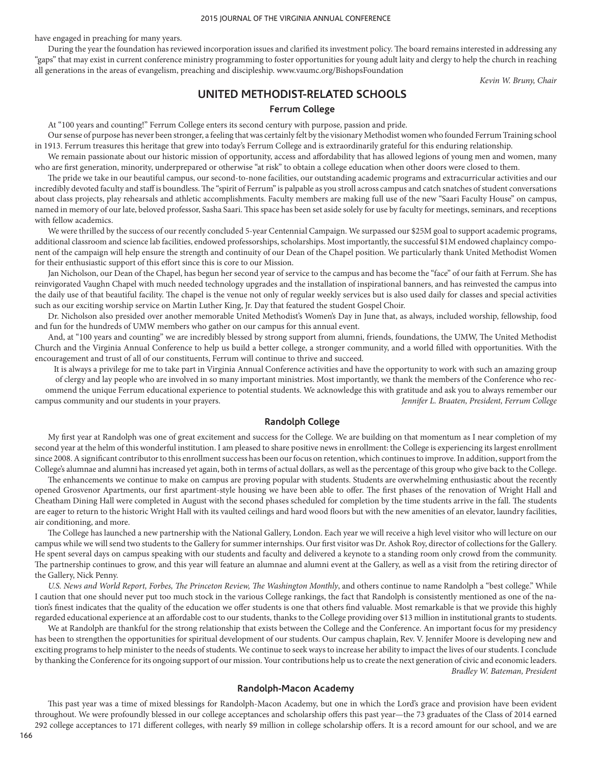have engaged in preaching for many years.

During the year the foundation has reviewed incorporation issues and clarified its investment policy. The board remains interested in addressing any "gaps" that may exist in current conference ministry programming to foster opportunities for young adult laity and clergy to help the church in reaching all generations in the areas of evangelism, preaching and discipleship. www.vaumc.org/BishopsFoundation

*Kevin W. Bruny, Chair*

# **UNITED METHODIST-RELATED SCHOOLS**

### **Ferrum College**

At "100 years and counting!" Ferrum College enters its second century with purpose, passion and pride.

Our sense of purpose has never been stronger, a feeling that was certainly felt by the visionary Methodist women who founded Ferrum Training school in 1913. Ferrum treasures this heritage that grew into today's Ferrum College and is extraordinarily grateful for this enduring relationship.

We remain passionate about our historic mission of opportunity, access and affordability that has allowed legions of young men and women, many who are first generation, minority, underprepared or otherwise "at risk" to obtain a college education when other doors were closed to them.

The pride we take in our beautiful campus, our second-to-none facilities, our outstanding academic programs and extracurricular activities and our incredibly devoted faculty and staff is boundless. The "spirit of Ferrum" is palpable as you stroll across campus and catch snatches of student conversations about class projects, play rehearsals and athletic accomplishments. Faculty members are making full use of the new "Saari Faculty House" on campus, named in memory of our late, beloved professor, Sasha Saari. This space has been set aside solely for use by faculty for meetings, seminars, and receptions with fellow academics.

We were thrilled by the success of our recently concluded 5-year Centennial Campaign. We surpassed our \$25M goal to support academic programs, additional classroom and science lab facilities, endowed professorships, scholarships. Most importantly, the successful \$1M endowed chaplaincy component of the campaign will help ensure the strength and continuity of our Dean of the Chapel position. We particularly thank United Methodist Women for their enthusiastic support of this effort since this is core to our Mission.

Jan Nicholson, our Dean of the Chapel, has begun her second year of service to the campus and has become the "face" of our faith at Ferrum. She has reinvigorated Vaughn Chapel with much needed technology upgrades and the installation of inspirational banners, and has reinvested the campus into the daily use of that beautiful facility. The chapel is the venue not only of regular weekly services but is also used daily for classes and special activities such as our exciting worship service on Martin Luther King, Jr. Day that featured the student Gospel Choir.

Dr. Nicholson also presided over another memorable United Methodist's Women's Day in June that, as always, included worship, fellowship, food and fun for the hundreds of UMW members who gather on our campus for this annual event.

And, at "100 years and counting" we are incredibly blessed by strong support from alumni, friends, foundations, the UMW, The United Methodist Church and the Virginia Annual Conference to help us build a better college, a stronger community, and a world filled with opportunities. With the encouragement and trust of all of our constituents, Ferrum will continue to thrive and succeed.

It is always a privilege for me to take part in Virginia Annual Conference activities and have the opportunity to work with such an amazing group of clergy and lay people who are involved in so many important ministries. Most importantly, we thank the members of the Conference who recommend the unique Ferrum educational experience to potential students. We acknowledge this with gratitude and ask you to always remember our campus community and our students in your prayers. *Jennifer L. Braaten, President, Ferrum College*

## **Randolph College**

My first year at Randolph was one of great excitement and success for the College. We are building on that momentum as I near completion of my second year at the helm of this wonderful institution. I am pleased to share positive news in enrollment: the College is experiencing its largest enrollment since 2008. A significant contributor to this enrollment success has been our focus on retention, which continues to improve. In addition, support from the College's alumnae and alumni has increased yet again, both in terms of actual dollars, as well as the percentage of this group who give back to the College.

The enhancements we continue to make on campus are proving popular with students. Students are overwhelming enthusiastic about the recently opened Grosvenor Apartments, our first apartment-style housing we have been able to offer. The first phases of the renovation of Wright Hall and Cheatham Dining Hall were completed in August with the second phases scheduled for completion by the time students arrive in the fall. The students are eager to return to the historic Wright Hall with its vaulted ceilings and hard wood floors but with the new amenities of an elevator, laundry facilities, air conditioning, and more.

The College has launched a new partnership with the National Gallery, London. Each year we will receive a high level visitor who will lecture on our campus while we will send two students to the Gallery for summer internships. Our first visitor was Dr. Ashok Roy, director of collections for the Gallery. He spent several days on campus speaking with our students and faculty and delivered a keynote to a standing room only crowd from the community. The partnership continues to grow, and this year will feature an alumnae and alumni event at the Gallery, as well as a visit from the retiring director of the Gallery, Nick Penny.

U.S. News and World Report, Forbes, The Princeton Review, The Washington Monthly, and others continue to name Randolph a "best college." While I caution that one should never put too much stock in the various College rankings, the fact that Randolph is consistently mentioned as one of the nation's finest indicates that the quality of the education we offer students is one that others find valuable. Most remarkable is that we provide this highly regarded educational experience at an affordable cost to our students, thanks to the College providing over \$13 million in institutional grants to students.

We at Randolph are thankful for the strong relationship that exists between the College and the Conference. An important focus for my presidency has been to strengthen the opportunities for spiritual development of our students. Our campus chaplain, Rev. V. Jennifer Moore is developing new and exciting programs to help minister to the needs of students. We continue to seek ways to increase her ability to impact the lives of our students. I conclude by thanking the Conference for its ongoing support of our mission. Your contributions help us to create the next generation of civic and economic leaders.

*Bradley W. Bateman, President*

## **Randolph-Macon Academy**

This past year was a time of mixed blessings for Randolph-Macon Academy, but one in which the Lord's grace and provision have been evident throughout. We were profoundly blessed in our college acceptances and scholarship offers this past year—the 73 graduates of the Class of 2014 earned 292 college acceptances to 171 different colleges, with nearly \$9 million in college scholarship offers. It is a record amount for our school, and we are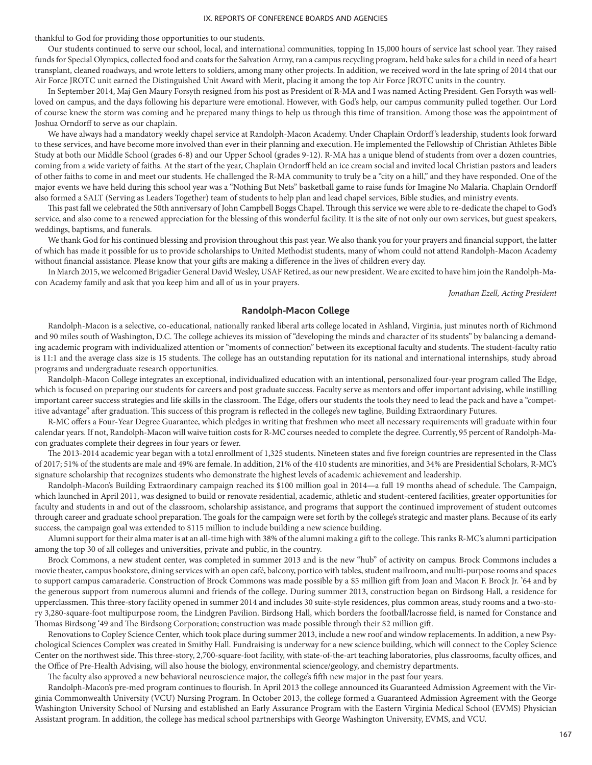thankful to God for providing those opportunities to our students.

Our students continued to serve our school, local, and international communities, topping In 15,000 hours of service last school year. They raised funds for Special Olympics, collected food and coats for the Salvation Army, ran a campus recycling program, held bake sales for a child in need of a heart transplant, cleaned roadways, and wrote letters to soldiers, among many other projects. In addition, we received word in the late spring of 2014 that our Air Force JROTC unit earned the Distinguished Unit Award with Merit, placing it among the top Air Force JROTC units in the country.

In September 2014, Maj Gen Maury Forsyth resigned from his post as President of R-MA and I was named Acting President. Gen Forsyth was wellloved on campus, and the days following his departure were emotional. However, with God's help, our campus community pulled together. Our Lord of course knew the storm was coming and he prepared many things to help us through this time of transition. Among those was the appointment of Joshua Orndorff to serve as our chaplain.

We have always had a mandatory weekly chapel service at Randolph-Macon Academy. Under Chaplain Ordorff 's leadership, students look forward to these services, and have become more involved than ever in their planning and execution. He implemented the Fellowship of Christian Athletes Bible Study at both our Middle School (grades 6-8) and our Upper School (grades 9-12). R-MA has a unique blend of students from over a dozen countries, coming from a wide variety of faiths. At the start of the year, Chaplain Orndorff held an ice cream social and invited local Christian pastors and leaders of other faiths to come in and meet our students. He challenged the R-MA community to truly be a "city on a hill," and they have responded. One of the major events we have held during this school year was a "Nothing But Nets" basketball game to raise funds for Imagine No Malaria. Chaplain Orndorff also formed a SALT (Serving as Leaders Together) team of students to help plan and lead chapel services, Bible studies, and ministry events.

This past fall we celebrated the 50th anniversary of John Campbell Boggs Chapel. Through this service we were able to re-dedicate the chapel to God's service, and also come to a renewed appreciation for the blessing of this wonderful facility. It is the site of not only our own services, but guest speakers, weddings, baptisms, and funerals.

We thank God for his continued blessing and provision throughout this past year. We also thank you for your prayers and financial support, the latter of which has made it possible for us to provide scholarships to United Methodist students, many of whom could not attend Randolph-Macon Academy without financial assistance. Please know that your gifts are making a difference in the lives of children every day.

In March 2015, we welcomed Brigadier General David Wesley, USAF Retired, as our new president. We are excited to have him join the Randolph-Macon Academy family and ask that you keep him and all of us in your prayers.

*Jonathan Ezell, Acting President*

### **Randolph-Macon College**

Randolph-Macon is a selective, co-educational, nationally ranked liberal arts college located in Ashland, Virginia, just minutes north of Richmond and 90 miles south of Washington, D.C. The college achieves its mission of "developing the minds and character of its students" by balancing a demanding academic program with individualized attention or "moments of connection" between its exceptional faculty and students. The student-faculty ratio is 11:1 and the average class size is 15 students. The college has an outstanding reputation for its national and international internships, study abroad programs and undergraduate research opportunities.

Randolph-Macon College integrates an exceptional, individualized education with an intentional, personalized four-year program called The Edge, which is focused on preparing our students for careers and post graduate success. Faculty serve as mentors and offer important advising, while instilling important career success strategies and life skills in the classroom. The Edge, offers our students the tools they need to lead the pack and have a "competitive advantage" after graduation. This success of this program is reflected in the college's new tagline, Building Extraordinary Futures.

R-MC offers a Four-Year Degree Guarantee, which pledges in writing that freshmen who meet all necessary requirements will graduate within four calendar years. If not, Randolph-Macon will waive tuition costs for R-MC courses needed to complete the degree. Currently, 95 percent of Randolph-Macon graduates complete their degrees in four years or fewer.

The 2013-2014 academic year began with a total enrollment of 1,325 students. Nineteen states and five foreign countries are represented in the Class of 2017; 51% of the students are male and 49% are female. In addition, 21% of the 410 students are minorities, and 34% are Presidential Scholars, R-MC's signature scholarship that recognizes students who demonstrate the highest levels of academic achievement and leadership.

Randolph-Macon's Building Extraordinary campaign reached its \$100 million goal in 2014—a full 19 months ahead of schedule. The Campaign, which launched in April 2011, was designed to build or renovate residential, academic, athletic and student-centered facilities, greater opportunities for faculty and students in and out of the classroom, scholarship assistance, and programs that support the continued improvement of student outcomes through career and graduate school preparation. The goals for the campaign were set forth by the college's strategic and master plans. Because of its early success, the campaign goal was extended to \$115 million to include building a new science building.

Alumni support for their alma mater is at an all-time high with 38% of the alumni making a gift to the college. This ranks R-MC's alumni participation among the top 30 of all colleges and universities, private and public, in the country.

Brock Commons, a new student center, was completed in summer 2013 and is the new "hub" of activity on campus. Brock Commons includes a movie theater, campus bookstore, dining services with an open café, balcony, portico with tables, student mailroom, and multi-purpose rooms and spaces to support campus camaraderie. Construction of Brock Commons was made possible by a \$5 million gift from Joan and Macon F. Brock Jr. '64 and by the generous support from numerous alumni and friends of the college. During summer 2013, construction began on Birdsong Hall, a residence for upperclassmen. This three-story facility opened in summer 2014 and includes 30 suite-style residences, plus common areas, study rooms and a two-story 3,280-square-foot multipurpose room, the Lindgren Pavilion. Birdsong Hall, which borders the football/lacrosse field, is named for Constance and Thomas Birdsong '49 and The Birdsong Corporation; construction was made possible through their \$2 million gift.

Renovations to Copley Science Center, which took place during summer 2013, include a new roof and window replacements. In addition, a new Psychological Sciences Complex was created in Smithy Hall. Fundraising is underway for a new science building, which will connect to the Copley Science Center on the northwest side. This three-story, 2,700-square-foot facility, with state-of-the-art teaching laboratories, plus classrooms, faculty offices, and the Office of Pre-Health Advising, will also house the biology, environmental science/geology, and chemistry departments.

The faculty also approved a new behavioral neuroscience major, the college's fifth new major in the past four years.

Randolph-Macon's pre-med program continues to flourish. In April 2013 the college announced its Guaranteed Admission Agreement with the Virginia Commonwealth University (VCU) Nursing Program. In October 2013, the college formed a Guaranteed Admission Agreement with the George Washington University School of Nursing and established an Early Assurance Program with the Eastern Virginia Medical School (EVMS) Physician Assistant program. In addition, the college has medical school partnerships with George Washington University, EVMS, and VCU.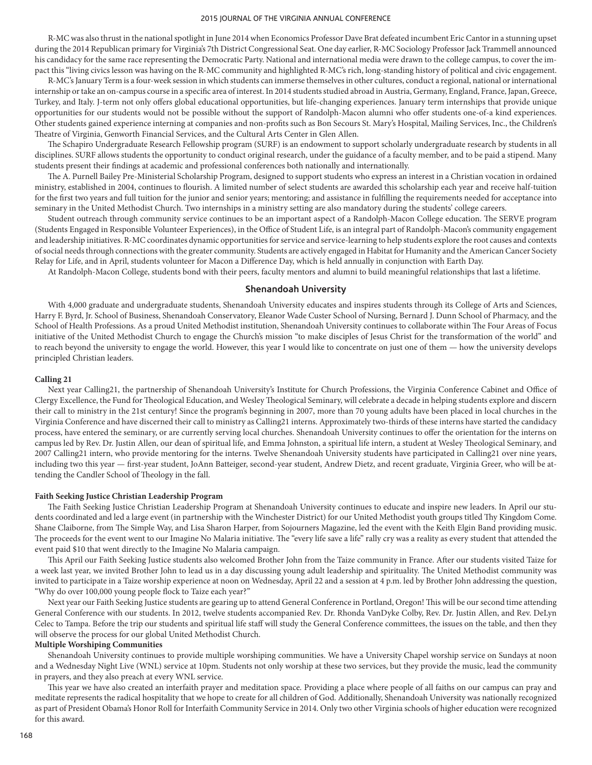R-MC was also thrust in the national spotlight in June 2014 when Economics Professor Dave Brat defeated incumbent Eric Cantor in a stunning upset during the 2014 Republican primary for Virginia's 7th District Congressional Seat. One day earlier, R-MC Sociology Professor Jack Trammell announced his candidacy for the same race representing the Democratic Party. National and international media were drawn to the college campus, to cover the impact this "living civics lesson was having on the R-MC community and highlighted R-MC's rich, long-standing history of political and civic engagement.

R-MC's January Term is a four-week session in which students can immerse themselves in other cultures, conduct a regional, national or international internship or take an on-campus course in a specific area of interest. In 2014 students studied abroad in Austria, Germany, England, France, Japan, Greece, Turkey, and Italy. J-term not only offers global educational opportunities, but life-changing experiences. January term internships that provide unique opportunities for our students would not be possible without the support of Randolph-Macon alumni who offer students one-of-a kind experiences. Other students gained experience interning at companies and non-profits such as Bon Secours St. Mary's Hospital, Mailing Services, Inc., the Children's Theatre of Virginia, Genworth Financial Services, and the Cultural Arts Center in Glen Allen.

The Schapiro Undergraduate Research Fellowship program (SURF) is an endowment to support scholarly undergraduate research by students in all disciplines. SURF allows students the opportunity to conduct original research, under the guidance of a faculty member, and to be paid a stipend. Many students present their findings at academic and professional conferences both nationally and internationally.

The A. Purnell Bailey Pre-Ministerial Scholarship Program, designed to support students who express an interest in a Christian vocation in ordained ministry, established in 2004, continues to flourish. A limited number of select students are awarded this scholarship each year and receive half-tuition for the first two years and full tuition for the junior and senior years; mentoring; and assistance in fulfilling the requirements needed for acceptance into seminary in the United Methodist Church. Two internships in a ministry setting are also mandatory during the students' college careers.

Student outreach through community service continues to be an important aspect of a Randolph-Macon College education. The SERVE program (Students Engaged in Responsible Volunteer Experiences), in the Office of Student Life, is an integral part of Randolph-Macon's community engagement and leadership initiatives. R-MC coordinates dynamic opportunities for service and service-learning to help students explore the root causes and contexts of social needs through connections with the greater community. Students are actively engaged in Habitat for Humanity and the American Cancer Society Relay for Life, and in April, students volunteer for Macon a Difference Day, which is held annually in conjunction with Earth Day.

At Randolph-Macon College, students bond with their peers, faculty mentors and alumni to build meaningful relationships that last a lifetime.

### **Shenandoah University**

With 4,000 graduate and undergraduate students, Shenandoah University educates and inspires students through its College of Arts and Sciences, Harry F. Byrd, Jr. School of Business, Shenandoah Conservatory, Eleanor Wade Custer School of Nursing, Bernard J. Dunn School of Pharmacy, and the School of Health Professions. As a proud United Methodist institution, Shenandoah University continues to collaborate within The Four Areas of Focus initiative of the United Methodist Church to engage the Church's mission "to make disciples of Jesus Christ for the transformation of the world" and to reach beyond the university to engage the world. However, this year I would like to concentrate on just one of them — how the university develops principled Christian leaders.

#### **Calling 21**

Next year Calling21, the partnership of Shenandoah University's Institute for Church Professions, the Virginia Conference Cabinet and Office of Clergy Excellence, the Fund for Theological Education, and Wesley Theological Seminary, will celebrate a decade in helping students explore and discern their call to ministry in the 21st century! Since the program's beginning in 2007, more than 70 young adults have been placed in local churches in the Virginia Conference and have discerned their call to ministry as Calling21 interns. Approximately two-thirds of these interns have started the candidacy process, have entered the seminary, or are currently serving local churches. Shenandoah University continues to offer the orientation for the interns on campus led by Rev. Dr. Justin Allen, our dean of spiritual life, and Emma Johnston, a spiritual life intern, a student at Wesley Theological Seminary, and 2007 Calling21 intern, who provide mentoring for the interns. Twelve Shenandoah University students have participated in Calling21 over nine years, including two this year — first-year student, JoAnn Batteiger, second-year student, Andrew Dietz, and recent graduate, Virginia Greer, who will be attending the Candler School of Theology in the fall.

#### **Faith Seeking Justice Christian Leadership Program**

The Faith Seeking Justice Christian Leadership Program at Shenandoah University continues to educate and inspire new leaders. In April our students coordinated and led a large event (in partnership with the Winchester District) for our United Methodist youth groups titled Thy Kingdom Come. Shane Claiborne, from The Simple Way, and Lisa Sharon Harper, from Sojourners Magazine, led the event with the Keith Elgin Band providing music. The proceeds for the event went to our Imagine No Malaria initiative. The "every life save a life" rally cry was a reality as every student that attended the event paid \$10 that went directly to the Imagine No Malaria campaign.

This April our Faith Seeking Justice students also welcomed Brother John from the Taize community in France. After our students visited Taize for a week last year, we invited Brother John to lead us in a day discussing young adult leadership and spirituality. The United Methodist community was invited to participate in a Taize worship experience at noon on Wednesday, April 22 and a session at 4 p.m. led by Brother John addressing the question, "Why do over 100,000 young people flock to Taize each year?"

Next year our Faith Seeking Justice students are gearing up to attend General Conference in Portland, Oregon! This will be our second time attending General Conference with our students. In 2012, twelve students accompanied Rev. Dr. Rhonda VanDyke Colby, Rev. Dr. Justin Allen, and Rev. DeLyn Celec to Tampa. Before the trip our students and spiritual life staff will study the General Conference committees, the issues on the table, and then they will observe the process for our global United Methodist Church.

#### **Multiple Worshiping Communities**

Shenandoah University continues to provide multiple worshiping communities. We have a University Chapel worship service on Sundays at noon and a Wednesday Night Live (WNL) service at 10pm. Students not only worship at these two services, but they provide the music, lead the community in prayers, and they also preach at every WNL service.

This year we have also created an interfaith prayer and meditation space. Providing a place where people of all faiths on our campus can pray and meditate represents the radical hospitality that we hope to create for all children of God. Additionally, Shenandoah University was nationally recognized as part of President Obama's Honor Roll for Interfaith Community Service in 2014. Only two other Virginia schools of higher education were recognized for this award.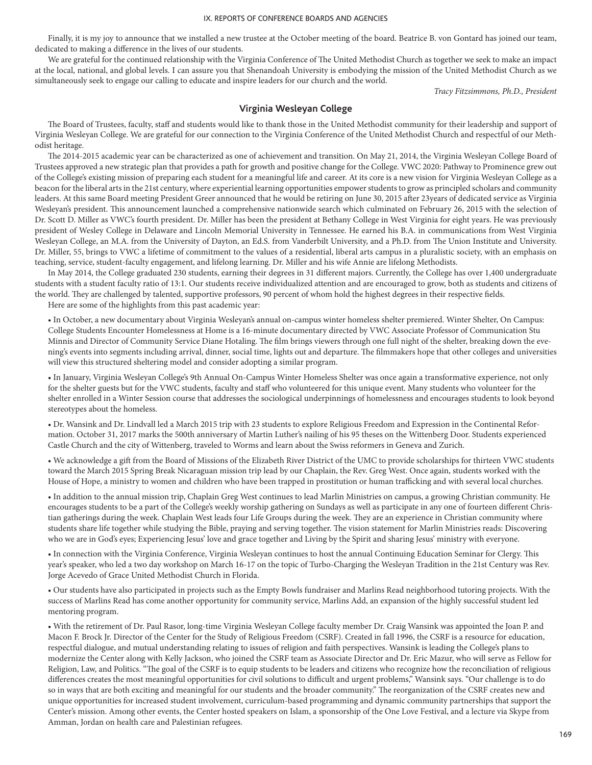Finally, it is my joy to announce that we installed a new trustee at the October meeting of the board. Beatrice B. von Gontard has joined our team, dedicated to making a difference in the lives of our students.

We are grateful for the continued relationship with the Virginia Conference of The United Methodist Church as together we seek to make an impact at the local, national, and global levels. I can assure you that Shenandoah University is embodying the mission of the United Methodist Church as we simultaneously seek to engage our calling to educate and inspire leaders for our church and the world.

*Tracy Fitzsimmons, Ph.D., President*

### **Virginia Wesleyan College**

The Board of Trustees, faculty, staff and students would like to thank those in the United Methodist community for their leadership and support of Virginia Wesleyan College. We are grateful for our connection to the Virginia Conference of the United Methodist Church and respectful of our Methodist heritage.

The 2014-2015 academic year can be characterized as one of achievement and transition. On May 21, 2014, the Virginia Wesleyan College Board of Trustees approved a new strategic plan that provides a path for growth and positive change for the College. VWC 2020: Pathway to Prominence grew out of the College's existing mission of preparing each student for a meaningful life and career. At its core is a new vision for Virginia Wesleyan College as a beacon for the liberal arts in the 21st century, where experiential learning opportunities empower students to grow as principled scholars and community leaders. At this same Board meeting President Greer announced that he would be retiring on June 30, 2015 after 23years of dedicated service as Virginia Wesleyan's president. This announcement launched a comprehensive nationwide search which culminated on February 26, 2015 with the selection of Dr. Scott D. Miller as VWC's fourth president. Dr. Miller has been the president at Bethany College in West Virginia for eight years. He was previously president of Wesley College in Delaware and Lincoln Memorial University in Tennessee. He earned his B.A. in communications from West Virginia Wesleyan College, an M.A. from the University of Dayton, an Ed.S. from Vanderbilt University, and a Ph.D. from The Union Institute and University. Dr. Miller, 55, brings to VWC a lifetime of commitment to the values of a residential, liberal arts campus in a pluralistic society, with an emphasis on teaching, service, student-faculty engagement, and lifelong learning. Dr. Miller and his wife Annie are lifelong Methodists.

In May 2014, the College graduated 230 students, earning their degrees in 31 different majors. Currently, the College has over 1,400 undergraduate students with a student faculty ratio of 13:1. Our students receive individualized attention and are encouraged to grow, both as students and citizens of the world. They are challenged by talented, supportive professors, 90 percent of whom hold the highest degrees in their respective fields.

Here are some of the highlights from this past academic year:

• In October, a new documentary about Virginia Wesleyan's annual on-campus winter homeless shelter premiered. Winter Shelter, On Campus: College Students Encounter Homelessness at Home is a 16-minute documentary directed by VWC Associate Professor of Communication Stu Minnis and Director of Community Service Diane Hotaling. The film brings viewers through one full night of the shelter, breaking down the evening's events into segments including arrival, dinner, social time, lights out and departure. The filmmakers hope that other colleges and universities will view this structured sheltering model and consider adopting a similar program.

• In January, Virginia Wesleyan College's 9th Annual On-Campus Winter Homeless Shelter was once again a transformative experience, not only for the shelter guests but for the VWC students, faculty and staff who volunteered for this unique event. Many students who volunteer for the shelter enrolled in a Winter Session course that addresses the sociological underpinnings of homelessness and encourages students to look beyond stereotypes about the homeless.

• Dr. Wansink and Dr. Lindvall led a March 2015 trip with 23 students to explore Religious Freedom and Expression in the Continental Reformation. October 31, 2017 marks the 500th anniversary of Martin Luther's nailing of his 95 theses on the Wittenberg Door. Students experienced Castle Church and the city of Wittenberg, traveled to Worms and learn about the Swiss reformers in Geneva and Zurich.

• We acknowledge a gift from the Board of Missions of the Elizabeth River District of the UMC to provide scholarships for thirteen VWC students toward the March 2015 Spring Break Nicaraguan mission trip lead by our Chaplain, the Rev. Greg West. Once again, students worked with the House of Hope, a ministry to women and children who have been trapped in prostitution or human trafficking and with several local churches.

• In addition to the annual mission trip, Chaplain Greg West continues to lead Marlin Ministries on campus, a growing Christian community. He encourages students to be a part of the College's weekly worship gathering on Sundays as well as participate in any one of fourteen different Christian gatherings during the week. Chaplain West leads four Life Groups during the week. They are an experience in Christian community where students share life together while studying the Bible, praying and serving together. The vision statement for Marlin Ministries reads: Discovering who we are in God's eyes; Experiencing Jesus' love and grace together and Living by the Spirit and sharing Jesus' ministry with everyone.

• In connection with the Virginia Conference, Virginia Wesleyan continues to host the annual Continuing Education Seminar for Clergy. This year's speaker, who led a two day workshop on March 16-17 on the topic of Turbo-Charging the Wesleyan Tradition in the 21st Century was Rev. Jorge Acevedo of Grace United Methodist Church in Florida.

• Our students have also participated in projects such as the Empty Bowls fundraiser and Marlins Read neighborhood tutoring projects. With the success of Marlins Read has come another opportunity for community service, Marlins Add, an expansion of the highly successful student led mentoring program.

• With the retirement of Dr. Paul Rasor, long-time Virginia Wesleyan College faculty member Dr. Craig Wansink was appointed the Joan P. and Macon F. Brock Jr. Director of the Center for the Study of Religious Freedom (CSRF). Created in fall 1996, the CSRF is a resource for education, respectful dialogue, and mutual understanding relating to issues of religion and faith perspectives. Wansink is leading the College's plans to modernize the Center along with Kelly Jackson, who joined the CSRF team as Associate Director and Dr. Eric Mazur, who will serve as Fellow for Religion, Law, and Politics. "The goal of the CSRF is to equip students to be leaders and citizens who recognize how the reconciliation of religious differences creates the most meaningful opportunities for civil solutions to difficult and urgent problems," Wansink says. "Our challenge is to do so in ways that are both exciting and meaningful for our students and the broader community." The reorganization of the CSRF creates new and unique opportunities for increased student involvement, curriculum-based programming and dynamic community partnerships that support the Center's mission. Among other events, the Center hosted speakers on Islam, a sponsorship of the One Love Festival, and a lecture via Skype from Amman, Jordan on health care and Palestinian refugees.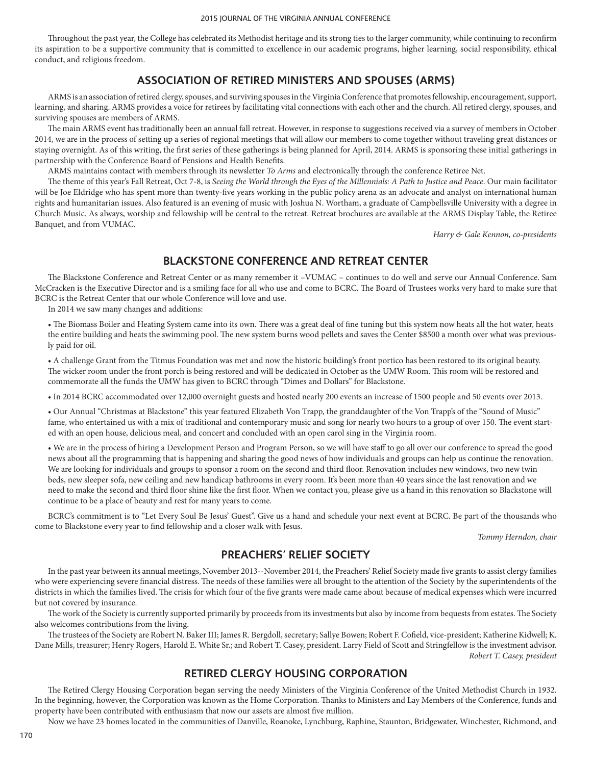Throughout the past year, the College has celebrated its Methodist heritage and its strong ties to the larger community, while continuing to reconfirm its aspiration to be a supportive community that is committed to excellence in our academic programs, higher learning, social responsibility, ethical conduct, and religious freedom.

# **ASSOCIATION OF RETIRED MINISTERS AND SPOUSES (ARMS)**

ARMS is an association of retired clergy, spouses, and surviving spouses in the Virginia Conference that promotes fellowship, encouragement, support, learning, and sharing. ARMS provides a voice for retirees by facilitating vital connections with each other and the church. All retired clergy, spouses, and surviving spouses are members of ARMS.

The main ARMS event has traditionally been an annual fall retreat. However, in response to suggestions received via a survey of members in October 2014, we are in the process of setting up a series of regional meetings that will allow our members to come together without traveling great distances or staying overnight. As of this writing, the first series of these gatherings is being planned for April, 2014. ARMS is sponsoring these initial gatherings in partnership with the Conference Board of Pensions and Health Benefits.

ARMS maintains contact with members through its newsletter *To Arms* and electronically through the conference Retiree Net.

The theme of this year's Fall Retreat, Oct 7-8, is *Seeing the World through the Eyes of the Millennials: A Path to Justice and Peace*. Our main facilitator will be Joe Eldridge who has spent more than twenty-five years working in the public policy arena as an advocate and analyst on international human rights and humanitarian issues. Also featured is an evening of music with Joshua N. Wortham, a graduate of Campbellsville University with a degree in Church Music. As always, worship and fellowship will be central to the retreat. Retreat brochures are available at the ARMS Display Table, the Retiree Banquet, and from VUMAC.

*Harry & Gale Kennon, co-presidents*

# **BLACKSTONE CONFERENCE AND RETREAT CENTER**

The Blackstone Conference and Retreat Center or as many remember it –VUMAC – continues to do well and serve our Annual Conference. Sam McCracken is the Executive Director and is a smiling face for all who use and come to BCRC. The Board of Trustees works very hard to make sure that BCRC is the Retreat Center that our whole Conference will love and use.

In 2014 we saw many changes and additions:

• The Biomass Boiler and Heating System came into its own. There was a great deal of fine tuning but this system now heats all the hot water, heats the entire building and heats the swimming pool. The new system burns wood pellets and saves the Center \$8500 a month over what was previously paid for oil.

• A challenge Grant from the Titmus Foundation was met and now the historic building's front portico has been restored to its original beauty. The wicker room under the front porch is being restored and will be dedicated in October as the UMW Room. This room will be restored and commemorate all the funds the UMW has given to BCRC through "Dimes and Dollars" for Blackstone.

• In 2014 BCRC accommodated over 12,000 overnight guests and hosted nearly 200 events an increase of 1500 people and 50 events over 2013.

• Our Annual "Christmas at Blackstone" this year featured Elizabeth Von Trapp, the granddaughter of the Von Trapp's of the "Sound of Music" fame, who entertained us with a mix of traditional and contemporary music and song for nearly two hours to a group of over 150. The event started with an open house, delicious meal, and concert and concluded with an open carol sing in the Virginia room.

• We are in the process of hiring a Development Person and Program Person, so we will have staff to go all over our conference to spread the good news about all the programming that is happening and sharing the good news of how individuals and groups can help us continue the renovation. We are looking for individuals and groups to sponsor a room on the second and third floor. Renovation includes new windows, two new twin beds, new sleeper sofa, new ceiling and new handicap bathrooms in every room. It's been more than 40 years since the last renovation and we need to make the second and third floor shine like the first floor. When we contact you, please give us a hand in this renovation so Blackstone will continue to be a place of beauty and rest for many years to come.

BCRC's commitment is to "Let Every Soul Be Jesus' Guest". Give us a hand and schedule your next event at BCRC. Be part of the thousands who come to Blackstone every year to find fellowship and a closer walk with Jesus.

*Tommy Herndon, chair*

# **PREACHERS' RELIEF SOCIETY**

In the past year between its annual meetings, November 2013--November 2014, the Preachers' Relief Society made five grants to assist clergy families who were experiencing severe financial distress. The needs of these families were all brought to the attention of the Society by the superintendents of the districts in which the families lived. The crisis for which four of the five grants were made came about because of medical expenses which were incurred but not covered by insurance.

The work of the Society is currently supported primarily by proceeds from its investments but also by income from bequests from estates. The Society also welcomes contributions from the living.

The trustees of the Society are Robert N. Baker III; James R. Bergdoll, secretary; Sallye Bowen; Robert F. Cofield, vice-president; Katherine Kidwell; K. Dane Mills, treasurer; Henry Rogers, Harold E. White Sr.; and Robert T. Casey, president. Larry Field of Scott and Stringfellow is the investment advisor. *Robert T. Casey, president*

# **RETIRED CLERGY HOUSING CORPORATION**

The Retired Clergy Housing Corporation began serving the needy Ministers of the Virginia Conference of the United Methodist Church in 1932. In the beginning, however, the Corporation was known as the Home Corporation. Thanks to Ministers and Lay Members of the Conference, funds and property have been contributed with enthusiasm that now our assets are almost five million.

Now we have 23 homes located in the communities of Danville, Roanoke, Lynchburg, Raphine, Staunton, Bridgewater, Winchester, Richmond, and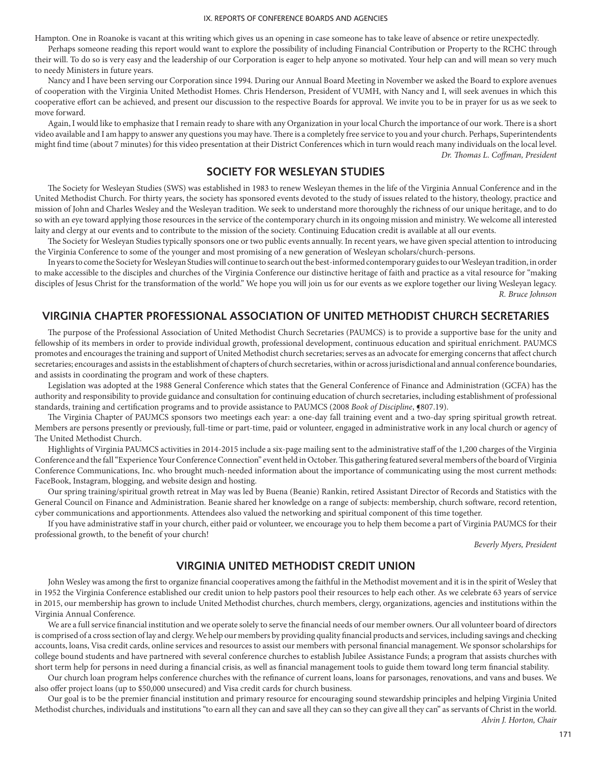Hampton. One in Roanoke is vacant at this writing which gives us an opening in case someone has to take leave of absence or retire unexpectedly.

Perhaps someone reading this report would want to explore the possibility of including Financial Contribution or Property to the RCHC through their will. To do so is very easy and the leadership of our Corporation is eager to help anyone so motivated. Your help can and will mean so very much to needy Ministers in future years.

Nancy and I have been serving our Corporation since 1994. During our Annual Board Meeting in November we asked the Board to explore avenues of cooperation with the Virginia United Methodist Homes. Chris Henderson, President of VUMH, with Nancy and I, will seek avenues in which this cooperative effort can be achieved, and present our discussion to the respective Boards for approval. We invite you to be in prayer for us as we seek to move forward.

Again, I would like to emphasize that I remain ready to share with any Organization in your local Church the importance of our work. There is a short video available and I am happy to answer any questions you may have. There is a completely free service to you and your church. Perhaps, Superintendents might find time (about 7 minutes) for this video presentation at their District Conferences which in turn would reach many individuals on the local level. *Dr. Thomas L. Coffman, President*

# **SOCIETY FOR WESLEYAN STUDIES**

The Society for Wesleyan Studies (SWS) was established in 1983 to renew Wesleyan themes in the life of the Virginia Annual Conference and in the United Methodist Church. For thirty years, the society has sponsored events devoted to the study of issues related to the history, theology, practice and mission of John and Charles Wesley and the Wesleyan tradition. We seek to understand more thoroughly the richness of our unique heritage, and to do so with an eye toward applying those resources in the service of the contemporary church in its ongoing mission and ministry. We welcome all interested laity and clergy at our events and to contribute to the mission of the society. Continuing Education credit is available at all our events.

The Society for Wesleyan Studies typically sponsors one or two public events annually. In recent years, we have given special attention to introducing the Virginia Conference to some of the younger and most promising of a new generation of Wesleyan scholars/church-persons.

In years to come the Society for Wesleyan Studies will continue to search out the best-informed contemporary guides to our Wesleyan tradition, in order to make accessible to the disciples and churches of the Virginia Conference our distinctive heritage of faith and practice as a vital resource for "making disciples of Jesus Christ for the transformation of the world." We hope you will join us for our events as we explore together our living Wesleyan legacy. *R. Bruce Johnson*

# **VIRGINIA CHAPTER PROFESSIONAL ASSOCIATION OF UNITED METHODIST CHURCH SECRETARIES**

The purpose of the Professional Association of United Methodist Church Secretaries (PAUMCS) is to provide a supportive base for the unity and fellowship of its members in order to provide individual growth, professional development, continuous education and spiritual enrichment. PAUMCS promotes and encourages the training and support of United Methodist church secretaries; serves as an advocate for emerging concerns that affect church secretaries; encourages and assists in the establishment of chapters of church secretaries, within or across jurisdictional and annual conference boundaries, and assists in coordinating the program and work of these chapters.

Legislation was adopted at the 1988 General Conference which states that the General Conference of Finance and Administration (GCFA) has the authority and responsibility to provide guidance and consultation for continuing education of church secretaries, including establishment of professional standards, training and certification programs and to provide assistance to PAUMCS (2008 *Book of Discipline*, **[8**07.19).

The Virginia Chapter of PAUMCS sponsors two meetings each year: a one-day fall training event and a two-day spring spiritual growth retreat. Members are persons presently or previously, full-time or part-time, paid or volunteer, engaged in administrative work in any local church or agency of The United Methodist Church.

Highlights of Virginia PAUMCS activities in 2014-2015 include a six-page mailing sent to the administrative staff of the 1,200 charges of the Virginia Conference and the fall "Experience Your Conference Connection" event held in October. This gathering featured several members of the board of Virginia Conference Communications, Inc. who brought much-needed information about the importance of communicating using the most current methods: FaceBook, Instagram, blogging, and website design and hosting.

Our spring training/spiritual growth retreat in May was led by Buena (Beanie) Rankin, retired Assistant Director of Records and Statistics with the General Council on Finance and Administration. Beanie shared her knowledge on a range of subjects: membership, church software, record retention, cyber communications and apportionments. Attendees also valued the networking and spiritual component of this time together.

If you have administrative staff in your church, either paid or volunteer, we encourage you to help them become a part of Virginia PAUMCS for their professional growth, to the benefit of your church!

*Beverly Myers, President*

# **VIRGINIA UNITED METHODIST CREDIT UNION**

John Wesley was among the first to organize financial cooperatives among the faithful in the Methodist movement and it is in the spirit of Wesley that in 1952 the Virginia Conference established our credit union to help pastors pool their resources to help each other. As we celebrate 63 years of service in 2015, our membership has grown to include United Methodist churches, church members, clergy, organizations, agencies and institutions within the Virginia Annual Conference.

We are a full service financial institution and we operate solely to serve the financial needs of our member owners. Our all volunteer board of directors is comprised of a cross section of lay and clergy. We help our members by providing quality financial products and services, including savings and checking accounts, loans, Visa credit cards, online services and resources to assist our members with personal financial management. We sponsor scholarships for college bound students and have partnered with several conference churches to establish Jubilee Assistance Funds; a program that assists churches with short term help for persons in need during a financial crisis, as well as financial management tools to guide them toward long term financial stability.

Our church loan program helps conference churches with the refinance of current loans, loans for parsonages, renovations, and vans and buses. We also offer project loans (up to \$50,000 unsecured) and Visa credit cards for church business.

Our goal is to be the premier financial institution and primary resource for encouraging sound stewardship principles and helping Virginia United Methodist churches, individuals and institutions "to earn all they can and save all they can so they can give all they can" as servants of Christ in the world.

*Alvin J. Horton, Chair*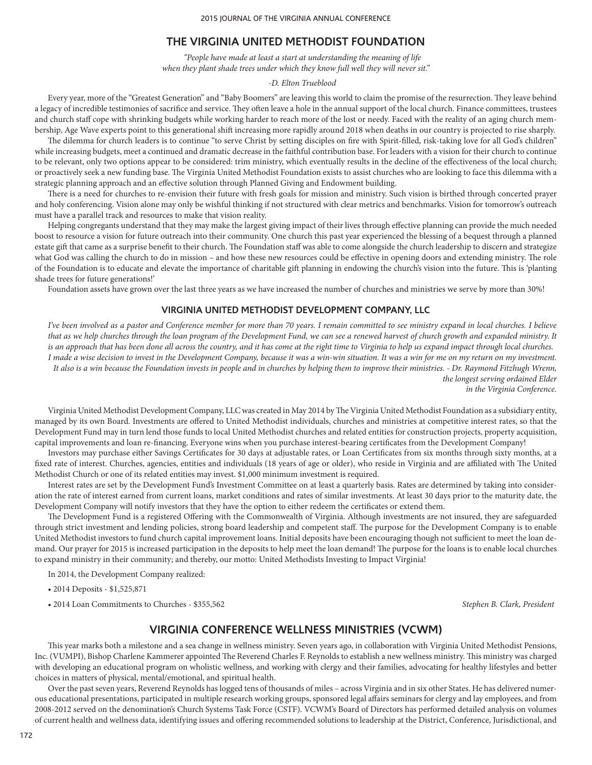## **THE VIRGINIA UNITED METHODIST FOUNDATION**

*"People have made at least a start at understanding the meaning of life when they plant shade trees under which they know full well they will never sit."*

### *-D. Elton Trueblood*

Every year, more of the "Greatest Generation" and "Baby Boomers" are leaving this world to claim the promise of the resurrection. They leave behind a legacy of incredible testimonies of sacrifice and service. They often leave a hole in the annual support of the local church. Finance committees, trustees and church staff cope with shrinking budgets while working harder to reach more of the lost or needy. Faced with the reality of an aging church membership, Age Wave experts point to this generational shift increasing more rapidly around 2018 when deaths in our country is projected to rise sharply.

The dilemma for church leaders is to continue "to serve Christ by setting disciples on fire with Spirit-filled, risk-taking love for all God's children" while increasing budgets, meet a continued and dramatic decrease in the faithful contribution base. For leaders with a vision for their church to continue to be relevant, only two options appear to be considered: trim ministry, which eventually results in the decline of the effectiveness of the local church; or proactively seek a new funding base. The Virginia United Methodist Foundation exists to assist churches who are looking to face this dilemma with a strategic planning approach and an effective solution through Planned Giving and Endowment building.

There is a need for churches to re-envision their future with fresh goals for mission and ministry. Such vision is birthed through concerted prayer and holy conferencing. Vision alone may only be wishful thinking if not structured with clear metrics and benchmarks. Vision for tomorrow's outreach must have a parallel track and resources to make that vision reality.

Helping congregants understand that they may make the largest giving impact of their lives through effective planning can provide the much needed boost to resource a vision for future outreach into their community. One church this past year experienced the blessing of a bequest through a planned estate gift that came as a surprise benefit to their church. The Foundation staff was able to come alongside the church leadership to discern and strategize what God was calling the church to do in mission – and how these new resources could be effective in opening doors and extending ministry. The role of the Foundation is to educate and elevate the importance of charitable gift planning in endowing the church's vision into the future. This is 'planting shade trees for future generations!'

Foundation assets have grown over the last three years as we have increased the number of churches and ministries we serve by more than 30%!

### **VIRGINIA UNITED METHODIST DEVELOPMENT COMPANY, LLC**

*I've been involved as a pastor and Conference member for more than 70 years. I remain committed to see ministry expand in local churches. I believe that as we help churches through the loan program of the Development Fund, we can see a renewed harvest of church growth and expanded ministry. It is an approach that has been done all across the country, and it has come at the right time to Virginia to help us expand impact through local churches. I made a wise decision to invest in the Development Company, because it was a win-win situation. It was a win for me on my return on my investment. It also is a win because the Foundation invests in people and in churches by helping them to improve their ministries. - Dr. Raymond Fitzhugh Wrenn, the longest serving ordained Elder in the Virginia Conference.*

Virginia United Methodist Development Company, LLC was created in May 2014 by The Virginia United Methodist Foundation as a subsidiary entity, managed by its own Board. Investments are offered to United Methodist individuals, churches and ministries at competitive interest rates, so that the Development Fund may in turn lend those funds to local United Methodist churches and related entities for construction projects, property acquisition, capital improvements and loan re-financing. Everyone wins when you purchase interest-bearing certificates from the Development Company!

Investors may purchase either Savings Certificates for 30 days at adjustable rates, or Loan Certificates from six months through sixty months, at a fixed rate of interest. Churches, agencies, entities and individuals (18 years of age or older), who reside in Virginia and are affiliated with The United Methodist Church or one of its related entities may invest. \$1,000 minimum investment is required.

Interest rates are set by the Development Fund's Investment Committee on at least a quarterly basis. Rates are determined by taking into consideration the rate of interest earned from current loans, market conditions and rates of similar investments. At least 30 days prior to the maturity date, the Development Company will notify investors that they have the option to either redeem the certificates or extend them.

The Development Fund is a registered Offering with the Commonwealth of Virginia. Although investments are not insured, they are safeguarded through strict investment and lending policies, strong board leadership and competent staff. The purpose for the Development Company is to enable United Methodist investors to fund church capital improvement loans. Initial deposits have been encouraging though not sufficient to meet the loan demand. Our prayer for 2015 is increased participation in the deposits to help meet the loan demand! The purpose for the loans is to enable local churches to expand ministry in their community; and thereby, our motto: United Methodists Investing to Impact Virginia!

In 2014, the Development Company realized:

• 2014 Deposits - \$1,525,871

• 2014 Loan Commitments to Churches - \$355,562 *Stephen B. Clark, President*

## **VIRGINIA CONFERENCE WELLNESS MINISTRIES (VCWM)**

This year marks both a milestone and a sea change in wellness ministry. Seven years ago, in collaboration with Virginia United Methodist Pensions, Inc. (VUMPI), Bishop Charlene Kammerer appointed The Reverend Charles F. Reynolds to establish a new wellness ministry. This ministry was charged with developing an educational program on wholistic wellness, and working with clergy and their families, advocating for healthy lifestyles and better choices in matters of physical, mental/emotional, and spiritual health.

Over the past seven years, Reverend Reynolds has logged tens of thousands of miles – across Virginia and in six other States. He has delivered numerous educational presentations, participated in multiple research working groups, sponsored legal affairs seminars for clergy and lay employees, and from 2008-2012 served on the denomination's Church Systems Task Force (CSTF). VCWM's Board of Directors has performed detailed analysis on volumes of current health and wellness data, identifying issues and offering recommended solutions to leadership at the District, Conference, Jurisdictional, and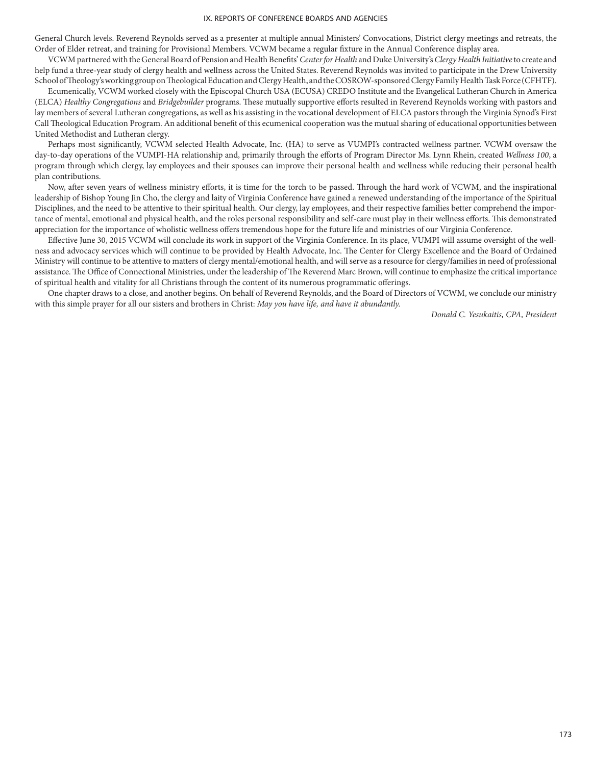General Church levels. Reverend Reynolds served as a presenter at multiple annual Ministers' Convocations, District clergy meetings and retreats, the Order of Elder retreat, and training for Provisional Members. VCWM became a regular fixture in the Annual Conference display area.

VCWM partnered with the General Board of Pension and Health Benefits' *Center for Health* and Duke University's *Clergy Health Initiative* to create and help fund a three-year study of clergy health and wellness across the United States. Reverend Reynolds was invited to participate in the Drew University School of Theology's working group on Theological Education and Clergy Health, and the COSROW-sponsored Clergy Family Health Task Force (CFHTF).

Ecumenically, VCWM worked closely with the Episcopal Church USA (ECUSA) CREDO Institute and the Evangelical Lutheran Church in America (ELCA) *Healthy Congregations* and *Bridgebuilder* programs. These mutually supportive efforts resulted in Reverend Reynolds working with pastors and lay members of several Lutheran congregations, as well as his assisting in the vocational development of ELCA pastors through the Virginia Synod's First Call Theological Education Program. An additional benefit of this ecumenical cooperation was the mutual sharing of educational opportunities between United Methodist and Lutheran clergy.

Perhaps most significantly, VCWM selected Health Advocate, Inc. (HA) to serve as VUMPI's contracted wellness partner. VCWM oversaw the day-to-day operations of the VUMPI-HA relationship and, primarily through the efforts of Program Director Ms. Lynn Rhein, created *Wellness 100*, a program through which clergy, lay employees and their spouses can improve their personal health and wellness while reducing their personal health plan contributions.

Now, after seven years of wellness ministry efforts, it is time for the torch to be passed. Through the hard work of VCWM, and the inspirational leadership of Bishop Young Jin Cho, the clergy and laity of Virginia Conference have gained a renewed understanding of the importance of the Spiritual Disciplines, and the need to be attentive to their spiritual health. Our clergy, lay employees, and their respective families better comprehend the importance of mental, emotional and physical health, and the roles personal responsibility and self-care must play in their wellness efforts. This demonstrated appreciation for the importance of wholistic wellness offers tremendous hope for the future life and ministries of our Virginia Conference.

Effective June 30, 2015 VCWM will conclude its work in support of the Virginia Conference. In its place, VUMPI will assume oversight of the wellness and advocacy services which will continue to be provided by Health Advocate, Inc. The Center for Clergy Excellence and the Board of Ordained Ministry will continue to be attentive to matters of clergy mental/emotional health, and will serve as a resource for clergy/families in need of professional assistance. The Office of Connectional Ministries, under the leadership of The Reverend Marc Brown, will continue to emphasize the critical importance of spiritual health and vitality for all Christians through the content of its numerous programmatic offerings.

One chapter draws to a close, and another begins. On behalf of Reverend Reynolds, and the Board of Directors of VCWM, we conclude our ministry with this simple prayer for all our sisters and brothers in Christ: *May you have life, and have it abundantly.*

*Donald C. Yesukaitis, CPA, President*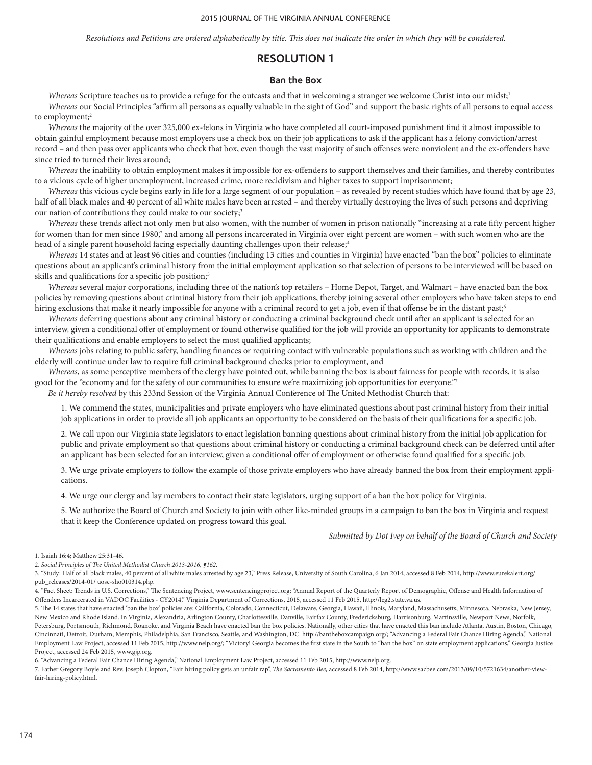*Resolutions and Petitions are ordered alphabetically by title. This does not indicate the order in which they will be considered.*

## **RESOLUTION 1**

### **Ban the Box**

*Whereas* Scripture teaches us to provide a refuge for the outcasts and that in welcoming a stranger we welcome Christ into our midst;<sup>1</sup> *Whereas* our Social Principles "affirm all persons as equally valuable in the sight of God" and support the basic rights of all persons to equal access to employment;<sup>2</sup>

*Whereas* the majority of the over 325,000 ex-felons in Virginia who have completed all court-imposed punishment find it almost impossible to obtain gainful employment because most employers use a check box on their job applications to ask if the applicant has a felony conviction/arrest record – and then pass over applicants who check that box, even though the vast majority of such offenses were nonviolent and the ex-offenders have since tried to turned their lives around;

*Whereas* the inability to obtain employment makes it impossible for ex-offenders to support themselves and their families, and thereby contributes to a vicious cycle of higher unemployment, increased crime, more recidivism and higher taxes to support imprisonment;

*Whereas* this vicious cycle begins early in life for a large segment of our population – as revealed by recent studies which have found that by age 23, half of all black males and 40 percent of all white males have been arrested – and thereby virtually destroying the lives of such persons and depriving our nation of contributions they could make to our society;<sup>3</sup>

*Whereas* these trends affect not only men but also women, with the number of women in prison nationally "increasing at a rate fifty percent higher for women than for men since 1980," and among all persons incarcerated in Virginia over eight percent are women – with such women who are the head of a single parent household facing especially daunting challenges upon their release;<sup>4</sup>

*Whereas* 14 states and at least 96 cities and counties (including 13 cities and counties in Virginia) have enacted "ban the box" policies to eliminate questions about an applicant's criminal history from the initial employment application so that selection of persons to be interviewed will be based on skills and qualifications for a specific job position;<sup>5</sup>

*Whereas* several major corporations, including three of the nation's top retailers – Home Depot, Target, and Walmart – have enacted ban the box policies by removing questions about criminal history from their job applications, thereby joining several other employers who have taken steps to end hiring exclusions that make it nearly impossible for anyone with a criminal record to get a job, even if that offense be in the distant past;<sup>6</sup>

*Whereas* deferring questions about any criminal history or conducting a criminal background check until after an applicant is selected for an interview, given a conditional offer of employment or found otherwise qualified for the job will provide an opportunity for applicants to demonstrate their qualifications and enable employers to select the most qualified applicants;

*Whereas* jobs relating to public safety, handling finances or requiring contact with vulnerable populations such as working with children and the elderly will continue under law to require full criminal background checks prior to employment, and

*Whereas*, as some perceptive members of the clergy have pointed out, while banning the box is about fairness for people with records, it is also good for the "economy and for the safety of our communities to ensure we're maximizing job opportunities for everyone."7

*Be it hereby resolved* by this 233nd Session of the Virginia Annual Conference of The United Methodist Church that:

1. We commend the states, municipalities and private employers who have eliminated questions about past criminal history from their initial job applications in order to provide all job applicants an opportunity to be considered on the basis of their qualifications for a specific job.

2. We call upon our Virginia state legislators to enact legislation banning questions about criminal history from the initial job application for public and private employment so that questions about criminal history or conducting a criminal background check can be deferred until after an applicant has been selected for an interview, given a conditional offer of employment or otherwise found qualified for a specific job.

3. We urge private employers to follow the example of those private employers who have already banned the box from their employment applications.

4. We urge our clergy and lay members to contact their state legislators, urging support of a ban the box policy for Virginia.

5. We authorize the Board of Church and Society to join with other like-minded groups in a campaign to ban the box in Virginia and request that it keep the Conference updated on progress toward this goal.

*Submitted by Dot Ivey on behalf of the Board of Church and Society*

1. Isaiah 16:4; Matthew 25:31-46.

2. *Social Principles of The United Methodist Church 2013-2016, ¶162.*

3. "Study: Half of all black males, 40 percent of all white males arrested by age 23," Press Release, University of South Carolina, 6 Jan 2014, accessed 8 Feb 2014, http://www.eurekalert.org/ pub\_releases/2014-01/ uosc-sho010314.php.

4. "Fact Sheet: Trends in U.S. Corrections," The Sentencing Project, www.sentencingproject.org; "Annual Report of the Quarterly Report of Demographic, Offense and Health Information of Offenders Incarcerated in VADOC Facilities - CY2014," Virginia Department of Corrections, 2015, accessed 11 Feb 2015, http://leg2.state.va.us.

5. The 14 states that have enacted 'ban the box' policies are: California, Colorado, Connecticut, Delaware, Georgia, Hawaii, Illinois, Maryland, Massachusetts, Minnesota, Nebraska, New Jersey, New Mexico and Rhode Island. In Virginia, Alexandria, Arlington County, Charlottesville, Danville, Fairfax County, Fredericksburg, Harrisonburg, Martinsville, Newport News, Norfolk, Petersburg, Portsmouth, Richmond, Roanoke, and Virginia Beach have enacted ban the box policies. Nationally, other cities that have enacted this ban include Atlanta, Austin, Boston, Chicago, Cincinnati, Detroit, Durham, Memphis, Philadelphia, San Francisco, Seattle, and Washington, DC. http://bantheboxcampaign.org/; "Advancing a Federal Fair Chance Hiring Agenda," National Employment Law Project, accessed 11 Feb 2015, http://www.nelp.org/; "Victory! Georgia becomes the first state in the South to "ban the box" on state employment applications," Georgia Justice Project, accessed 24 Feb 2015, www.gjp.org.

6. "Advancing a Federal Fair Chance Hiring Agenda," National Employment Law Project, accessed 11 Feb 2015, http://www.nelp.org.

7. Father Gregory Boyle and Rev. Joseph Clopton, "Fair hiring policy gets an unfair rap", *The Sacramento Bee,* accessed 8 Feb 2014, http://www.sacbee.com/2013/09/10/5721634/another-viewfair-hiring-policy.html.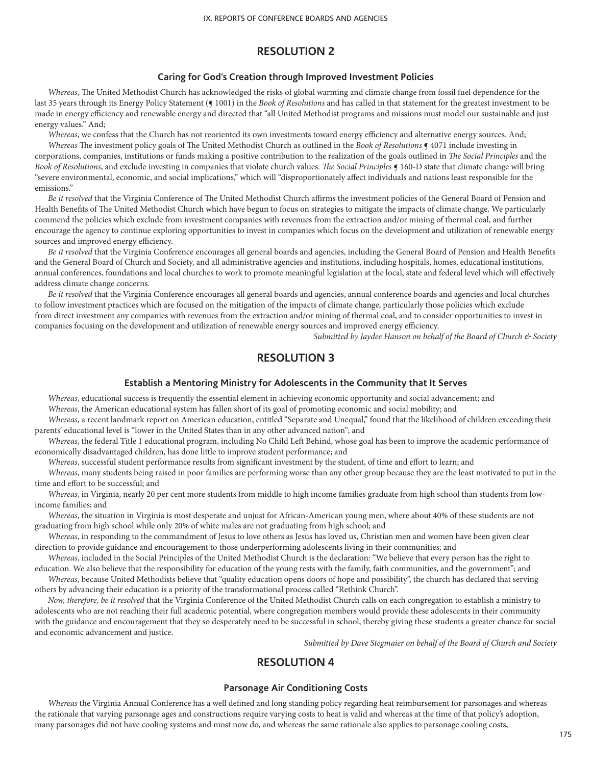# **RESOLUTION 2**

## **Caring for God's Creation through Improved Investment Policies**

*Whereas*, The United Methodist Church has acknowledged the risks of global warming and climate change from fossil fuel dependence for the last 35 years through its Energy Policy Statement (§ 1001) in the *Book of Resolutions* and has called in that statement for the greatest investment to be made in energy efficiency and renewable energy and directed that "all United Methodist programs and missions must model our sustainable and just energy values." And;

*Whereas*, we confess that the Church has not reoriented its own investments toward energy efficiency and alternative energy sources. And;

*Whereas* The investment policy goals of The United Methodist Church as outlined in the *Book of Resolutions* ¶ 4071 include investing in corporations, companies, institutions or funds making a positive contribution to the realization of the goals outlined in *The Social Principles* and the *Book of Resolutions*, and exclude investing in companies that violate church values. *The Social Principles* ¶ 160-D state that climate change will bring "severe environmental, economic, and social implications," which will "disproportionately affect individuals and nations least responsible for the emissions."

*Be it resolved* that the Virginia Conference of The United Methodist Church affirms the investment policies of the General Board of Pension and Health Benefits of The United Methodist Church which have begun to focus on strategies to mitigate the impacts of climate change. We particularly commend the policies which exclude from investment companies with revenues from the extraction and/or mining of thermal coal, and further encourage the agency to continue exploring opportunities to invest in companies which focus on the development and utilization of renewable energy sources and improved energy efficiency.

*Be it resolved* that the Virginia Conference encourages all general boards and agencies, including the General Board of Pension and Health Benefits and the General Board of Church and Society, and all administrative agencies and institutions, including hospitals, homes, educational institutions, annual conferences, foundations and local churches to work to promote meaningful legislation at the local, state and federal level which will effectively address climate change concerns.

*Be it resolved* that the Virginia Conference encourages all general boards and agencies, annual conference boards and agencies and local churches to follow investment practices which are focused on the mitigation of the impacts of climate change, particularly those policies which exclude from direct investment any companies with revenues from the extraction and/or mining of thermal coal, and to consider opportunities to invest in companies focusing on the development and utilization of renewable energy sources and improved energy efficiency.

*Submitted by Jaydee Hanson on behalf of the Board of Church & Society*

# **RESOLUTION 3**

## **Establish a Mentoring Ministry for Adolescents in the Community that It Serves**

*Whereas*, educational success is frequently the essential element in achieving economic opportunity and social advancement; and *Whereas*, the American educational system has fallen short of its goal of promoting economic and social mobility; and

*Whereas*, a recent landmark report on American education, entitled "Separate and Unequal," found that the likelihood of children exceeding their parents' educational level is "lower in the United States than in any other advanced nation"; and

*Whereas*, the federal Title 1 educational program, including No Child Left Behind, whose goal has been to improve the academic performance of economically disadvantaged children, has done little to improve student performance; and

*Whereas*, successful student performance results from significant investment by the student, of time and effort to learn; and

*Whereas*, many students being raised in poor families are performing worse than any other group because they are the least motivated to put in the time and effort to be successful; and

*Whereas*, in Virginia, nearly 20 per cent more students from middle to high income families graduate from high school than students from lowincome families; and

*Whereas*, the situation in Virginia is most desperate and unjust for African-American young men, where about 40% of these students are not graduating from high school while only 20% of white males are not graduating from high school; and

*Whereas*, in responding to the commandment of Jesus to love others as Jesus has loved us, Christian men and women have been given clear direction to provide guidance and encouragement to those underperforming adolescents living in their communities; and

*Whereas*, included in the Social Principles of the United Methodist Church is the declaration: "We believe that every person has the right to education. We also believe that the responsibility for education of the young rests with the family, faith communities, and the government"; and

*Whereas*, because United Methodists believe that "quality education opens doors of hope and possibility", the church has declared that serving others by advancing their education is a priority of the transformational process called "Rethink Church".

*Now, therefore, be it resolved* that the Virginia Conference of the United Methodist Church calls on each congregation to establish a ministry to adolescents who are not reaching their full academic potential, where congregation members would provide these adolescents in their community with the guidance and encouragement that they so desperately need to be successful in school, thereby giving these students a greater chance for social and economic advancement and justice.

*Submitted by Dave Stegmaier on behalf of the Board of Church and Society*

# **RESOLUTION 4**

### **Parsonage Air Conditioning Costs**

*Whereas* the Virginia Annual Conference has a well defined and long standing policy regarding heat reimbursement for parsonages and whereas the rationale that varying parsonage ages and constructions require varying costs to heat is valid and whereas at the time of that policy's adoption, many parsonages did not have cooling systems and most now do, and whereas the same rationale also applies to parsonage cooling costs,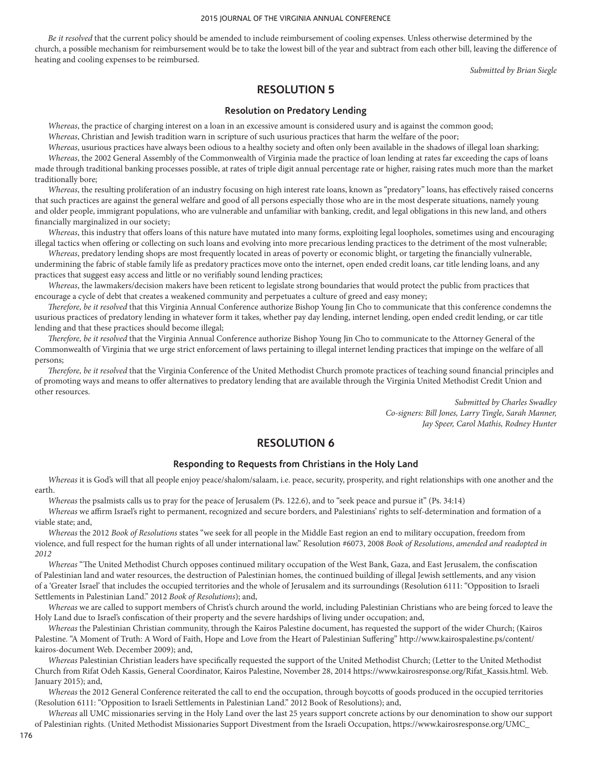*Be it resolved* that the current policy should be amended to include reimbursement of cooling expenses. Unless otherwise determined by the church, a possible mechanism for reimbursement would be to take the lowest bill of the year and subtract from each other bill, leaving the difference of heating and cooling expenses to be reimbursed.

*Submitted by Brian Siegle*

## **RESOLUTION 5**

### **Resolution on Predatory Lending**

*Whereas*, the practice of charging interest on a loan in an excessive amount is considered usury and is against the common good; *Whereas*, Christian and Jewish tradition warn in scripture of such usurious practices that harm the welfare of the poor;

*Whereas*, usurious practices have always been odious to a healthy society and often only been available in the shadows of illegal loan sharking; *Whereas*, the 2002 General Assembly of the Commonwealth of Virginia made the practice of loan lending at rates far exceeding the caps of loans made through traditional banking processes possible, at rates of triple digit annual percentage rate or higher, raising rates much more than the market traditionally bore;

*Whereas*, the resulting proliferation of an industry focusing on high interest rate loans, known as "predatory" loans, has effectively raised concerns that such practices are against the general welfare and good of all persons especially those who are in the most desperate situations, namely young and older people, immigrant populations, who are vulnerable and unfamiliar with banking, credit, and legal obligations in this new land, and others financially marginalized in our society;

*Whereas*, this industry that offers loans of this nature have mutated into many forms, exploiting legal loopholes, sometimes using and encouraging illegal tactics when offering or collecting on such loans and evolving into more precarious lending practices to the detriment of the most vulnerable;

*Whereas*, predatory lending shops are most frequently located in areas of poverty or economic blight, or targeting the financially vulnerable, undermining the fabric of stable family life as predatory practices move onto the internet, open ended credit loans, car title lending loans, and any practices that suggest easy access and little or no verifiably sound lending practices;

*Whereas*, the lawmakers/decision makers have been reticent to legislate strong boundaries that would protect the public from practices that encourage a cycle of debt that creates a weakened community and perpetuates a culture of greed and easy money;

*Therefore, be it resolved* that this Virginia Annual Conference authorize Bishop Young Jin Cho to communicate that this conference condemns the usurious practices of predatory lending in whatever form it takes, whether pay day lending, internet lending, open ended credit lending, or car title lending and that these practices should become illegal;

*Therefore, be it resolved* that the Virginia Annual Conference authorize Bishop Young Jin Cho to communicate to the Attorney General of the Commonwealth of Virginia that we urge strict enforcement of laws pertaining to illegal internet lending practices that impinge on the welfare of all persons;

*Therefore, be it resolved* that the Virginia Conference of the United Methodist Church promote practices of teaching sound financial principles and of promoting ways and means to offer alternatives to predatory lending that are available through the Virginia United Methodist Credit Union and other resources.

> *Submitted by Charles Swadley Co-signers: Bill Jones, Larry Tingle, Sarah Manner, Jay Speer, Carol Mathis, Rodney Hunter*

## **RESOLUTION 6**

### **Responding to Requests from Christians in the Holy Land**

*Whereas* it is God's will that all people enjoy peace/shalom/salaam, i.e. peace, security, prosperity, and right relationships with one another and the earth.

*Whereas* the psalmists calls us to pray for the peace of Jerusalem (Ps. 122.6), and to "seek peace and pursue it" (Ps. 34:14)

*Whereas* we affirm Israel's right to permanent, recognized and secure borders, and Palestinians' rights to self-determination and formation of a viable state; and,

*Whereas* the 2012 *Book of Resolutions* states "we seek for all people in the Middle East region an end to military occupation, freedom from violence, and full respect for the human rights of all under international law." Resolution #6073, 2008 *Book of Resolutions*, *amended and readopted in 2012*

*Whereas* "The United Methodist Church opposes continued military occupation of the West Bank, Gaza, and East Jerusalem, the confiscation of Palestinian land and water resources, the destruction of Palestinian homes, the continued building of illegal Jewish settlements, and any vision of a 'Greater Israel' that includes the occupied territories and the whole of Jerusalem and its surroundings (Resolution 6111: "Opposition to Israeli Settlements in Palestinian Land." 2012 *Book of Resolutions*); and,

*Whereas* we are called to support members of Christ's church around the world, including Palestinian Christians who are being forced to leave the Holy Land due to Israel's confiscation of their property and the severe hardships of living under occupation; and,

*Whereas* the Palestinian Christian community, through the Kairos Palestine document, has requested the support of the wider Church; (Kairos Palestine. "A Moment of Truth: A Word of Faith, Hope and Love from the Heart of Palestinian Suffering" http://www.kairospalestine.ps/content/ kairos-document Web. December 2009); and,

*Whereas* Palestinian Christian leaders have specifically requested the support of the United Methodist Church; (Letter to the United Methodist Church from Rifat Odeh Kassis, General Coordinator, Kairos Palestine, November 28, 2014 https://www.kairosresponse.org/Rifat\_Kassis.html. Web. January 2015); and,

*Whereas* the 2012 General Conference reiterated the call to end the occupation, through boycotts of goods produced in the occupied territories (Resolution 6111: "Opposition to Israeli Settlements in Palestinian Land." 2012 Book of Resolutions); and,

*Whereas* all UMC missionaries serving in the Holy Land over the last 25 years support concrete actions by our denomination to show our support of Palestinian rights. (United Methodist Missionaries Support Divestment from the Israeli Occupation, https://www.kairosresponse.org/UMC\_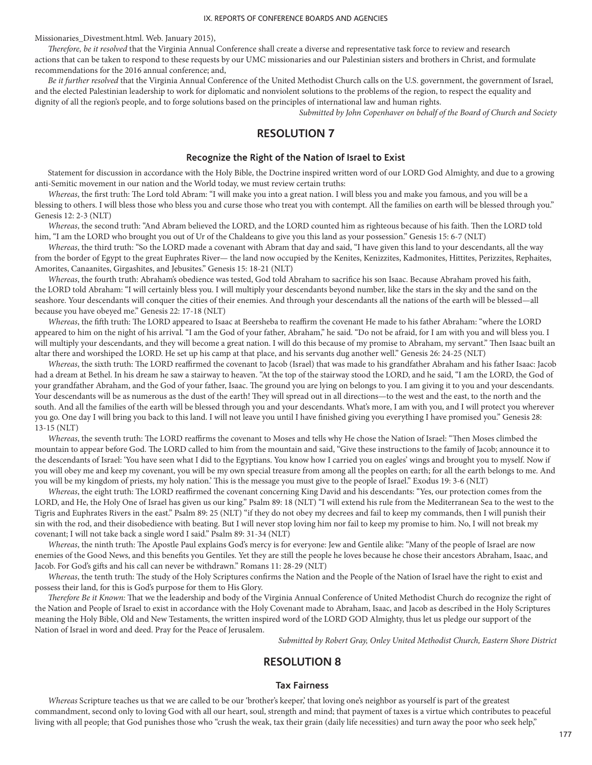Missionaries\_Divestment.html. Web. January 2015),

*Therefore, be it resolved* that the Virginia Annual Conference shall create a diverse and representative task force to review and research actions that can be taken to respond to these requests by our UMC missionaries and our Palestinian sisters and brothers in Christ, and formulate recommendations for the 2016 annual conference; and,

*Be it further resolved* that the Virginia Annual Conference of the United Methodist Church calls on the U.S. government, the government of Israel, and the elected Palestinian leadership to work for diplomatic and nonviolent solutions to the problems of the region, to respect the equality and dignity of all the region's people, and to forge solutions based on the principles of international law and human rights.

*Submitted by John Copenhaver on behalf of the Board of Church and Society*

## **RESOLUTION 7**

### **Recognize the Right of the Nation of Israel to Exist**

Statement for discussion in accordance with the Holy Bible, the Doctrine inspired written word of our LORD God Almighty, and due to a growing anti-Semitic movement in our nation and the World today, we must review certain truths:

*Whereas*, the first truth: The Lord told Abram: "I will make you into a great nation. I will bless you and make you famous, and you will be a blessing to others. I will bless those who bless you and curse those who treat you with contempt. All the families on earth will be blessed through you." Genesis 12: 2-3 (NLT)

*Whereas*, the second truth: "And Abram believed the LORD, and the LORD counted him as righteous because of his faith. Then the LORD told him, "I am the LORD who brought you out of Ur of the Chaldeans to give you this land as your possession." Genesis 15: 6-7 (NLT)

*Whereas*, the third truth: "So the LORD made a covenant with Abram that day and said, "I have given this land to your descendants, all the way from the border of Egypt to the great Euphrates River— the land now occupied by the Kenites, Kenizzites, Kadmonites, Hittites, Perizzites, Rephaites, Amorites, Canaanites, Girgashites, and Jebusites." Genesis 15: 18-21 (NLT)

*Whereas*, the fourth truth: Abraham's obedience was tested, God told Abraham to sacrifice his son Isaac. Because Abraham proved his faith, the LORD told Abraham: "I will certainly bless you. I will multiply your descendants beyond number, like the stars in the sky and the sand on the seashore. Your descendants will conquer the cities of their enemies. And through your descendants all the nations of the earth will be blessed—all because you have obeyed me." Genesis 22: 17-18 (NLT)

*Whereas*, the fifth truth: The LORD appeared to Isaac at Beersheba to reaffirm the covenant He made to his father Abraham: "where the LORD appeared to him on the night of his arrival. "I am the God of your father, Abraham," he said. "Do not be afraid, for I am with you and will bless you. I will multiply your descendants, and they will become a great nation. I will do this because of my promise to Abraham, my servant." Then Isaac built an altar there and worshiped the LORD. He set up his camp at that place, and his servants dug another well." Genesis 26: 24-25 (NLT)

*Whereas*, the sixth truth: The LORD reaffirmed the covenant to Jacob (Israel) that was made to his grandfather Abraham and his father Isaac: Jacob had a dream at Bethel. In his dream he saw a stairway to heaven. "At the top of the stairway stood the LORD, and he said, "I am the LORD, the God of your grandfather Abraham, and the God of your father, Isaac. The ground you are lying on belongs to you. I am giving it to you and your descendants. Your descendants will be as numerous as the dust of the earth! They will spread out in all directions—to the west and the east, to the north and the south. And all the families of the earth will be blessed through you and your descendants. What's more, I am with you, and I will protect you wherever you go. One day I will bring you back to this land. I will not leave you until I have finished giving you everything I have promised you." Genesis 28: 13-15 (NLT)

*Whereas*, the seventh truth: The LORD reaffirms the covenant to Moses and tells why He chose the Nation of Israel: "Then Moses climbed the mountain to appear before God. The LORD called to him from the mountain and said, "Give these instructions to the family of Jacob; announce it to the descendants of Israel: 'You have seen what I did to the Egyptians. You know how I carried you on eagles' wings and brought you to myself. Now if you will obey me and keep my covenant, you will be my own special treasure from among all the peoples on earth; for all the earth belongs to me. And you will be my kingdom of priests, my holy nation.' This is the message you must give to the people of Israel." Exodus 19: 3-6 (NLT)

*Whereas*, the eight truth: The LORD reaffirmed the covenant concerning King David and his descendants: "Yes, our protection comes from the LORD, and He, the Holy One of Israel has given us our king." Psalm 89: 18 (NLT) "I will extend his rule from the Mediterranean Sea to the west to the Tigris and Euphrates Rivers in the east." Psalm 89: 25 (NLT) "if they do not obey my decrees and fail to keep my commands, then I will punish their sin with the rod, and their disobedience with beating. But I will never stop loving him nor fail to keep my promise to him. No, I will not break my covenant; I will not take back a single word I said." Psalm 89: 31-34 (NLT)

*Whereas*, the ninth truth: The Apostle Paul explains God's mercy is for everyone: Jew and Gentile alike: "Many of the people of Israel are now enemies of the Good News, and this benefits you Gentiles. Yet they are still the people he loves because he chose their ancestors Abraham, Isaac, and Jacob. For God's gifts and his call can never be withdrawn." Romans 11: 28-29 (NLT)

*Whereas*, the tenth truth: The study of the Holy Scriptures confirms the Nation and the People of the Nation of Israel have the right to exist and possess their land, for this is God's purpose for them to His Glory.

*Therefore Be it Known:* That we the leadership and body of the Virginia Annual Conference of United Methodist Church do recognize the right of the Nation and People of Israel to exist in accordance with the Holy Covenant made to Abraham, Isaac, and Jacob as described in the Holy Scriptures meaning the Holy Bible, Old and New Testaments, the written inspired word of the LORD GOD Almighty, thus let us pledge our support of the Nation of Israel in word and deed. Pray for the Peace of Jerusalem.

*Submitted by Robert Gray, Onley United Methodist Church, Eastern Shore District*

## **RESOLUTION 8**

### **Tax Fairness**

*Whereas* Scripture teaches us that we are called to be our 'brother's keeper,' that loving one's neighbor as yourself is part of the greatest commandment, second only to loving God with all our heart, soul, strength and mind; that payment of taxes is a virtue which contributes to peaceful living with all people; that God punishes those who "crush the weak, tax their grain (daily life necessities) and turn away the poor who seek help,"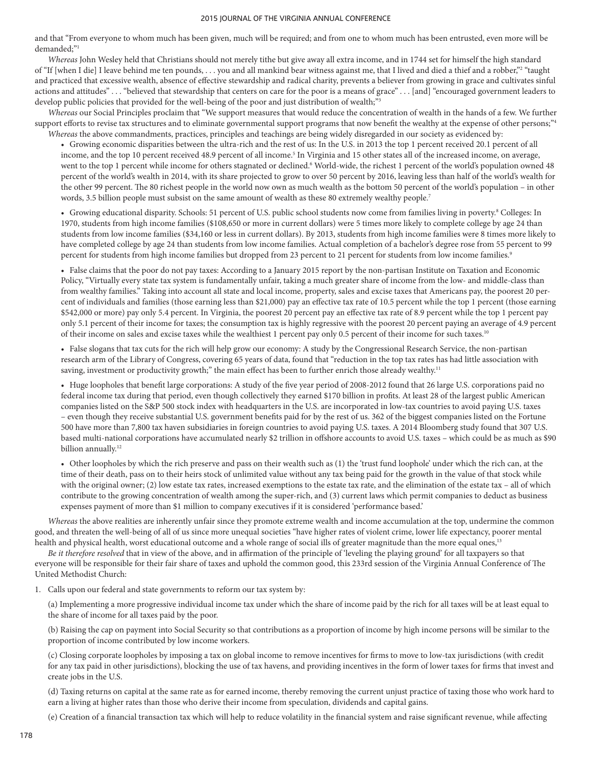and that "From everyone to whom much has been given, much will be required; and from one to whom much has been entrusted, even more will be demanded;"1

*Whereas* John Wesley held that Christians should not merely tithe but give away all extra income, and in 1744 set for himself the high standard of "If [when I die] I leave behind me ten pounds, . . . you and all mankind bear witness against me, that I lived and died a thief and a robber,"2 "taught and practiced that excessive wealth, absence of effective stewardship and radical charity, prevents a believer from growing in grace and cultivates sinful actions and attitudes" . . . "believed that stewardship that centers on care for the poor is a means of grace" . . . [and] "encouraged government leaders to develop public policies that provided for the well-being of the poor and just distribution of wealth;"<sup>3</sup>

*Whereas* our Social Principles proclaim that "We support measures that would reduce the concentration of wealth in the hands of a few. We further support efforts to revise tax structures and to eliminate governmental support programs that now benefit the wealthy at the expense of other persons;"<sup>4</sup> *Whereas* the above commandments, practices, principles and teachings are being widely disregarded in our society as evidenced by:

• Growing economic disparities between the ultra-rich and the rest of us: In the U.S. in 2013 the top 1 percent received 20.1 percent of all income, and the top 10 percent received 48.9 percent of all income.<sup>5</sup> In Virginia and 15 other states all of the increased income, on average, went to the top 1 percent while income for others stagnated or declined.<sup>6</sup> World-wide, the richest 1 percent of the world's population owned 48 percent of the world's wealth in 2014, with its share projected to grow to over 50 percent by 2016, leaving less than half of the world's wealth for the other 99 percent. The 80 richest people in the world now own as much wealth as the bottom 50 percent of the world's population – in other words, 3.5 billion people must subsist on the same amount of wealth as these 80 extremely wealthy people.<sup>7</sup>

• Growing educational disparity. Schools: 51 percent of U.S. public school students now come from families living in poverty.<sup>8</sup> Colleges: In 1970, students from high income families (\$108,650 or more in current dollars) were 5 times more likely to complete college by age 24 than students from low income families (\$34,160 or less in current dollars). By 2013, students from high income families were 8 times more likely to have completed college by age 24 than students from low income families. Actual completion of a bachelor's degree rose from 55 percent to 99 percent for students from high income families but dropped from 23 percent to 21 percent for students from low income families.<sup>9</sup>

• False claims that the poor do not pay taxes: According to a January 2015 report by the non-partisan Institute on Taxation and Economic Policy, "Virtually every state tax system is fundamentally unfair, taking a much greater share of income from the low- and middle-class than from wealthy families." Taking into account all state and local income, property, sales and excise taxes that Americans pay, the poorest 20 percent of individuals and families (those earning less than \$21,000) pay an effective tax rate of 10.5 percent while the top 1 percent (those earning \$542,000 or more) pay only 5.4 percent. In Virginia, the poorest 20 percent pay an effective tax rate of 8.9 percent while the top 1 percent pay only 5.1 percent of their income for taxes; the consumption tax is highly regressive with the poorest 20 percent paying an average of 4.9 percent of their income on sales and excise taxes while the wealthiest 1 percent pay only 0.5 percent of their income for such taxes.10

• False slogans that tax cuts for the rich will help grow our economy: A study by the Congressional Research Service, the non-partisan research arm of the Library of Congress, covering 65 years of data, found that "reduction in the top tax rates has had little association with saving, investment or productivity growth;" the main effect has been to further enrich those already wealthy.<sup>11</sup>

• Huge loopholes that benefit large corporations: A study of the five year period of 2008-2012 found that 26 large U.S. corporations paid no federal income tax during that period, even though collectively they earned \$170 billion in profits. At least 28 of the largest public American companies listed on the S&P 500 stock index with headquarters in the U.S. are incorporated in low-tax countries to avoid paying U.S. taxes – even though they receive substantial U.S. government benefits paid for by the rest of us. 362 of the biggest companies listed on the Fortune 500 have more than 7,800 tax haven subsidiaries in foreign countries to avoid paying U.S. taxes. A 2014 Bloomberg study found that 307 U.S. based multi-national corporations have accumulated nearly \$2 trillion in offshore accounts to avoid U.S. taxes – which could be as much as \$90 billion annually.<sup>12</sup>

• Other loopholes by which the rich preserve and pass on their wealth such as (1) the 'trust fund loophole' under which the rich can, at the time of their death, pass on to their heirs stock of unlimited value without any tax being paid for the growth in the value of that stock while with the original owner; (2) low estate tax rates, increased exemptions to the estate tax rate, and the elimination of the estate tax – all of which contribute to the growing concentration of wealth among the super-rich, and (3) current laws which permit companies to deduct as business expenses payment of more than \$1 million to company executives if it is considered 'performance based.'

*Whereas* the above realities are inherently unfair since they promote extreme wealth and income accumulation at the top, undermine the common good, and threaten the well-being of all of us since more unequal societies "have higher rates of violent crime, lower life expectancy, poorer mental health and physical health, worst educational outcome and a whole range of social ills of greater magnitude than the more equal ones,<sup>13</sup>

*Be it therefore resolved* that in view of the above, and in affirmation of the principle of 'leveling the playing ground' for all taxpayers so that everyone will be responsible for their fair share of taxes and uphold the common good, this 233rd session of the Virginia Annual Conference of The United Methodist Church:

1. Calls upon our federal and state governments to reform our tax system by:

(a) Implementing a more progressive individual income tax under which the share of income paid by the rich for all taxes will be at least equal to the share of income for all taxes paid by the poor.

(b) Raising the cap on payment into Social Security so that contributions as a proportion of income by high income persons will be similar to the proportion of income contributed by low income workers.

(c) Closing corporate loopholes by imposing a tax on global income to remove incentives for firms to move to low-tax jurisdictions (with credit for any tax paid in other jurisdictions), blocking the use of tax havens, and providing incentives in the form of lower taxes for firms that invest and create jobs in the U.S.

(d) Taxing returns on capital at the same rate as for earned income, thereby removing the current unjust practice of taxing those who work hard to earn a living at higher rates than those who derive their income from speculation, dividends and capital gains.

(e) Creation of a financial transaction tax which will help to reduce volatility in the financial system and raise significant revenue, while affecting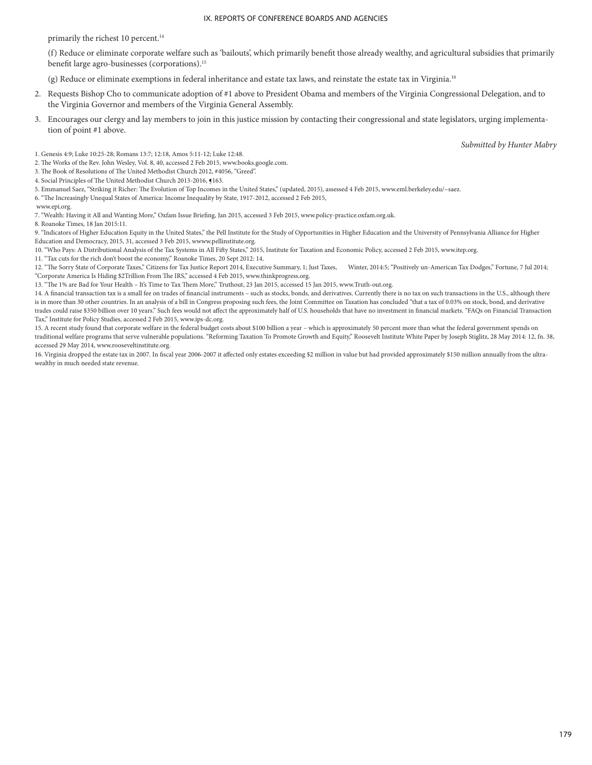primarily the richest 10 percent.<sup>14</sup>

(f) Reduce or eliminate corporate welfare such as 'bailouts', which primarily benefit those already wealthy, and agricultural subsidies that primarily benefit large agro-businesses (corporations).<sup>15</sup>

(g) Reduce or eliminate exemptions in federal inheritance and estate tax laws, and reinstate the estate tax in Virginia.16

- 2. Requests Bishop Cho to communicate adoption of #1 above to President Obama and members of the Virginia Congressional Delegation, and to the Virginia Governor and members of the Virginia General Assembly.
- 3. Encourages our clergy and lay members to join in this justice mission by contacting their congressional and state legislators, urging implementation of point #1 above.

*Submitted by Hunter Mabry*

- 1. Genesis 4:9; Luke 10:25-28; Romans 13:7; 12:18, Amos 5:11-12; Luke 12:48.
- 2. The Works of the Rev. John Wesley, Vol. 8, 40, accessed 2 Feb 2015, www.books.google.com.
- 3. The Book of Resolutions of The United Methodist Church 2012, #4056, "Greed".
- 4. Social Principles of The United Methodist Church 2013-2016, ¶163.
- 5. Emmanuel Saez, "Striking it Richer: The Evolution of Top Incomes in the United States," (updated, 2015), assessed 4 Feb 2015, www.eml.berkeley.edu/~saez.
- 6. "The Increasingly Unequal States of America: Income Inequality by State, 1917-2012, accessed 2 Feb 2015,
- www.epi.org.

7. "Wealth: Having it All and Wanting More," Oxfam Issue Briefing, Jan 2015, accessed 3 Feb 2015, www.policy-practice.oxfam.org.uk.

8. Roanoke Times, 18 Jan 2015:11.

9. "Indicators of Higher Education Equity in the United States," the Pell Institute for the Study of Opportunities in Higher Education and the University of Pennsylvania Alliance for Higher Education and Democracy, 2015, 31, accessed 3 Feb 2015, wwww.pellinstitute.org.

10. "Who Pays: A Distributional Analysis of the Tax Systems in All Fifty States," 2015, Institute for Taxation and Economic Policy, accessed 2 Feb 2015, www.itep.org.

- 11. "Tax cuts for the rich don't boost the economy," Roanoke Times, 20 Sept 2012: 14.
- 12. "The Sorry State of Corporate Taxes," Citizens for Tax Justice Report 2014, Executive Summary, 1; Just Taxes, Winter, 2014:5; "Positively un-American Tax Dodges," Fortune, 7 Jul 2014; "Corporate America Is Hiding \$2Trillion From The IRS," accessed 4 Feb 2015, www.thinkprogress.org.
- 13. "The 1% are Bad for Your Health It's Time to Tax Them More," Truthout, 23 Jan 2015, accessed 15 Jan 2015, www.Truth-out.org.

14. A financial transaction tax is a small fee on trades of financial instruments – such as stocks, bonds, and derivatives. Currently there is no tax on such transactions in the U.S., although there is in more than 30 other countries. In an analysis of a bill in Congress proposing such fees, the Joint Committee on Taxation has concluded "that a tax of 0.03% on stock, bond, and derivative trades could raise \$350 billion over 10 years." Such fees would not affect the approximately half of U.S. households that have no investment in financial markets. "FAQs on Financial Transaction Tax," Institute for Policy Studies, accessed 2 Feb 2015, www.ips-dc.org.

15. A recent study found that corporate welfare in the federal budget costs about \$100 billion a year – which is approximately 50 percent more than what the federal government spends on traditional welfare programs that serve vulnerable populations. "Reforming Taxation To Promote Growth and Equity," Roosevelt Institute White Paper by Joseph Stiglitz, 28 May 2014: 12, fn. 38, accessed 29 May 2014, www.rooseveltinstitute.org.

16. Virginia dropped the estate tax in 2007. In fiscal year 2006-2007 it affected only estates exceeding \$2 million in value but had provided approximately \$150 million annually from the ultrawealthy in much needed state revenue.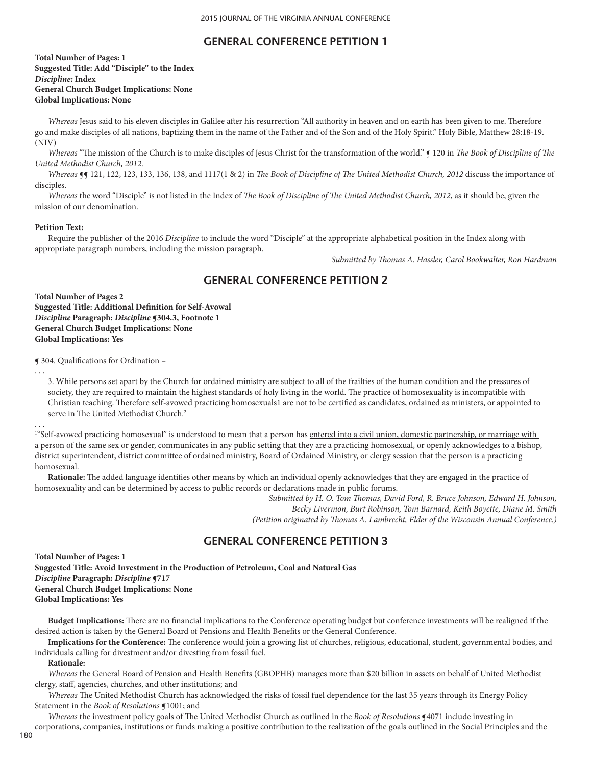# **GENERAL CONFERENCE PETITION 1**

**Total Number of Pages: 1 Suggested Title: Add "Disciple" to the Index** *Discipline:* **Index General Church Budget Implications: None Global Implications: None** 

*Whereas* Jesus said to his eleven disciples in Galilee after his resurrection "All authority in heaven and on earth has been given to me. Therefore go and make disciples of all nations, baptizing them in the name of the Father and of the Son and of the Holy Spirit." Holy Bible, Matthew 28:18-19. (NIV)

*Whereas* "The mission of the Church is to make disciples of Jesus Christ for the transformation of the world." ¶ 120 in *The Book of Discipline of The United Methodist Church, 2012*.

*Whereas* **[**¶ 121, 122, 123, 133, 136, 138, and 1117(1 & 2) in *The Book of Discipline of The United Methodist Church, 2012 discuss the importance of* disciples.

*Whereas* the word "Disciple" is not listed in the Index of *The Book of Discipline of The United Methodist Church, 2012*, as it should be, given the mission of our denomination.

#### **Petition Text:**

Require the publisher of the 2016 *Discipline* to include the word "Disciple" at the appropriate alphabetical position in the Index along with appropriate paragraph numbers, including the mission paragraph.

*Submitted by Thomas A. Hassler, Carol Bookwalter, Ron Hardman*

# **GENERAL CONFERENCE PETITION 2**

**Total Number of Pages 2 Suggested Title: Additional Definition for Self-Avowal** *Discipline* **Paragraph:** *Discipline* **¶304.3, Footnote 1 General Church Budget Implications: None Global Implications: Yes**

¶ 304. Qualifications for Ordination –

3. While persons set apart by the Church for ordained ministry are subject to all of the frailties of the human condition and the pressures of society, they are required to maintain the highest standards of holy living in the world. The practice of homosexuality is incompatible with Christian teaching. Therefore self-avowed practicing homosexuals1 are not to be certified as candidates, ordained as ministers, or appointed to serve in The United Methodist Church.<sup>2</sup>

. . .

. . .

<sup>1</sup>"Self-avowed practicing homosexual" is understood to mean that a person has <u>entered into a civil union, domestic partnership, or marriage with</u> a person of the same sex or gender, communicates in any public setting that they are a practicing homosexual, or openly acknowledges to a bishop, district superintendent, district committee of ordained ministry, Board of Ordained Ministry, or clergy session that the person is a practicing homosexual.

**Rationale:** The added language identifies other means by which an individual openly acknowledges that they are engaged in the practice of homosexuality and can be determined by access to public records or declarations made in public forums.

> *Submitted by H. O. Tom Thomas, David Ford, R. Bruce Johnson, Edward H. Johnson, Becky Livermon, Burt Robinson, Tom Barnard, Keith Boyette, Diane M. Smith (Petition originated by Thomas A. Lambrecht, Elder of the Wisconsin Annual Conference.)*

# **GENERAL CONFERENCE PETITION 3**

**Total Number of Pages: 1 Suggested Title: Avoid Investment in the Production of Petroleum, Coal and Natural Gas** *Discipline* **Paragraph:** *Discipline* **¶717 General Church Budget Implications: None Global Implications: Yes**

**Budget Implications:** There are no financial implications to the Conference operating budget but conference investments will be realigned if the desired action is taken by the General Board of Pensions and Health Benefits or the General Conference.

**Implications for the Conference:** The conference would join a growing list of churches, religious, educational, student, governmental bodies, and individuals calling for divestment and/or divesting from fossil fuel.

**Rationale:**

*Whereas* the General Board of Pension and Health Benefits (GBOPHB) manages more than \$20 billion in assets on behalf of United Methodist clergy, staff, agencies, churches, and other institutions; and

*Whereas* The United Methodist Church has acknowledged the risks of fossil fuel dependence for the last 35 years through its Energy Policy Statement in the *Book of Resolutions* **¶**1001; and

*Whereas* the investment policy goals of The United Methodist Church as outlined in the *Book of Resolutions* **¶**4071 include investing in corporations, companies, institutions or funds making a positive contribution to the realization of the goals outlined in the Social Principles and the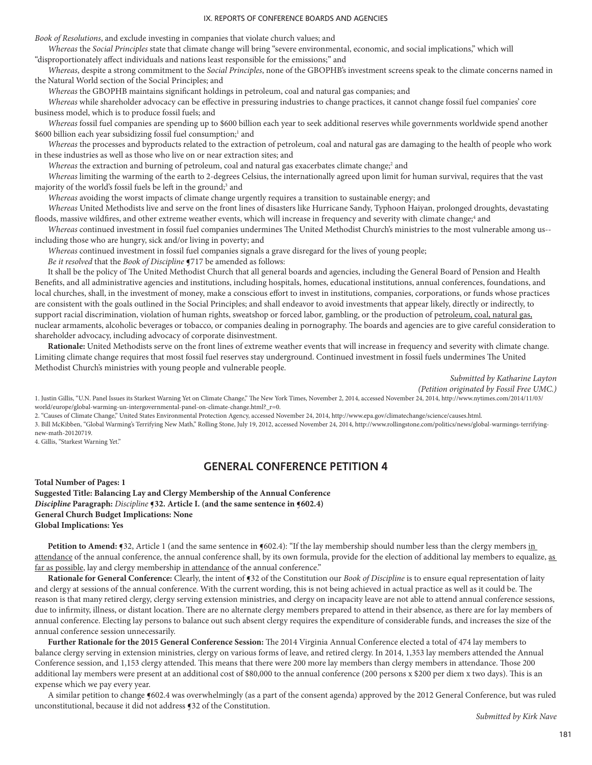*Book of Resolutions*, and exclude investing in companies that violate church values; and

*Whereas* the *Social Principles* state that climate change will bring "severe environmental, economic, and social implications," which will "disproportionately affect individuals and nations least responsible for the emissions;" and

*Whereas*, despite a strong commitment to the *Social Principles*, none of the GBOPHB's investment screens speak to the climate concerns named in the Natural World section of the Social Principles; and

*Whereas* the GBOPHB maintains significant holdings in petroleum, coal and natural gas companies; and

*Whereas* while shareholder advocacy can be effective in pressuring industries to change practices, it cannot change fossil fuel companies' core business model, which is to produce fossil fuels; and

*Whereas* fossil fuel companies are spending up to \$600 billion each year to seek additional reserves while governments worldwide spend another \$600 billion each year subsidizing fossil fuel consumption;1 and

*Whereas* the processes and byproducts related to the extraction of petroleum, coal and natural gas are damaging to the health of people who work in these industries as well as those who live on or near extraction sites; and

Whereas the extraction and burning of petroleum, coal and natural gas exacerbates climate change;<sup>2</sup> and

*Whereas* limiting the warming of the earth to 2-degrees Celsius, the internationally agreed upon limit for human survival, requires that the vast majority of the world's fossil fuels be left in the ground;<sup>3</sup> and

*Whereas* avoiding the worst impacts of climate change urgently requires a transition to sustainable energy; and

*Whereas* United Methodists live and serve on the front lines of disasters like Hurricane Sandy, Typhoon Haiyan, prolonged droughts, devastating floods, massive wildfires, and other extreme weather events, which will increase in frequency and severity with climate change;<sup>4</sup> and

*Whereas* continued investment in fossil fuel companies undermines The United Methodist Church's ministries to the most vulnerable among us- including those who are hungry, sick and/or living in poverty; and

*Whereas* continued investment in fossil fuel companies signals a grave disregard for the lives of young people;

*Be it resolved* that the *Book of Discipline* **¶**717 be amended as follows:

It shall be the policy of The United Methodist Church that all general boards and agencies, including the General Board of Pension and Health Benefits, and all administrative agencies and institutions, including hospitals, homes, educational institutions, annual conferences, foundations, and local churches, shall, in the investment of money, make a conscious effort to invest in institutions, companies, corporations, or funds whose practices are consistent with the goals outlined in the Social Principles; and shall endeavor to avoid investments that appear likely, directly or indirectly, to support racial discrimination, violation of human rights, sweatshop or forced labor, gambling, or the production of petroleum, coal, natural gas, nuclear armaments, alcoholic beverages or tobacco, or companies dealing in pornography. The boards and agencies are to give careful consideration to shareholder advocacy, including advocacy of corporate disinvestment.

**Rationale:** United Methodists serve on the front lines of extreme weather events that will increase in frequency and severity with climate change. Limiting climate change requires that most fossil fuel reserves stay underground. Continued investment in fossil fuels undermines The United Methodist Church's ministries with young people and vulnerable people.

> *Submitted by Katharine Layton (Petition originated by Fossil Free UMC.)*

1. Justin Gillis, "U.N. Panel Issues its Starkest Warning Yet on Climate Change," The New York Times, November 2, 2014, accessed November 24, 2014, http://www.nytimes.com/2014/11/03/ world/europe/global-warming-un-intergovernmental-panel-on-climate-change.html?\_r=0.

2. "Causes of Climate Change," United States Environmental Protection Agency, accessed November 24, 2014, http://www.epa.gov/climatechange/science/causes.html.

3. Bill McKibben, "Global Warming's Terrifying New Math," Rolling Stone, July 19, 2012, accessed November 24, 2014, http://www.rollingstone.com/politics/news/global-warmings-terrifyingnew-math-20120719.

4. Gillis, "Starkest Warning Yet."

## **GENERAL CONFERENCE PETITION 4**

**Total Number of Pages: 1 Suggested Title: Balancing Lay and Clergy Membership of the Annual Conference** *Discipline* **Paragraph:** *Discipline* ¶**32. Article I. (and the same sentence in** ¶**602.4) General Church Budget Implications: None Global Implications: Yes**

**Petition to Amend: ¶32**, Article 1 (and the same sentence in **¶602.4**): "If the lay membership should number less than the clergy members in attendance of the annual conference, the annual conference shall, by its own formula, provide for the election of additional lay members to equalize, as far as possible, lay and clergy membership in attendance of the annual conference."

**Rationale for General Conference:** Clearly, the intent of **532** of the Constitution our *Book of Discipline* is to ensure equal representation of laity and clergy at sessions of the annual conference. With the current wording, this is not being achieved in actual practice as well as it could be. The reason is that many retired clergy, clergy serving extension ministries, and clergy on incapacity leave are not able to attend annual conference sessions, due to infirmity, illness, or distant location. There are no alternate clergy members prepared to attend in their absence, as there are for lay members of annual conference. Electing lay persons to balance out such absent clergy requires the expenditure of considerable funds, and increases the size of the annual conference session unnecessarily.

**Further Rationale for the 2015 General Conference Session:** The 2014 Virginia Annual Conference elected a total of 474 lay members to balance clergy serving in extension ministries, clergy on various forms of leave, and retired clergy. In 2014, 1,353 lay members attended the Annual Conference session, and 1,153 clergy attended. This means that there were 200 more lay members than clergy members in attendance. Those 200 additional lay members were present at an additional cost of \$80,000 to the annual conference (200 persons x \$200 per diem x two days). This is an expense which we pay every year.

A similar petition to change ¶602.4 was overwhelmingly (as a part of the consent agenda) approved by the 2012 General Conference, but was ruled unconstitutional, because it did not address ¶32 of the Constitution.

*Submitted by Kirk Nave*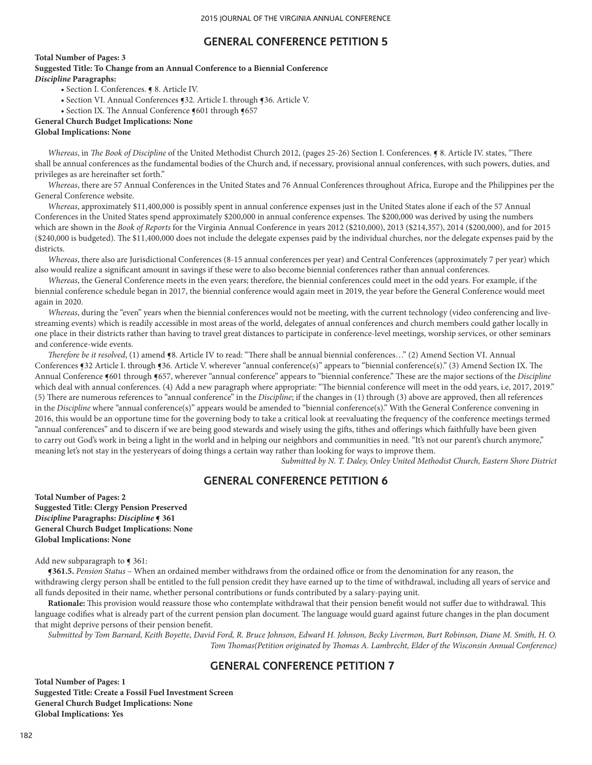# **GENERAL CONFERENCE PETITION 5**

**Total Number of Pages: 3**

**Suggested Title: To Change from an Annual Conference to a Biennial Conference** *Discipline* **Paragraphs:**  • Section I. Conferences. ¶ 8. Article IV.

- 
- Section VI. Annual Conferences ¶32. Article I. through ¶36. Article V.
- Section IX. The Annual Conference §601 through §657

## **General Church Budget Implications: None**

### **Global Implications: None**

*Whereas*, in *The Book of Discipline* of the United Methodist Church 2012, (pages 25-26) Section I. Conferences. ¶ 8. Article IV. states, "There shall be annual conferences as the fundamental bodies of the Church and, if necessary, provisional annual conferences, with such powers, duties, and privileges as are hereinafter set forth."

*Whereas*, there are 57 Annual Conferences in the United States and 76 Annual Conferences throughout Africa, Europe and the Philippines per the General Conference website.

*Whereas*, approximately \$11,400,000 is possibly spent in annual conference expenses just in the United States alone if each of the 57 Annual Conferences in the United States spend approximately \$200,000 in annual conference expenses. The \$200,000 was derived by using the numbers which are shown in the *Book of Reports* for the Virginia Annual Conference in years 2012 (\$210,000), 2013 (\$214,357), 2014 (\$200,000), and for 2015 (\$240,000 is budgeted). The \$11,400,000 does not include the delegate expenses paid by the individual churches, nor the delegate expenses paid by the districts.

*Whereas*, there also are Jurisdictional Conferences (8-15 annual conferences per year) and Central Conferences (approximately 7 per year) which also would realize a significant amount in savings if these were to also become biennial conferences rather than annual conferences.

*Whereas*, the General Conference meets in the even years; therefore, the biennial conferences could meet in the odd years. For example, if the biennial conference schedule began in 2017, the biennial conference would again meet in 2019, the year before the General Conference would meet again in 2020.

*Whereas*, during the "even" years when the biennial conferences would not be meeting, with the current technology (video conferencing and livestreaming events) which is readily accessible in most areas of the world, delegates of annual conferences and church members could gather locally in one place in their districts rather than having to travel great distances to participate in conference-level meetings, worship services, or other seminars and conference-wide events.

*Therefore be it resolved*, (1) amend ¶8. Article IV to read: "There shall be annual biennial conferences…" (2) Amend Section VI. Annual Conferences ¶32 Article I. through ¶36. Article V. wherever "annual conference(s)" appears to "biennial conference(s)." (3) Amend Section IX. The Annual Conference ¶601 through ¶657, wherever "annual conference" appears to "biennial conference." These are the major sections of the *Discipline* which deal with annual conferences. (4) Add a new paragraph where appropriate: "The biennial conference will meet in the odd years, i.e, 2017, 2019." (5) There are numerous references to "annual conference" in the *Discipline*; if the changes in (1) through (3) above are approved, then all references in the *Discipline* where "annual conference(s)" appears would be amended to "biennial conference(s)." With the General Conference convening in 2016, this would be an opportune time for the governing body to take a critical look at reevaluating the frequency of the conference meetings termed "annual conferences" and to discern if we are being good stewards and wisely using the gifts, tithes and offerings which faithfully have been given to carry out God's work in being a light in the world and in helping our neighbors and communities in need. "It's not our parent's church anymore," meaning let's not stay in the yesteryears of doing things a certain way rather than looking for ways to improve them.

*Submitted by N. T. Daley, Onley United Methodist Church, Eastern Shore District*

# **GENERAL CONFERENCE PETITION 6**

**Total Number of Pages: 2 Suggested Title: Clergy Pension Preserved** *Discipline* **Paragraphs:** *Discipline* **¶ 361 General Church Budget Implications: None Global Implications: None**

#### Add new subparagraph to  $\P$  361:

**¶361.5.** *Pension Status* – When an ordained member withdraws from the ordained office or from the denomination for any reason, the withdrawing clergy person shall be entitled to the full pension credit they have earned up to the time of withdrawal, including all years of service and all funds deposited in their name, whether personal contributions or funds contributed by a salary-paying unit.

Rationale: This provision would reassure those who contemplate withdrawal that their pension benefit would not suffer due to withdrawal. This language codifies what is already part of the current pension plan document. The language would guard against future changes in the plan document that might deprive persons of their pension benefit.

*Submitted by Tom Barnard, Keith Boyette, David Ford, R. Bruce Johnson, Edward H. Johnson, Becky Livermon, Burt Robinson, Diane M. Smith, H. O. Tom Thomas(Petition originated by Thomas A. Lambrecht, Elder of the Wisconsin Annual Conference)*

# **GENERAL CONFERENCE PETITION 7**

**Total Number of Pages: 1 Suggested Title: Create a Fossil Fuel Investment Screen General Church Budget Implications: None Global Implications: Yes**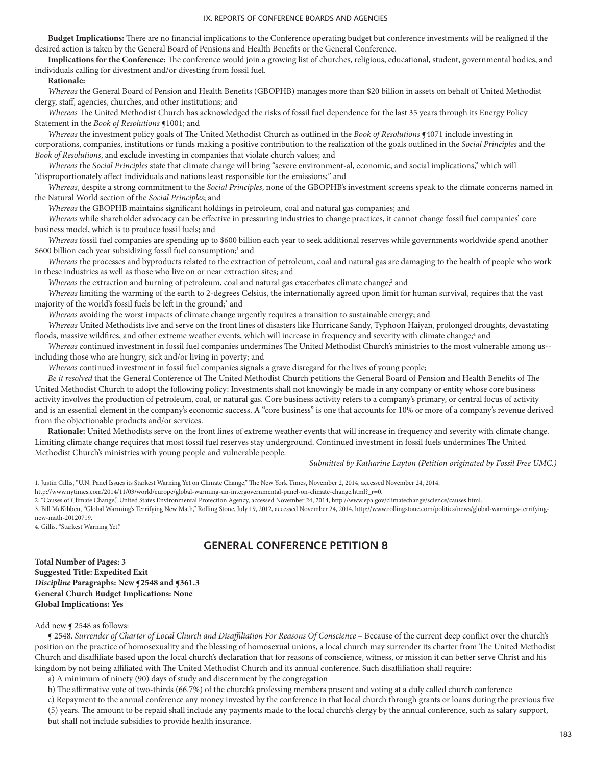**Budget Implications:** There are no financial implications to the Conference operating budget but conference investments will be realigned if the desired action is taken by the General Board of Pensions and Health Benefits or the General Conference.

**Implications for the Conference:** The conference would join a growing list of churches, religious, educational, student, governmental bodies, and individuals calling for divestment and/or divesting from fossil fuel.

### **Rationale:**

*Whereas* the General Board of Pension and Health Benefits (GBOPHB) manages more than \$20 billion in assets on behalf of United Methodist clergy, staff, agencies, churches, and other institutions; and

*Whereas* The United Methodist Church has acknowledged the risks of fossil fuel dependence for the last 35 years through its Energy Policy Statement in the *Book of Resolutions* ¶1001; and

*Whereas* the investment policy goals of The United Methodist Church as outlined in the *Book of Resolutions* **[4071** include investing in corporations, companies, institutions or funds making a positive contribution to the realization of the goals outlined in the *Social Principles* and the *Book of Resolutions*, and exclude investing in companies that violate church values; and

*Whereas* the *Social Principles* state that climate change will bring "severe environment-al, economic, and social implications," which will "disproportionately affect individuals and nations least responsible for the emissions;" and

*Whereas*, despite a strong commitment to the *Social Principles*, none of the GBOPHB's investment screens speak to the climate concerns named in the Natural World section of the *Social Principles*; and

*Whereas* the GBOPHB maintains significant holdings in petroleum, coal and natural gas companies; and

*Whereas* while shareholder advocacy can be effective in pressuring industries to change practices, it cannot change fossil fuel companies' core business model, which is to produce fossil fuels; and

*Whereas* fossil fuel companies are spending up to \$600 billion each year to seek additional reserves while governments worldwide spend another \$600 billion each year subsidizing fossil fuel consumption;<sup>1</sup> and

*Whereas* the processes and byproducts related to the extraction of petroleum, coal and natural gas are damaging to the health of people who work in these industries as well as those who live on or near extraction sites; and

Whereas the extraction and burning of petroleum, coal and natural gas exacerbates climate change;<sup>2</sup> and

*Whereas* limiting the warming of the earth to 2-degrees Celsius, the internationally agreed upon limit for human survival, requires that the vast majority of the world's fossil fuels be left in the ground;<sup>3</sup> and

*Whereas* avoiding the worst impacts of climate change urgently requires a transition to sustainable energy; and

*Whereas* United Methodists live and serve on the front lines of disasters like Hurricane Sandy, Typhoon Haiyan, prolonged droughts, devastating floods, massive wildfires, and other extreme weather events, which will increase in frequency and severity with climate change;<sup>4</sup> and

*Whereas* continued investment in fossil fuel companies undermines The United Methodist Church's ministries to the most vulnerable among us- including those who are hungry, sick and/or living in poverty; and

*Whereas* continued investment in fossil fuel companies signals a grave disregard for the lives of young people;

*Be it resolved* that the General Conference of The United Methodist Church petitions the General Board of Pension and Health Benefits of The United Methodist Church to adopt the following policy: Investments shall not knowingly be made in any company or entity whose core business activity involves the production of petroleum, coal, or natural gas. Core business activity refers to a company's primary, or central focus of activity and is an essential element in the company's economic success. A "core business" is one that accounts for 10% or more of a company's revenue derived from the objectionable products and/or services.

**Rationale:** United Methodists serve on the front lines of extreme weather events that will increase in frequency and severity with climate change. Limiting climate change requires that most fossil fuel reserves stay underground. Continued investment in fossil fuels undermines The United Methodist Church's ministries with young people and vulnerable people.

*Submitted by Katharine Layton (Petition originated by Fossil Free UMC.)*

1. Justin Gillis, "U.N. Panel Issues its Starkest Warning Yet on Climate Change," The New York Times, November 2, 2014, accessed November 24, 2014,

http://www.nytimes.com/2014/11/03/world/europe/global-warming-un-intergovernmental-panel-on-climate-change.html?\_r=0.

2. "Causes of Climate Change," United States Environmental Protection Agency, accessed November 24, 2014, http://www.epa.gov/climatechange/science/causes.html.

3. Bill McKibben, "Global Warming's Terrifying New Math," Rolling Stone, July 19, 2012, accessed November 24, 2014, http://www.rollingstone.com/politics/news/global-warmings-terrifyingnew-math-20120719.

4. Gillis, "Starkest Warning Yet."

# **GENERAL CONFERENCE PETITION 8**

**Total Number of Pages: 3 Suggested Title: Expedited Exit** *Discipline* **Paragraphs: New ¶2548 and ¶361.3 General Church Budget Implications: None Global Implications: Yes** 

### Add new  $\leq 2548$  as follows:

¶ 2548. *Surrender of Charter of Local Church and Disaffiliation For Reasons Of Conscience* – Because of the current deep conflict over the church's position on the practice of homosexuality and the blessing of homosexual unions, a local church may surrender its charter from The United Methodist Church and disaffiliate based upon the local church's declaration that for reasons of conscience, witness, or mission it can better serve Christ and his kingdom by not being affiliated with The United Methodist Church and its annual conference. Such disaffiliation shall require:

a) A minimum of ninety (90) days of study and discernment by the congregation

b) The affirmative vote of two-thirds (66.7%) of the church's professing members present and voting at a duly called church conference

c) Repayment to the annual conference any money invested by the conference in that local church through grants or loans during the previous five

(5) years. The amount to be repaid shall include any payments made to the local church's clergy by the annual conference, such as salary support, but shall not include subsidies to provide health insurance.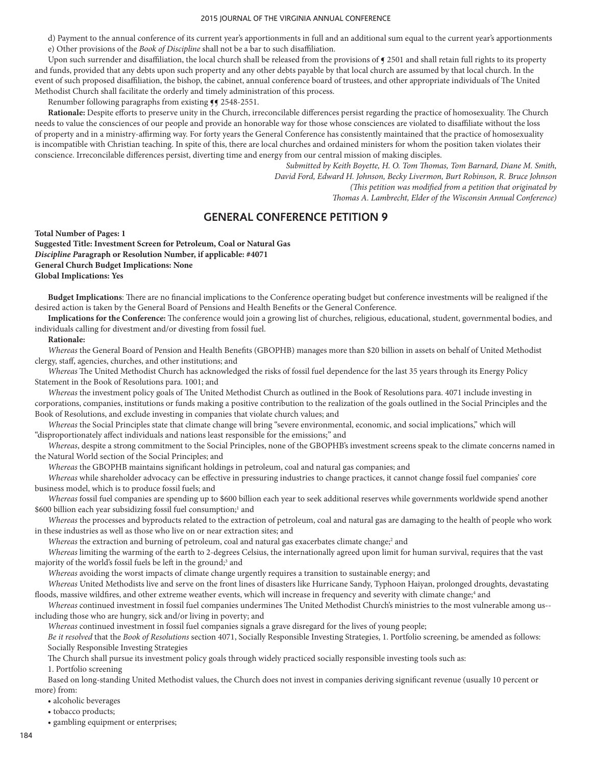d) Payment to the annual conference of its current year's apportionments in full and an additional sum equal to the current year's apportionments e) Other provisions of the *Book of Discipline* shall not be a bar to such disaffiliation.

Upon such surrender and disaffiliation, the local church shall be released from the provisions of  $\int$  2501 and shall retain full rights to its property and funds, provided that any debts upon such property and any other debts payable by that local church are assumed by that local church. In the event of such proposed disaffiliation, the bishop, the cabinet, annual conference board of trustees, and other appropriate individuals of The United Methodist Church shall facilitate the orderly and timely administration of this process.

Renumber following paragraphs from existing  $\P$  1548-2551.

**Rationale:** Despite efforts to preserve unity in the Church, irreconcilable differences persist regarding the practice of homosexuality. The Church needs to value the consciences of our people and provide an honorable way for those whose consciences are violated to disaffiliate without the loss of property and in a ministry-affirming way. For forty years the General Conference has consistently maintained that the practice of homosexuality is incompatible with Christian teaching. In spite of this, there are local churches and ordained ministers for whom the position taken violates their conscience. Irreconcilable differences persist, diverting time and energy from our central mission of making disciples.

> *Submitted by Keith Boyette, H. O. Tom Thomas, Tom Barnard, Diane M. Smith, David Ford, Edward H. Johnson, Becky Livermon, Burt Robinson, R. Bruce Johnson (This petition was modified from a petition that originated by Thomas A. Lambrecht, Elder of the Wisconsin Annual Conference)*

# **GENERAL CONFERENCE PETITION 9**

**Total Number of Pages: 1**

**Suggested Title: Investment Screen for Petroleum, Coal or Natural Gas** *Discipline P***aragraph or Resolution Number, if applicable: #4071 General Church Budget Implications: None Global Implications: Yes**

**Budget Implications**: There are no financial implications to the Conference operating budget but conference investments will be realigned if the desired action is taken by the General Board of Pensions and Health Benefits or the General Conference.

**Implications for the Conference:** The conference would join a growing list of churches, religious, educational, student, governmental bodies, and individuals calling for divestment and/or divesting from fossil fuel.

#### **Rationale:**

*Whereas* the General Board of Pension and Health Benefits (GBOPHB) manages more than \$20 billion in assets on behalf of United Methodist clergy, staff, agencies, churches, and other institutions; and

*Whereas* The United Methodist Church has acknowledged the risks of fossil fuel dependence for the last 35 years through its Energy Policy Statement in the Book of Resolutions para. 1001; and

*Whereas* the investment policy goals of The United Methodist Church as outlined in the Book of Resolutions para. 4071 include investing in corporations, companies, institutions or funds making a positive contribution to the realization of the goals outlined in the Social Principles and the Book of Resolutions, and exclude investing in companies that violate church values; and

*Whereas* the Social Principles state that climate change will bring "severe environmental, economic, and social implications," which will "disproportionately affect individuals and nations least responsible for the emissions;" and

*Whereas*, despite a strong commitment to the Social Principles, none of the GBOPHB's investment screens speak to the climate concerns named in the Natural World section of the Social Principles; and

*Whereas* the GBOPHB maintains significant holdings in petroleum, coal and natural gas companies; and

*Whereas* while shareholder advocacy can be effective in pressuring industries to change practices, it cannot change fossil fuel companies' core business model, which is to produce fossil fuels; and

*Whereas* fossil fuel companies are spending up to \$600 billion each year to seek additional reserves while governments worldwide spend another \$600 billion each year subsidizing fossil fuel consumption;<sup>1</sup> and

*Whereas* the processes and byproducts related to the extraction of petroleum, coal and natural gas are damaging to the health of people who work in these industries as well as those who live on or near extraction sites; and

Whereas the extraction and burning of petroleum, coal and natural gas exacerbates climate change;<sup>2</sup> and

*Whereas* limiting the warming of the earth to 2-degrees Celsius, the internationally agreed upon limit for human survival, requires that the vast majority of the world's fossil fuels be left in the ground;<sup>3</sup> and

*Whereas* avoiding the worst impacts of climate change urgently requires a transition to sustainable energy; and

*Whereas* United Methodists live and serve on the front lines of disasters like Hurricane Sandy, Typhoon Haiyan, prolonged droughts, devastating floods, massive wildfires, and other extreme weather events, which will increase in frequency and severity with climate change;<sup>4</sup> and

*Whereas* continued investment in fossil fuel companies undermines The United Methodist Church's ministries to the most vulnerable among us- including those who are hungry, sick and/or living in poverty; and

*Whereas* continued investment in fossil fuel companies signals a grave disregard for the lives of young people;

*Be it resolved* that the *Book of Resolutions* section 4071, Socially Responsible Investing Strategies, 1. Portfolio screening, be amended as follows: Socially Responsible Investing Strategies

The Church shall pursue its investment policy goals through widely practiced socially responsible investing tools such as: 1. Portfolio screening

Based on long-standing United Methodist values, the Church does not invest in companies deriving significant revenue (usually 10 percent or more) from:

• alcoholic beverages

• tobacco products;

• gambling equipment or enterprises;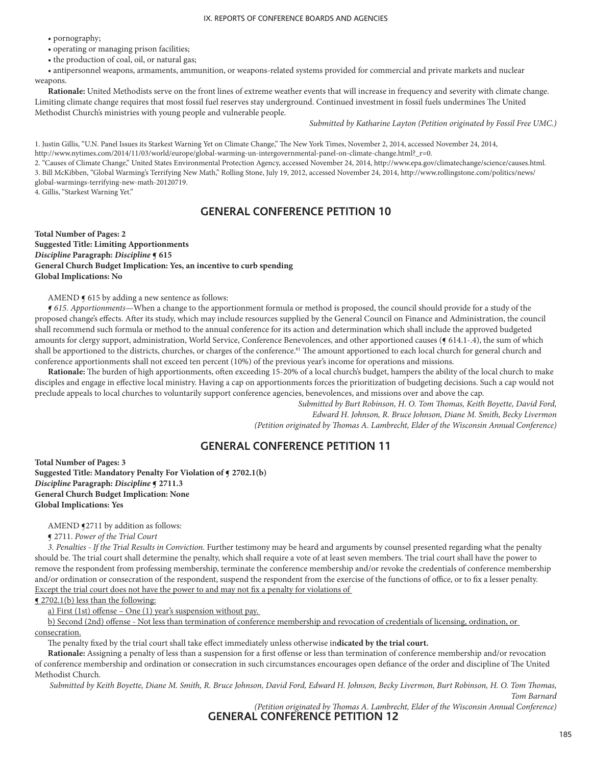• pornography;

• operating or managing prison facilities;

• the production of coal, oil, or natural gas;

• antipersonnel weapons, armaments, ammunition, or weapons-related systems provided for commercial and private markets and nuclear weapons.

**Rationale:** United Methodists serve on the front lines of extreme weather events that will increase in frequency and severity with climate change. Limiting climate change requires that most fossil fuel reserves stay underground. Continued investment in fossil fuels undermines The United Methodist Church's ministries with young people and vulnerable people.

*Submitted by Katharine Layton (Petition originated by Fossil Free UMC.)*

1. Justin Gillis, "U.N. Panel Issues its Starkest Warning Yet on Climate Change," The New York Times, November 2, 2014, accessed November 24, 2014, http://www.nytimes.com/2014/11/03/world/europe/global-warming-un-intergovernmental-panel-on-climate-change.html?\_r=0.

2. "Causes of Climate Change," United States Environmental Protection Agency, accessed November 24, 2014, http://www.epa.gov/climatechange/science/causes.html. 3. Bill McKibben, "Global Warming's Terrifying New Math," Rolling Stone, July 19, 2012, accessed November 24, 2014, http://www.rollingstone.com/politics/news/ global-warmings-terrifying-new-math-20120719.

4. Gillis, "Starkest Warning Yet."

## **GENERAL CONFERENCE PETITION 10**

**Total Number of Pages: 2 Suggested Title: Limiting Apportionments** *Discipline* **Paragraph:** *Discipline* **¶ 615 General Church Budget Implication: Yes, an incentive to curb spending Global Implications: No**

AMEND  $\mathbf{\overline{y}}$  615 by adding a new sentence as follows:

*¶ 615. Apportionments*—When a change to the apportionment formula or method is proposed, the council should provide for a study of the proposed change's effects. After its study, which may include resources supplied by the General Council on Finance and Administration, the council shall recommend such formula or method to the annual conference for its action and determination which shall include the approved budgeted amounts for clergy support, administration, World Service, Conference Benevolences, and other apportioned causes ( $\epsilon$  614.1-.4), the sum of which shall be apportioned to the districts, churches, or charges of the conference.<sup>61</sup> The amount apportioned to each local church for general church and conference apportionments shall not exceed ten percent (10%) of the previous year's income for operations and missions.

**Rationale:** The burden of high apportionments, often exceeding 15-20% of a local church's budget, hampers the ability of the local church to make disciples and engage in effective local ministry. Having a cap on apportionments forces the prioritization of budgeting decisions. Such a cap would not preclude appeals to local churches to voluntarily support conference agencies, benevolences, and missions over and above the cap.

*Submitted by Burt Robinson, H. O. Tom Thomas, Keith Boyette, David Ford, Edward H. Johnson, R. Bruce Johnson, Diane M. Smith, Becky Livermon (Petition originated by Thomas A. Lambrecht, Elder of the Wisconsin Annual Conference)*

# **GENERAL CONFERENCE PETITION 11**

**Total Number of Pages: 3 Suggested Title: Mandatory Penalty For Violation of ¶ 2702.1(b)** *Discipline* **Paragraph:** *Discipline* **¶ 2711.3 General Church Budget Implication: None Global Implications: Yes**

AMEND §2711 by addition as follows:

¶ 2711. *Power of the Trial Court*

*3. Penalties - If the Trial Results in Conviction.* Further testimony may be heard and arguments by counsel presented regarding what the penalty should be. The trial court shall determine the penalty, which shall require a vote of at least seven members. The trial court shall have the power to remove the respondent from professing membership, terminate the conference membership and/or revoke the credentials of conference membership and/or ordination or consecration of the respondent, suspend the respondent from the exercise of the functions of office, or to fix a lesser penalty. Except the trial court does not have the power to and may not fix a penalty for violations of

¶ 2702.1(b) less than the following:

a) First (1st) offense – One (1) year's suspension without pay.

b) Second (2nd) offense - Not less than termination of conference membership and revocation of credentials of licensing, ordination, or consecration.

The penalty fixed by the trial court shall take effect immediately unless otherwise in**dicated by the trial court.**

**Rationale:** Assigning a penalty of less than a suspension for a first offense or less than termination of conference membership and/or revocation of conference membership and ordination or consecration in such circumstances encourages open defiance of the order and discipline of The United Methodist Church.

*Submitted by Keith Boyette, Diane M. Smith, R. Bruce Johnson, David Ford, Edward H. Johnson, Becky Livermon, Burt Robinson, H. O. Tom Thomas,* 

*Tom Barnard* 

*(Petition originated by Thomas A. Lambrecht, Elder of the Wisconsin Annual Conference)*

**GENERAL CONFERENCE PETITION 12**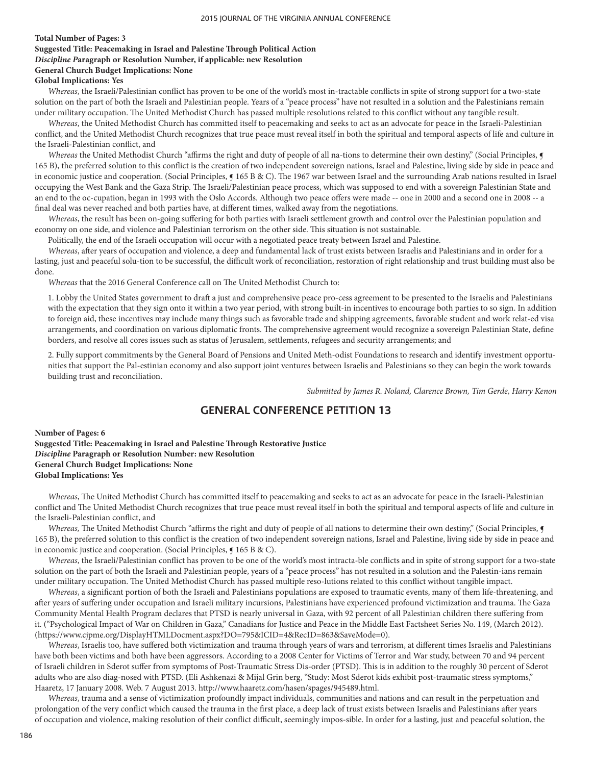### **Total Number of Pages: 3**

# **Suggested Title: Peacemaking in Israel and Palestine Through Political Action**

*Discipline P***aragraph or Resolution Number, if applicable: new Resolution**

## **General Church Budget Implications: None**

## **Global Implications: Yes**

*Whereas*, the Israeli/Palestinian conflict has proven to be one of the world's most in-tractable conflicts in spite of strong support for a two-state solution on the part of both the Israeli and Palestinian people. Years of a "peace process" have not resulted in a solution and the Palestinians remain under military occupation. The United Methodist Church has passed multiple resolutions related to this conflict without any tangible result.

*Whereas*, the United Methodist Church has committed itself to peacemaking and seeks to act as an advocate for peace in the Israeli-Palestinian conflict, and the United Methodist Church recognizes that true peace must reveal itself in both the spiritual and temporal aspects of life and culture in the Israeli-Palestinian conflict, and

Whereas the United Methodist Church "affirms the right and duty of people of all na-tions to determine their own destiny," (Social Principles,  $\P$ 165 B), the preferred solution to this conflict is the creation of two independent sovereign nations, Israel and Palestine, living side by side in peace and in economic justice and cooperation. (Social Principles,  $\P$  165 B & C). The 1967 war between Israel and the surrounding Arab nations resulted in Israel occupying the West Bank and the Gaza Strip. The Israeli/Palestinian peace process, which was supposed to end with a sovereign Palestinian State and an end to the oc-cupation, began in 1993 with the Oslo Accords. Although two peace offers were made -- one in 2000 and a second one in 2008 -- a final deal was never reached and both parties have, at different times, walked away from the negotiations.

*Whereas*, the result has been on-going suffering for both parties with Israeli settlement growth and control over the Palestinian population and economy on one side, and violence and Palestinian terrorism on the other side. This situation is not sustainable.

Politically, the end of the Israeli occupation will occur with a negotiated peace treaty between Israel and Palestine.

*Whereas*, after years of occupation and violence, a deep and fundamental lack of trust exists between Israelis and Palestinians and in order for a lasting, just and peaceful solu-tion to be successful, the difficult work of reconciliation, restoration of right relationship and trust building must also be done.

*Whereas* that the 2016 General Conference call on The United Methodist Church to:

1. Lobby the United States government to draft a just and comprehensive peace pro-cess agreement to be presented to the Israelis and Palestinians with the expectation that they sign onto it within a two year period, with strong built-in incentives to encourage both parties to so sign. In addition to foreign aid, these incentives may include many things such as favorable trade and shipping agreements, favorable student and work relat-ed visa arrangements, and coordination on various diplomatic fronts. The comprehensive agreement would recognize a sovereign Palestinian State, define borders, and resolve all cores issues such as status of Jerusalem, settlements, refugees and security arrangements; and

2. Fully support commitments by the General Board of Pensions and United Meth-odist Foundations to research and identify investment opportunities that support the Pal-estinian economy and also support joint ventures between Israelis and Palestinians so they can begin the work towards building trust and reconciliation.

*Submitted by James R. Noland, Clarence Brown, Tim Gerde, Harry Kenon*

# **GENERAL CONFERENCE PETITION 13**

**Number of Pages: 6 Suggested Title: Peacemaking in Israel and Palestine Through Restorative Justice** *Discipline* **Paragraph or Resolution Number: new Resolution General Church Budget Implications: None Global Implications: Yes**

*Whereas*, The United Methodist Church has committed itself to peacemaking and seeks to act as an advocate for peace in the Israeli-Palestinian conflict and The United Methodist Church recognizes that true peace must reveal itself in both the spiritual and temporal aspects of life and culture in the Israeli-Palestinian conflict, and

Whereas, The United Methodist Church "affirms the right and duty of people of all nations to determine their own destiny," (Social Principles, 165 B), the preferred solution to this conflict is the creation of two independent sovereign nations, Israel and Palestine, living side by side in peace and in economic justice and cooperation. (Social Principles, ¶ 165 B & C).

*Whereas*, the Israeli/Palestinian conflict has proven to be one of the world's most intracta-ble conflicts and in spite of strong support for a two-state solution on the part of both the Israeli and Palestinian people, years of a "peace process" has not resulted in a solution and the Palestin-ians remain under military occupation. The United Methodist Church has passed multiple reso-lutions related to this conflict without tangible impact.

*Whereas*, a significant portion of both the Israeli and Palestinians populations are exposed to traumatic events, many of them life-threatening, and after years of suffering under occupation and Israeli military incursions, Palestinians have experienced profound victimization and trauma. The Gaza Community Mental Health Program declares that PTSD is nearly universal in Gaza, with 92 percent of all Palestinian children there suffering from it. ("Psychological Impact of War on Children in Gaza," Canadians for Justice and Peace in the Middle East Factsheet Series No. 149, (March 2012). (https://www.cjpme.org/DisplayHTMLDocment.aspx?DO=795&ICID=4&RecID=863&SaveMode=0).

*Whereas*, Israelis too, have suffered both victimization and trauma through years of wars and terrorism, at different times Israelis and Palestinians have both been victims and both have been aggressors. According to a 2008 Center for Victims of Terror and War study, between 70 and 94 percent of Israeli children in Sderot suffer from symptoms of Post-Traumatic Stress Dis-order (PTSD). This is in addition to the roughly 30 percent of Sderot adults who are also diag-nosed with PTSD. (Eli Ashkenazi & Mijal Grin berg, "Study: Most Sderot kids exhibit post-traumatic stress symptoms," Haaretz, 17 January 2008. Web. 7 August 2013. http://www.haaretz.com/hasen/spages/945489.html.

*Whereas*, trauma and a sense of victimization profoundly impact individuals, communities and nations and can result in the perpetuation and prolongation of the very conflict which caused the trauma in the first place, a deep lack of trust exists between Israelis and Palestinians after years of occupation and violence, making resolution of their conflict difficult, seemingly impos-sible. In order for a lasting, just and peaceful solution, the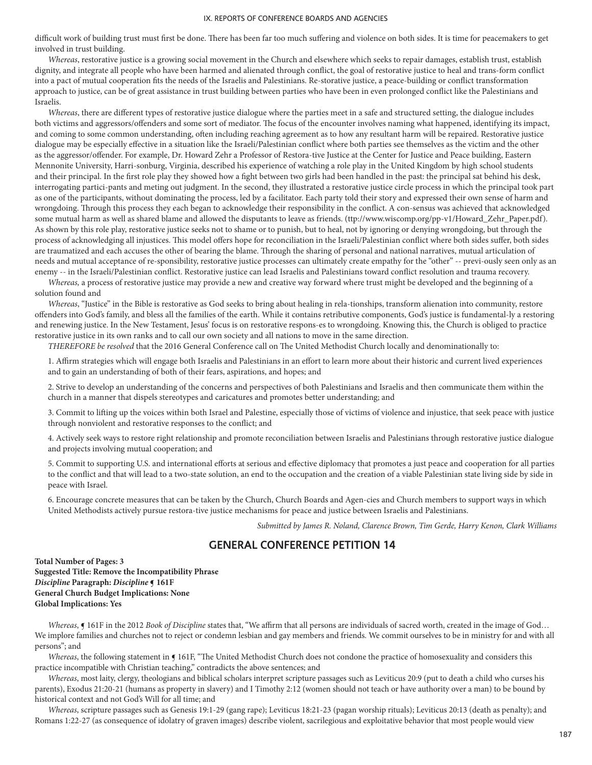difficult work of building trust must first be done. There has been far too much suffering and violence on both sides. It is time for peacemakers to get involved in trust building.

*Whereas*, restorative justice is a growing social movement in the Church and elsewhere which seeks to repair damages, establish trust, establish dignity, and integrate all people who have been harmed and alienated through conflict, the goal of restorative justice to heal and trans-form conflict into a pact of mutual cooperation fits the needs of the Israelis and Palestinians. Re-storative justice, a peace-building or conflict transformation approach to justice, can be of great assistance in trust building between parties who have been in even prolonged conflict like the Palestinians and Israelis.

*Whereas*, there are different types of restorative justice dialogue where the parties meet in a safe and structured setting, the dialogue includes both victims and aggressors/offenders and some sort of mediator. The focus of the encounter involves naming what happened, identifying its impact, and coming to some common understanding, often including reaching agreement as to how any resultant harm will be repaired. Restorative justice dialogue may be especially effective in a situation like the Israeli/Palestinian conflict where both parties see themselves as the victim and the other as the aggressor/offender. For example, Dr. Howard Zehr a Professor of Restora-tive Justice at the Center for Justice and Peace building, Eastern Mennonite University, Harri-sonburg, Virginia, described his experience of watching a role play in the United Kingdom by high school students and their principal. In the first role play they showed how a fight between two girls had been handled in the past: the principal sat behind his desk, interrogating partici-pants and meting out judgment. In the second, they illustrated a restorative justice circle process in which the principal took part as one of the participants, without dominating the process, led by a facilitator. Each party told their story and expressed their own sense of harm and wrongdoing. Through this process they each began to acknowledge their responsibility in the conflict. A con-sensus was achieved that acknowledged some mutual harm as well as shared blame and allowed the disputants to leave as friends. (ttp://www.wiscomp.org/pp-v1/Howard\_Zehr\_Paper.pdf). As shown by this role play, restorative justice seeks not to shame or to punish, but to heal, not by ignoring or denying wrongdoing, but through the process of acknowledging all injustices. This model offers hope for reconciliation in the Israeli/Palestinian conflict where both sides suffer, both sides are traumatized and each accuses the other of bearing the blame. Through the sharing of personal and national narratives, mutual articulation of needs and mutual acceptance of re-sponsibility, restorative justice processes can ultimately create empathy for the "other" -- previ-ously seen only as an enemy -- in the Israeli/Palestinian conflict. Restorative justice can lead Israelis and Palestinians toward conflict resolution and trauma recovery.

*Whereas,* a process of restorative justice may provide a new and creative way forward where trust might be developed and the beginning of a solution found and

*Whereas*, "Justice" in the Bible is restorative as God seeks to bring about healing in rela-tionships, transform alienation into community, restore offenders into God's family, and bless all the families of the earth. While it contains retributive components, God's justice is fundamental-ly a restoring and renewing justice. In the New Testament, Jesus' focus is on restorative respons-es to wrongdoing. Knowing this, the Church is obliged to practice restorative justice in its own ranks and to call our own society and all nations to move in the same direction.

*THEREFORE be resolved* that the 2016 General Conference call on The United Methodist Church locally and denominationally to:

1. Affirm strategies which will engage both Israelis and Palestinians in an effort to learn more about their historic and current lived experiences and to gain an understanding of both of their fears, aspirations, and hopes; and

2. Strive to develop an understanding of the concerns and perspectives of both Palestinians and Israelis and then communicate them within the church in a manner that dispels stereotypes and caricatures and promotes better understanding; and

3. Commit to lifting up the voices within both Israel and Palestine, especially those of victims of violence and injustice, that seek peace with justice through nonviolent and restorative responses to the conflict; and

4. Actively seek ways to restore right relationship and promote reconciliation between Israelis and Palestinians through restorative justice dialogue and projects involving mutual cooperation; and

5. Commit to supporting U.S. and international efforts at serious and effective diplomacy that promotes a just peace and cooperation for all parties to the conflict and that will lead to a two-state solution, an end to the occupation and the creation of a viable Palestinian state living side by side in peace with Israel.

6. Encourage concrete measures that can be taken by the Church, Church Boards and Agen-cies and Church members to support ways in which United Methodists actively pursue restora-tive justice mechanisms for peace and justice between Israelis and Palestinians.

*Submitted by James R. Noland, Clarence Brown, Tim Gerde, Harry Kenon, Clark Williams*

## **GENERAL CONFERENCE PETITION 14**

**Total Number of Pages: 3 Suggested Title: Remove the Incompatibility Phrase** *Discipline* **Paragraph:** *Discipline* **¶ 161F General Church Budget Implications: None Global Implications: Yes**

*Whereas*, ¶ 161F in the 2012 *Book of Discipline* states that, "We affirm that all persons are individuals of sacred worth, created in the image of God… We implore families and churches not to reject or condemn lesbian and gay members and friends. We commit ourselves to be in ministry for and with all persons"; and

*Whereas*, the following statement in **[** 161F, "The United Methodist Church does not condone the practice of homosexuality and considers this practice incompatible with Christian teaching," contradicts the above sentences; and

*Whereas*, most laity, clergy, theologians and biblical scholars interpret scripture passages such as Leviticus 20:9 (put to death a child who curses his parents), Exodus 21:20-21 (humans as property in slavery) and I Timothy 2:12 (women should not teach or have authority over a man) to be bound by historical context and not God's Will for all time; and

*Whereas*, scripture passages such as Genesis 19:1-29 (gang rape); Leviticus 18:21-23 (pagan worship rituals); Leviticus 20:13 (death as penalty); and Romans 1:22-27 (as consequence of idolatry of graven images) describe violent, sacrilegious and exploitative behavior that most people would view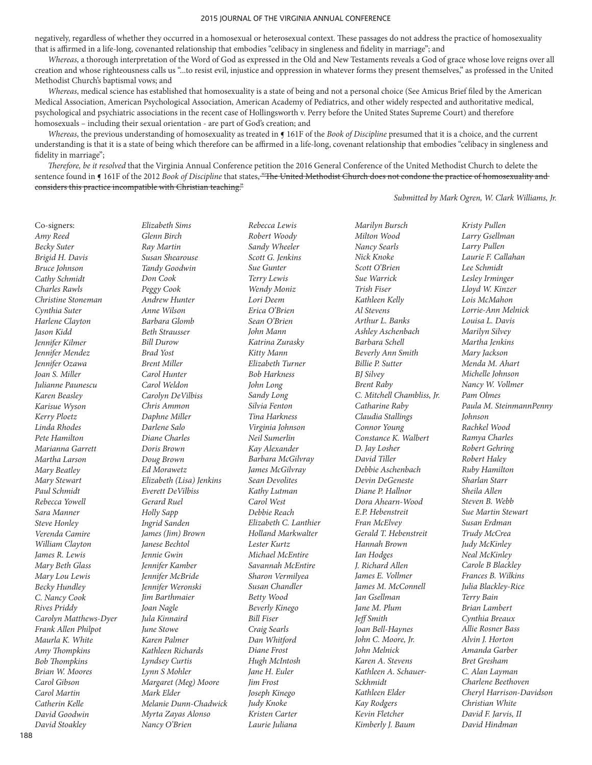negatively, regardless of whether they occurred in a homosexual or heterosexual context. These passages do not address the practice of homosexuality that is affirmed in a life-long, covenanted relationship that embodies "celibacy in singleness and fidelity in marriage"; and

*Whereas*, a thorough interpretation of the Word of God as expressed in the Old and New Testaments reveals a God of grace whose love reigns over all creation and whose righteousness calls us "...to resist evil, injustice and oppression in whatever forms they present themselves," as professed in the United Methodist Church's baptismal vows; and

*Whereas*, medical science has established that homosexuality is a state of being and not a personal choice (See Amicus Brief filed by the American Medical Association, American Psychological Association, American Academy of Pediatrics, and other widely respected and authoritative medical, psychological and psychiatric associations in the recent case of Hollingsworth v. Perry before the United States Supreme Court) and therefore homosexuals – including their sexual orientation - are part of God's creation; and

*Whereas*, the previous understanding of homosexuality as treated in ¶ 161F of the *Book of Discipline* presumed that it is a choice, and the current understanding is that it is a state of being which therefore can be affirmed in a life-long, covenant relationship that embodies "celibacy in singleness and fidelity in marriage";

*Therefore, be it resolved* that the Virginia Annual Conference petition the 2016 General Conference of the United Methodist Church to delete the sentence found in **[** 161F of the 2012 *Book of Discipline* that states, "The United Methodist Church does not condone the practice of homosexuality and considers this practice incompatible with Christian teaching."

*Submitted by Mark Ogren, W. Clark Williams, Jr.*

Co-signers: *Amy Reed Becky Suter Brigid H. Davis Bruce Johnson Cathy Schmidt Charles Rawls Christine Stoneman Cynthia Suter Harlene Clayton Jason Kidd Jennifer Kilmer Jennifer Mendez Jennifer Ozawa Joan S. Miller Julianne Paunescu Karen Beasley Karisue Wyson Kerry Ploetz Linda Rhodes Pete Hamilton Marianna Garrett Martha Larson Mary Beatley Mary Stewart Paul Schmidt Rebecca Yowell Sara Manner Steve Honley Verenda Camire William Clayton James R. Lewis Mary Beth Glass Mary Lou Lewis Becky Hundley C. Nancy Cook Rives Priddy Carolyn Matthews-Dyer Frank Allen Philpot Maurla K. White Amy Thompkins Bob Thompkins Brian W. Moores Carol Gibson Carol Martin Catherin Kelle David Goodwin David Stoakley*

*Elizabeth Sims Glenn Birch Ray Martin Susan Shearouse Tandy Goodwin Don Cook Peggy Cook Andrew Hunter Anne Wilson Barbara Glomb Beth Strausser Bill Durow Brad Yost Brent Miller Carol Hunter Carol Weldon Carolyn DeVilbiss Chris Ammon Daphne Miller Darlene Salo Diane Charles Doris Brown Doug Brown Ed Morawetz Elizabeth (Lisa) Jenkins Everett DeVilbiss Gerard Ruel Holly Sapp Ingrid Sanden James (Jim) Brown Janese Bechtol Jennie Gwin Jennifer Kamber Jennifer McBride Jennifer Weronski Jim Barthmaier Joan Nagle Jula Kinnaird June Stowe Karen Palmer Kathleen Richards Lyndsey Curtis Lynn S Mohler Margaret (Meg) Moore Mark Elder Melanie Dunn-Chadwick Myrta Zayas Alonso Nancy O'Brien*

*Rebecca Lewis Robert Woody Sandy Wheeler Scott G. Jenkins Sue Gunter Terry Lewis Wendy Moniz Lori Deem Erica O'Brien Sean O'Brien John Mann Katrina Zurasky Kitty Mann Elizabeth Turner Bob Harkness John Long Sandy Long Silvia Fenton Tina Harkness Virginia Johnson Neil Sumerlin Kay Alexander Barbara McGilvray James McGilvray Sean Devolites Kathy Lutman Carol West Debbie Reach Elizabeth C. Lanthier Holland Markwalter Lester Kurtz Michael McEntire Savannah McEntire Sharon Vermilyea Susan Chandler Betty Wood Beverly Kinego Bill Fiser Craig Searls Dan Whitford Diane Frost Hugh McIntosh Jane H. Euler Jim Frost Joseph Kinego Judy Knoke Kristen Carter Laurie Juliana*

*Marilyn Bursch Milton Wood Nancy Searls Nick Knoke Scott O'Brien Sue Warrick Trish Fiser Kathleen Kelly Al Stevens Arthur L. Banks Ashley Aschenbach Barbara Schell Beverly Ann Smith Billie P. Sutter BJ Silvey Brent Raby C. Mitchell Chambliss, Jr. Catharine Raby Claudia Stallings Connor Young Constance K. Walbert D. Jay Losher David Tiller Debbie Aschenbach Devin DeGeneste Diane P. Hallnor Dora Ahearn-Wood E.P. Hebenstreit Fran McElvey Gerald T. Hebenstreit Hannah Brown Ian Hodges J. Richard Allen James E. Vollmer James M. McConnell Jan Gsellman Jane M. Plum Jeff Smith Joan Bell-Haynes John C. Moore, Jr. John Melnick Karen A. Stevens Kathleen A. Schauer-Sckhmidt Kathleen Elder Kay Rodgers Kevin Fletcher Kimberly J. Baum*

*Kristy Pullen Larry Gsellman Larry Pullen Laurie F. Callahan Lee Schmidt Lesley Irminger Lloyd W. Kinzer Lois McMahon Lorrie-Ann Melnick Louisa L. Davis Marilyn Silvey Martha Jenkins Mary Jackson Menda M. Ahart Michelle Johnson Nancy W. Vollmer Pam Olmes Paula M. SteinmannPenny Johnson Rachkel Wood Ramya Charles Robert Gehring Robert Haley Ruby Hamilton Sharlan Starr Sheila Allen Steven B. Webb Sue Martin Stewart Susan Erdman Trudy McCrea Judy McKinley Neal McKinley Carole B Blackley Frances B. Wilkins Julia Blackley-Rice Terry Bain Brian Lambert Cynthia Breaux Allie Rosner Bass Alvin J. Horton Amanda Garber Bret Gresham C. Alan Layman Charlene Beethoven Cheryl Harrison-Davidson Christian White David F. Jarvis, II David Hindman*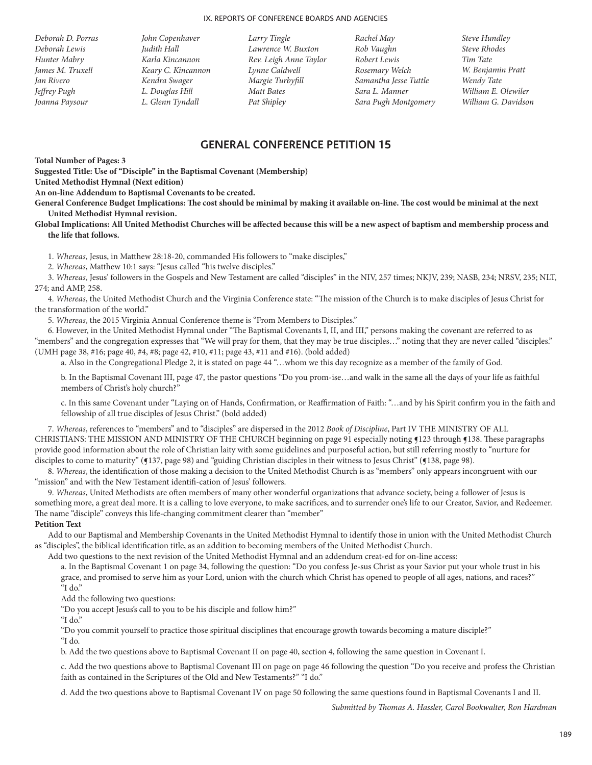- *Deborah D. Porras Deborah Lewis Hunter Mabry James M. Truxell Jan Rivero Jeffrey Pugh Joanna Paysour*
- *John Copenhaver Judith Hall Karla Kincannon Keary C. Kincannon Kendra Swager L. Douglas Hill L. Glenn Tyndall*
- *Larry Tingle Lawrence W. Buxton Rev. Leigh Anne Taylor Lynne Caldwell Margie Turbyfill Matt Bates Pat Shipley*
- *Rachel May Rob Vaughn Robert Lewis Rosemary Welch Samantha Jesse Tuttle Sara L. Manner Sara Pugh Montgomery*

*Steve Hundley Steve Rhodes Tim Tate W. Benjamin Pratt Wendy Tate William E. Olewiler William G. Davidson*

## **GENERAL CONFERENCE PETITION 15**

**Total Number of Pages: 3**

**Suggested Title: Use of "Disciple" in the Baptismal Covenant (Membership)**

**United Methodist Hymnal (Next edition)**

**An on-line Addendum to Baptismal Covenants to be created.**

**General Conference Budget Implications: The cost should be minimal by making it available on-line. The cost would be minimal at the next United Methodist Hymnal revision.** 

**Global Implications: All United Methodist Churches will be affected because this will be a new aspect of baptism and membership process and the life that follows.**

1. *Whereas*, Jesus, in Matthew 28:18-20, commanded His followers to "make disciples,"

2. *Whereas*, Matthew 10:1 says: "Jesus called "his twelve disciples."

3. *Whereas*, Jesus' followers in the Gospels and New Testament are called "disciples" in the NIV, 257 times; NKJV, 239; NASB, 234; NRSV, 235; NLT, 274; and AMP, 258.

4. *Whereas*, the United Methodist Church and the Virginia Conference state: "The mission of the Church is to make disciples of Jesus Christ for the transformation of the world."

5. *Whereas*, the 2015 Virginia Annual Conference theme is "From Members to Disciples."

6. However, in the United Methodist Hymnal under "The Baptismal Covenants I, II, and III," persons making the covenant are referred to as "members" and the congregation expresses that "We will pray for them, that they may be true disciples…" noting that they are never called "disciples." (UMH page 38, #16; page 40, #4, #8; page 42, #10, #11; page 43, #11 and #16). (bold added)

a. Also in the Congregational Pledge 2, it is stated on page 44 "…whom we this day recognize as a member of the family of God.

b. In the Baptismal Covenant III, page 47, the pastor questions "Do you prom-ise…and walk in the same all the days of your life as faithful members of Christ's holy church?"

c. In this same Covenant under "Laying on of Hands, Confirmation, or Reaffirmation of Faith: "…and by his Spirit confirm you in the faith and fellowship of all true disciples of Jesus Christ." (bold added)

7. *Whereas*, references to "members" and to "disciples" are dispersed in the 2012 *Book of Discipline*, Part IV THE MINISTRY OF ALL CHRISTIANS: THE MISSION AND MINISTRY OF THE CHURCH beginning on page 91 especially noting ¶123 through ¶138. These paragraphs provide good information about the role of Christian laity with some guidelines and purposeful action, but still referring mostly to "nurture for disciples to come to maturity" (§137, page 98) and "guiding Christian disciples in their witness to Jesus Christ" (§138, page 98).

8. *Whereas*, the identification of those making a decision to the United Methodist Church is as "members" only appears incongruent with our "mission" and with the New Testament identifi-cation of Jesus' followers.

9. *Whereas*, United Methodists are often members of many other wonderful organizations that advance society, being a follower of Jesus is something more, a great deal more. It is a calling to love everyone, to make sacrifices, and to surrender one's life to our Creator, Savior, and Redeemer. The name "disciple" conveys this life-changing commitment clearer than "member"

#### **Petition Text**

Add to our Baptismal and Membership Covenants in the United Methodist Hymnal to identify those in union with the United Methodist Church as "disciples", the biblical identification title, as an addition to becoming members of the United Methodist Church.

Add two questions to the next revision of the United Methodist Hymnal and an addendum creat-ed for on-line access:

a. In the Baptismal Covenant 1 on page 34, following the question: "Do you confess Je-sus Christ as your Savior put your whole trust in his grace, and promised to serve him as your Lord, union with the church which Christ has opened to people of all ages, nations, and races?" "I do."

Add the following two questions:

"Do you accept Jesus's call to you to be his disciple and follow him?"

"I do."

"Do you commit yourself to practice those spiritual disciplines that encourage growth towards becoming a mature disciple?"

"I do.

b. Add the two questions above to Baptismal Covenant II on page 40, section 4, following the same question in Covenant I.

c. Add the two questions above to Baptismal Covenant III on page on page 46 following the question "Do you receive and profess the Christian faith as contained in the Scriptures of the Old and New Testaments?" "I do."

d. Add the two questions above to Baptismal Covenant IV on page 50 following the same questions found in Baptismal Covenants I and II.

*Submitted by Thomas A. Hassler, Carol Bookwalter, Ron Hardman*